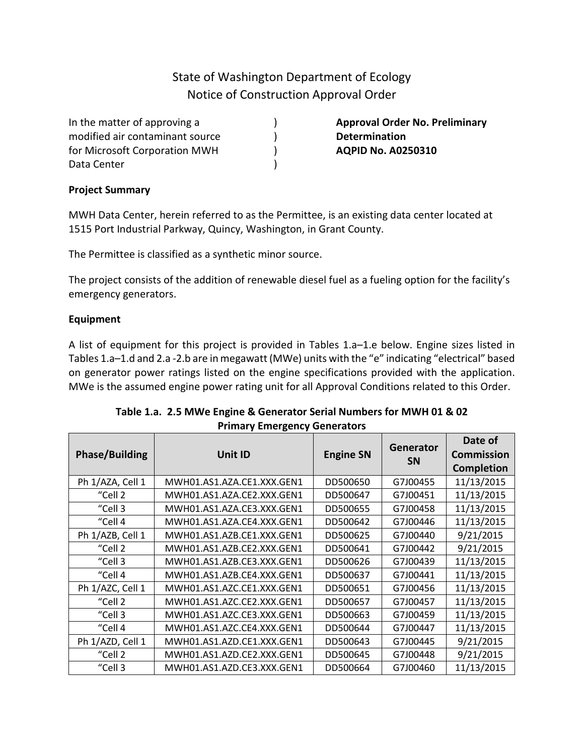# State of Washington Department of Ecology Notice of Construction Approval Order

) )  $\lambda$  $\lambda$ 

In the matter of approving a modified air contaminant source for Microsoft Corporation MWH Data Center

**Approval Order No. Preliminary Determination AQPID No. A0250310**

#### **Project Summary**

MWH Data Center, herein referred to as the Permittee, is an existing data center located at 1515 Port Industrial Parkway, Quincy, Washington, in Grant County.

The Permittee is classified as a synthetic minor source.

The project consists of the addition of renewable diesel fuel as a fueling option for the facility's emergency generators.

## **Equipment**

A list of equipment for this project is provided in Tables 1.a–1.e below. Engine sizes listed in Tables 1.a–1.d and 2.a -2.b are in megawatt (MWe) units with the "e" indicating "electrical" based on generator power ratings listed on the engine specifications provided with the application. MWe is the assumed engine power rating unit for all Approval Conditions related to this Order.

| <b>Phase/Building</b> | Unit ID                    | <b>Engine SN</b> | Generator<br><b>SN</b> | Date of<br><b>Commission</b><br><b>Completion</b> |
|-----------------------|----------------------------|------------------|------------------------|---------------------------------------------------|
| Ph 1/AZA, Cell 1      | MWH01.AS1.AZA.CE1.XXX.GEN1 | DD500650         | G7J00455               | 11/13/2015                                        |
| "Cell 2               | MWH01.AS1.AZA.CE2.XXX.GEN1 | DD500647         | G7J00451               | 11/13/2015                                        |
| "Cell 3               | MWH01.AS1.AZA.CE3.XXX.GEN1 | DD500655         | G7J00458               | 11/13/2015                                        |
| "Cell 4               | MWH01.AS1.AZA.CE4.XXX.GEN1 | DD500642         | G7J00446               | 11/13/2015                                        |
| Ph 1/AZB, Cell 1      | MWH01.AS1.AZB.CE1.XXX.GEN1 | DD500625         | G7J00440               | 9/21/2015                                         |
| "Cell 2               | MWH01.AS1.AZB.CE2.XXX.GEN1 | DD500641         | G7J00442               | 9/21/2015                                         |
| "Cell 3               | MWH01.AS1.AZB.CE3.XXX.GEN1 | DD500626         | G7J00439               | 11/13/2015                                        |
| "Cell 4               | MWH01.AS1.AZB.CE4.XXX.GEN1 | DD500637         | G7J00441               | 11/13/2015                                        |
| Ph 1/AZC, Cell 1      | MWH01.AS1.AZC.CE1.XXX.GEN1 | DD500651         | G7J00456               | 11/13/2015                                        |
| "Cell 2               | MWH01.AS1.AZC.CE2.XXX.GEN1 | DD500657         | G7J00457               | 11/13/2015                                        |
| "Cell 3               | MWH01.AS1.AZC.CE3.XXX.GEN1 | DD500663         | G7J00459               | 11/13/2015                                        |
| "Cell 4               | MWH01.AS1.AZC.CE4.XXX.GEN1 | DD500644         | G7J00447               | 11/13/2015                                        |
| Ph 1/AZD, Cell 1      | MWH01.AS1.AZD.CE1.XXX.GEN1 | DD500643         | G7J00445               | 9/21/2015                                         |
| "Cell 2               | MWH01.AS1.AZD.CE2.XXX.GEN1 | DD500645         | G7J00448               | 9/21/2015                                         |
| "Cell 3               | MWH01.AS1.AZD.CE3.XXX.GEN1 | DD500664         | G7J00460               | 11/13/2015                                        |

| Table 1.a. 2.5 MWe Engine & Generator Serial Numbers for MWH 01 & 02 |
|----------------------------------------------------------------------|
| <b>Primary Emergency Generators</b>                                  |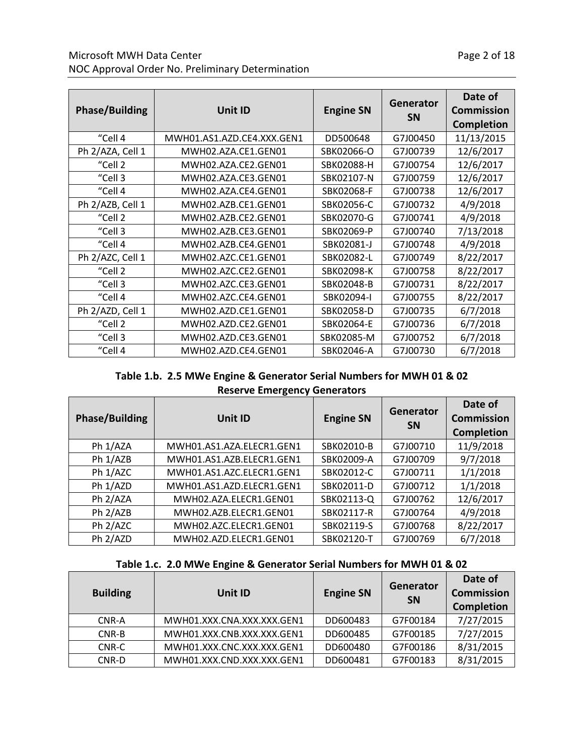## Microsoft MWH Data Center **Page 2 of 18** NOC Approval Order No. Preliminary Determination

| <b>Phase/Building</b><br><b>Unit ID</b> |                            | <b>Engine SN</b> | Generator<br><b>SN</b> | Date of<br><b>Commission</b><br><b>Completion</b> |
|-----------------------------------------|----------------------------|------------------|------------------------|---------------------------------------------------|
| "Cell 4                                 | MWH01.AS1.AZD.CE4.XXX.GEN1 | DD500648         | G7J00450               | 11/13/2015                                        |
| Ph 2/AZA, Cell 1                        | MWH02.AZA.CE1.GEN01        | SBK02066-O       | G7J00739               | 12/6/2017                                         |
| "Cell 2                                 | MWH02.AZA.CE2.GEN01        | SBK02088-H       | G7J00754               | 12/6/2017                                         |
| "Cell 3                                 | MWH02.AZA.CE3.GEN01        | SBK02107-N       | G7J00759               | 12/6/2017                                         |
| "Cell 4                                 | MWH02.AZA.CE4.GEN01        | SBK02068-F       | G7J00738               | 12/6/2017                                         |
| Ph 2/AZB, Cell 1                        | MWH02.AZB.CE1.GEN01        | SBK02056-C       | G7J00732               | 4/9/2018                                          |
| "Cell 2                                 | MWH02.AZB.CE2.GEN01        | SBK02070-G       | G7J00741               | 4/9/2018                                          |
| "Cell 3                                 | MWH02.AZB.CE3.GEN01        | SBK02069-P       | G7J00740               | 7/13/2018                                         |
| "Cell 4                                 | MWH02.AZB.CE4.GEN01        | SBK02081-J       | G7J00748               | 4/9/2018                                          |
| Ph 2/AZC, Cell 1                        | MWH02.AZC.CE1.GEN01        | SBK02082-L       | G7J00749               | 8/22/2017                                         |
| "Cell 2                                 | MWH02.AZC.CE2.GEN01        | SBK02098-K       | G7J00758               | 8/22/2017                                         |
| "Cell 3                                 | MWH02.AZC.CE3.GEN01        | SBK02048-B       | G7J00731               | 8/22/2017                                         |
| "Cell 4                                 | MWH02.AZC.CE4.GEN01        | SBK02094-I       | G7J00755               | 8/22/2017                                         |
| Ph 2/AZD, Cell 1                        | MWH02.AZD.CE1.GEN01        | SBK02058-D       | G7J00735               | 6/7/2018                                          |
| "Cell 2                                 | MWH02.AZD.CE2.GEN01        | SBK02064-E       | G7J00736               | 6/7/2018                                          |
| "Cell 3                                 | MWH02.AZD.CE3.GEN01        | SBK02085-M       | G7J00752               | 6/7/2018                                          |
| "Cell 4                                 | MWH02.AZD.CE4.GEN01        | SBK02046-A       | G7J00730               | 6/7/2018                                          |

## **Table 1.b. 2.5 MWe Engine & Generator Serial Numbers for MWH 01 & 02 Reserve Emergency Generators**

| <b>Phase/Building</b> | Unit ID                   | <b>Engine SN</b> | Generator<br><b>SN</b> | Date of<br><b>Commission</b><br><b>Completion</b> |
|-----------------------|---------------------------|------------------|------------------------|---------------------------------------------------|
| Ph 1/AZA              | MWH01.AS1.AZA.ELECR1.GEN1 | SBK02010-B       | G7J00710               | 11/9/2018                                         |
| Ph 1/AZB              | MWH01.AS1.AZB.ELECR1.GEN1 | SBK02009-A       | G7J00709               | 9/7/2018                                          |
| Ph 1/AZC              | MWH01.AS1.AZC.ELECR1.GEN1 | SBK02012-C       | G7J00711               | 1/1/2018                                          |
| Ph 1/AZD              | MWH01.AS1.AZD.ELECR1.GEN1 | SBK02011-D       | G7J00712               | 1/1/2018                                          |
| Ph 2/AZA              | MWH02.AZA.ELECR1.GEN01    | SBK02113-Q       | G7J00762               | 12/6/2017                                         |
| Ph 2/AZB              | MWH02.AZB.ELECR1.GEN01    | SBK02117-R       | G7J00764               | 4/9/2018                                          |
| Ph 2/AZC              | MWH02.AZC.ELECR1.GEN01    | SBK02119-S       | G7J00768               | 8/22/2017                                         |
| Ph 2/AZD              | MWH02.AZD.ELECR1.GEN01    | SBK02120-T       | G7J00769               | 6/7/2018                                          |

## **Table 1.c. 2.0 MWe Engine & Generator Serial Numbers for MWH 01 & 02**

| <b>Building</b> | Unit ID                    | <b>Engine SN</b> | Generator<br><b>SN</b> | Date of<br><b>Commission</b><br><b>Completion</b> |
|-----------------|----------------------------|------------------|------------------------|---------------------------------------------------|
| CNR-A           | MWH01.XXX.CNA.XXX.XXX.GEN1 | DD600483         | G7F00184               | 7/27/2015                                         |
| CNR-B           | MWH01.XXX.CNB.XXX.XXX.GEN1 | DD600485         | G7F00185               | 7/27/2015                                         |
| CNR-C           | MWH01.XXX.CNC.XXX.XXX.GEN1 | DD600480         | G7F00186               | 8/31/2015                                         |
| CNR-D           | MWH01.XXX.CND.XXX.XXX.GEN1 | DD600481         | G7F00183               | 8/31/2015                                         |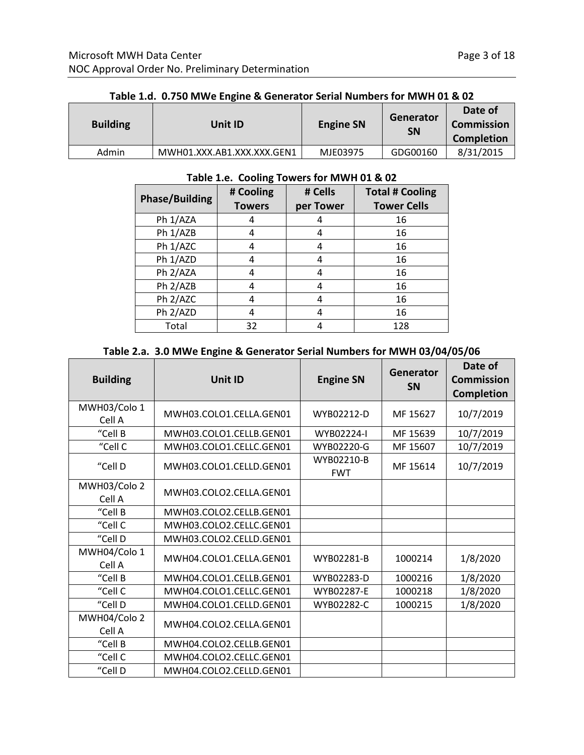|                 | Table 1.d. 0.750 MWe Engine & Generator Serial Numbers for MWH 01 & 02 |                  |                        |                                            |  |
|-----------------|------------------------------------------------------------------------|------------------|------------------------|--------------------------------------------|--|
| <b>Building</b> | Unit ID                                                                | <b>Engine SN</b> | Generator<br><b>SN</b> | Date of<br><b>Commission</b><br>Completion |  |
| Admin           | MWH01.XXX.AB1.XXX.XXX.GEN1                                             | MJE03975         | GDG00160               | 8/31/2015                                  |  |

#### **Table 1.d. 0.750 MWe Engine & Generator Serial Numbers for MWH 01 & 02**

## **Table 1.e. Cooling Towers for MWH 01 & 02**

| <b>Phase/Building</b> | # Cooling<br><b>Towers</b> | # Cells<br>per Tower | <b>Total # Cooling</b><br><b>Tower Cells</b> |
|-----------------------|----------------------------|----------------------|----------------------------------------------|
| Ph 1/AZA              | 4                          |                      | 16                                           |
| Ph 1/AZB              | 4                          |                      | 16                                           |
| Ph 1/AZC              | 4                          | 4                    | 16                                           |
| Ph 1/AZD              | 4                          | 4                    | 16                                           |
| Ph 2/AZA              | 4                          | 4                    | 16                                           |
| Ph 2/AZB              | 4                          | 4                    | 16                                           |
| Ph 2/AZC              | 4                          | 4                    | 16                                           |
| Ph 2/AZD              | 4                          | 4                    | 16                                           |
| Total                 | 32                         |                      | 128                                          |

## **Table 2.a. 3.0 MWe Engine & Generator Serial Numbers for MWH 03/04/05/06**

| <b>Building</b>        | Unit ID                 |                          | Generator<br><b>SN</b> | Date of<br><b>Commission</b><br><b>Completion</b> |
|------------------------|-------------------------|--------------------------|------------------------|---------------------------------------------------|
| MWH03/Colo 1<br>Cell A | MWH03.COLO1.CELLA.GEN01 | WYB02212-D               | MF 15627               | 10/7/2019                                         |
| "Cell B                | MWH03.COLO1.CELLB.GEN01 | WYB02224-I               | MF 15639               | 10/7/2019                                         |
| "Cell C                | MWH03.COLO1.CELLC.GEN01 | WYB02220-G               | MF 15607               | 10/7/2019                                         |
| "Cell D                | MWH03.COLO1.CELLD.GEN01 | WYB02210-B<br><b>FWT</b> | MF 15614               | 10/7/2019                                         |
| MWH03/Colo 2<br>Cell A | MWH03.COLO2.CELLA.GEN01 |                          |                        |                                                   |
| "Cell B                | MWH03.COLO2.CELLB.GEN01 |                          |                        |                                                   |
| "Cell C                | MWH03.COLO2.CELLC.GEN01 |                          |                        |                                                   |
| "Cell D                | MWH03.COLO2.CELLD.GEN01 |                          |                        |                                                   |
| MWH04/Colo 1<br>Cell A | MWH04.COLO1.CELLA.GEN01 | WYB02281-B               | 1000214                | 1/8/2020                                          |
| "Cell B                | MWH04.COLO1.CELLB.GEN01 | WYB02283-D               | 1000216                | 1/8/2020                                          |
| "Cell C                | MWH04.COLO1.CELLC.GEN01 | WYB02287-E               | 1000218                | 1/8/2020                                          |
| "Cell D                | MWH04.COLO1.CELLD.GEN01 | WYB02282-C               | 1000215                | 1/8/2020                                          |
| MWH04/Colo 2           | MWH04.COLO2.CELLA.GEN01 |                          |                        |                                                   |
| Cell A                 |                         |                          |                        |                                                   |
| "Cell B                | MWH04.COLO2.CELLB.GEN01 |                          |                        |                                                   |
| "Cell C                | MWH04.COLO2.CELLC.GEN01 |                          |                        |                                                   |
| "Cell D                | MWH04.COLO2.CELLD.GEN01 |                          |                        |                                                   |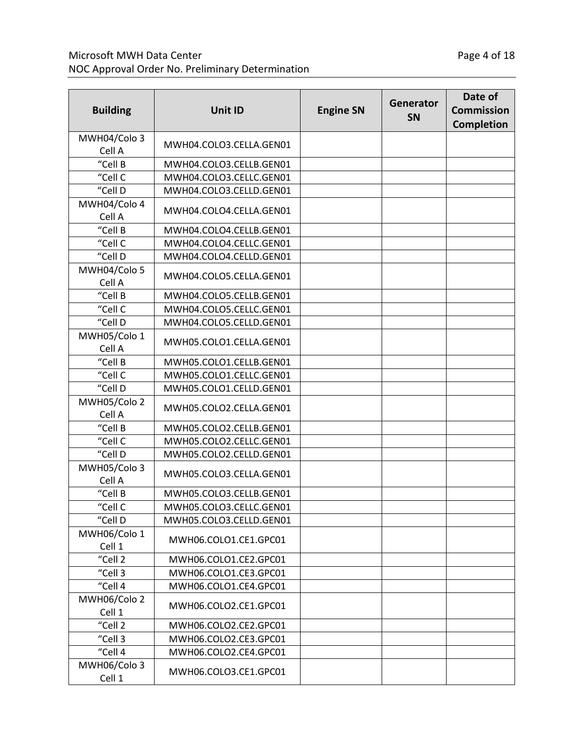# Microsoft MWH Data Center **Page 4 of 18** Page 4 of 18 NOC Approval Order No. Preliminary Determination

| <b>Building</b>             | <b>Unit ID</b>          | <b>Engine SN</b> | Generator<br>SN | Date of<br><b>Commission</b><br><b>Completion</b> |
|-----------------------------|-------------------------|------------------|-----------------|---------------------------------------------------|
| MWH04/Colo 3<br>Cell A      | MWH04.COLO3.CELLA.GEN01 |                  |                 |                                                   |
| $\overline{\text{C}}$ ell B | MWH04.COLO3.CELLB.GEN01 |                  |                 |                                                   |
| "Cell C                     | MWH04.COLO3.CELLC.GEN01 |                  |                 |                                                   |
| "Cell D                     | MWH04.COLO3.CELLD.GEN01 |                  |                 |                                                   |
| MWH04/Colo 4<br>Cell A      | MWH04.COLO4.CELLA.GEN01 |                  |                 |                                                   |
| "Cell B                     | MWH04.COLO4.CELLB.GEN01 |                  |                 |                                                   |
| "Cell C                     | MWH04.COLO4.CELLC.GEN01 |                  |                 |                                                   |
| "Cell D                     | MWH04.COLO4.CELLD.GEN01 |                  |                 |                                                   |
| MWH04/Colo 5<br>Cell A      | MWH04.COLO5.CELLA.GEN01 |                  |                 |                                                   |
| "Cell B                     | MWH04.COLO5.CELLB.GEN01 |                  |                 |                                                   |
| "Cell C                     | MWH04.COLO5.CELLC.GEN01 |                  |                 |                                                   |
| "Cell D                     | MWH04.COLO5.CELLD.GEN01 |                  |                 |                                                   |
| MWH05/Colo 1<br>Cell A      | MWH05.COLO1.CELLA.GEN01 |                  |                 |                                                   |
| "Cell B                     | MWH05.COLO1.CELLB.GEN01 |                  |                 |                                                   |
| "Cell C                     | MWH05.COLO1.CELLC.GEN01 |                  |                 |                                                   |
| "Cell D                     | MWH05.COLO1.CELLD.GEN01 |                  |                 |                                                   |
| MWH05/Colo 2<br>Cell A      | MWH05.COLO2.CELLA.GEN01 |                  |                 |                                                   |
| "Cell B                     | MWH05.COLO2.CELLB.GEN01 |                  |                 |                                                   |
| "Cell C                     | MWH05.COLO2.CELLC.GEN01 |                  |                 |                                                   |
| "Cell D                     | MWH05.COLO2.CELLD.GEN01 |                  |                 |                                                   |
| MWH05/Colo 3<br>Cell A      | MWH05.COLO3.CELLA.GEN01 |                  |                 |                                                   |
| "Cell B                     | MWH05.COLO3.CELLB.GEN01 |                  |                 |                                                   |
| "Cell C                     | MWH05.COLO3.CELLC.GEN01 |                  |                 |                                                   |
| "Cell D                     | MWH05.COLO3.CELLD.GEN01 |                  |                 |                                                   |
| MWH06/Colo 1<br>Cell 1      | MWH06.COLO1.CE1.GPC01   |                  |                 |                                                   |
| "Cell 2                     | MWH06.COLO1.CE2.GPC01   |                  |                 |                                                   |
| "Cell 3                     | MWH06.COLO1.CE3.GPC01   |                  |                 |                                                   |
| "Cell 4                     | MWH06.COLO1.CE4.GPC01   |                  |                 |                                                   |
| MWH06/Colo 2<br>Cell 1      | MWH06.COLO2.CE1.GPC01   |                  |                 |                                                   |
| "Cell 2                     | MWH06.COLO2.CE2.GPC01   |                  |                 |                                                   |
| "Cell 3                     | MWH06.COLO2.CE3.GPC01   |                  |                 |                                                   |
| "Cell 4                     | MWH06.COLO2.CE4.GPC01   |                  |                 |                                                   |
| MWH06/Colo 3<br>Cell 1      | MWH06.COLO3.CE1.GPC01   |                  |                 |                                                   |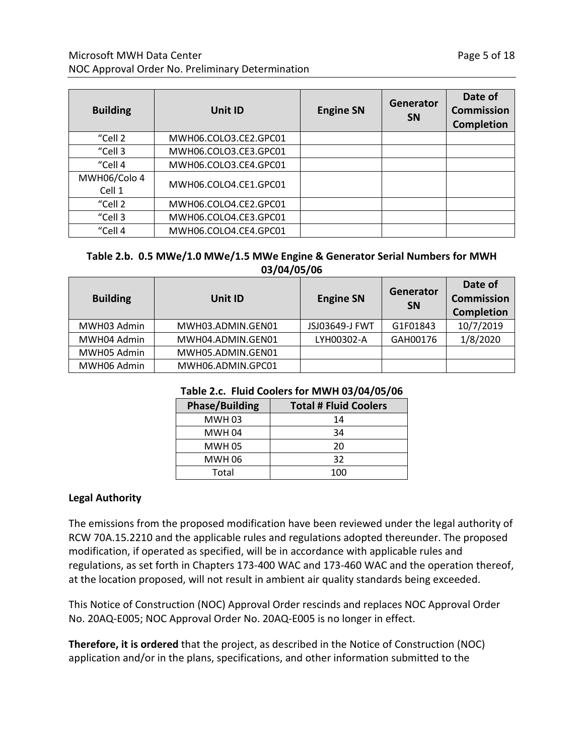| <b>Building</b>        | Unit ID               | <b>Engine SN</b> | Generator<br><b>SN</b> | Date of<br><b>Commission</b><br><b>Completion</b> |
|------------------------|-----------------------|------------------|------------------------|---------------------------------------------------|
| "Cell 2                | MWH06.COLO3.CE2.GPC01 |                  |                        |                                                   |
| "Cell 3                | MWH06.COLO3.CE3.GPC01 |                  |                        |                                                   |
| "Cell 4                | MWH06.COLO3.CE4.GPC01 |                  |                        |                                                   |
| MWH06/Colo 4<br>Cell 1 | MWH06.COLO4.CE1.GPC01 |                  |                        |                                                   |
| "Cell 2                | MWH06.COLO4.CE2.GPC01 |                  |                        |                                                   |
| "Cell 3                | MWH06.COLO4.CE3.GPC01 |                  |                        |                                                   |
| "Cell 4                | MWH06.COLO4.CE4.GPC01 |                  |                        |                                                   |

## **Table 2.b. 0.5 MWe/1.0 MWe/1.5 MWe Engine & Generator Serial Numbers for MWH 03/04/05/06**

| <b>Building</b> | Unit ID           | <b>Engine SN</b> | Generator<br><b>SN</b> | Date of<br><b>Commission</b><br><b>Completion</b> |
|-----------------|-------------------|------------------|------------------------|---------------------------------------------------|
| MWH03 Admin     | MWH03.ADMIN.GEN01 | JSJ03649-J FWT   | G1F01843               | 10/7/2019                                         |
| MWH04 Admin     | MWH04.ADMIN.GEN01 | LYH00302-A       | GAH00176               | 1/8/2020                                          |
| MWH05 Admin     | MWH05.ADMIN.GEN01 |                  |                        |                                                   |
| MWH06 Admin     | MWH06.ADMIN.GPC01 |                  |                        |                                                   |

| <b>Phase/Building</b> | <b>Total # Fluid Coolers</b> |
|-----------------------|------------------------------|
| <b>MWH03</b>          | 14                           |
| <b>MWH 04</b>         | 34                           |
| <b>MWH 05</b>         | 20                           |
| <b>MWH 06</b>         | 32                           |
| Total                 | 100                          |

## **Table 2.c. Fluid Coolers for MWH 03/04/05/06**

#### **Legal Authority**

The emissions from the proposed modification have been reviewed under the legal authority of RCW 70A.15.2210 and the applicable rules and regulations adopted thereunder. The proposed modification, if operated as specified, will be in accordance with applicable rules and regulations, as set forth in Chapters 173-400 WAC and 173-460 WAC and the operation thereof, at the location proposed, will not result in ambient air quality standards being exceeded.

This Notice of Construction (NOC) Approval Order rescinds and replaces NOC Approval Order No. 20AQ-E005; NOC Approval Order No. 20AQ-E005 is no longer in effect.

**Therefore, it is ordered** that the project, as described in the Notice of Construction (NOC) application and/or in the plans, specifications, and other information submitted to the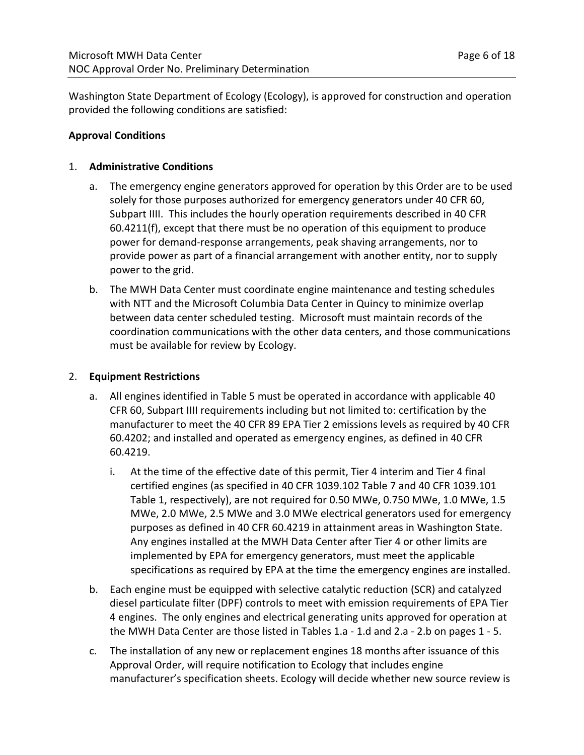Washington State Department of Ecology (Ecology), is approved for construction and operation provided the following conditions are satisfied:

#### **Approval Conditions**

#### 1. **Administrative Conditions**

- a. The emergency engine generators approved for operation by this Order are to be used solely for those purposes authorized for emergency generators under 40 CFR 60, Subpart IIII. This includes the hourly operation requirements described in 40 CFR 60.4211(f), except that there must be no operation of this equipment to produce power for demand-response arrangements, peak shaving arrangements, nor to provide power as part of a financial arrangement with another entity, nor to supply power to the grid.
- b. The MWH Data Center must coordinate engine maintenance and testing schedules with NTT and the Microsoft Columbia Data Center in Quincy to minimize overlap between data center scheduled testing. Microsoft must maintain records of the coordination communications with the other data centers, and those communications must be available for review by Ecology.

#### 2. **Equipment Restrictions**

- a. All engines identified in Table 5 must be operated in accordance with applicable 40 CFR 60, Subpart IIII requirements including but not limited to: certification by the manufacturer to meet the 40 CFR 89 EPA Tier 2 emissions levels as required by 40 CFR 60.4202; and installed and operated as emergency engines, as defined in 40 CFR 60.4219.
	- i. At the time of the effective date of this permit, Tier 4 interim and Tier 4 final certified engines (as specified in 40 CFR 1039.102 Table 7 and 40 CFR 1039.101 Table 1, respectively), are not required for 0.50 MWe, 0.750 MWe, 1.0 MWe, 1.5 MWe, 2.0 MWe, 2.5 MWe and 3.0 MWe electrical generators used for emergency purposes as defined in 40 CFR 60.4219 in attainment areas in Washington State. Any engines installed at the MWH Data Center after Tier 4 or other limits are implemented by EPA for emergency generators, must meet the applicable specifications as required by EPA at the time the emergency engines are installed.
- b. Each engine must be equipped with selective catalytic reduction (SCR) and catalyzed diesel particulate filter (DPF) controls to meet with emission requirements of EPA Tier 4 engines. The only engines and electrical generating units approved for operation at the MWH Data Center are those listed in Tables 1.a - 1.d and 2.a - 2.b on pages 1 - 5.
- c. The installation of any new or replacement engines 18 months after issuance of this Approval Order, will require notification to Ecology that includes engine manufacturer's specification sheets. Ecology will decide whether new source review is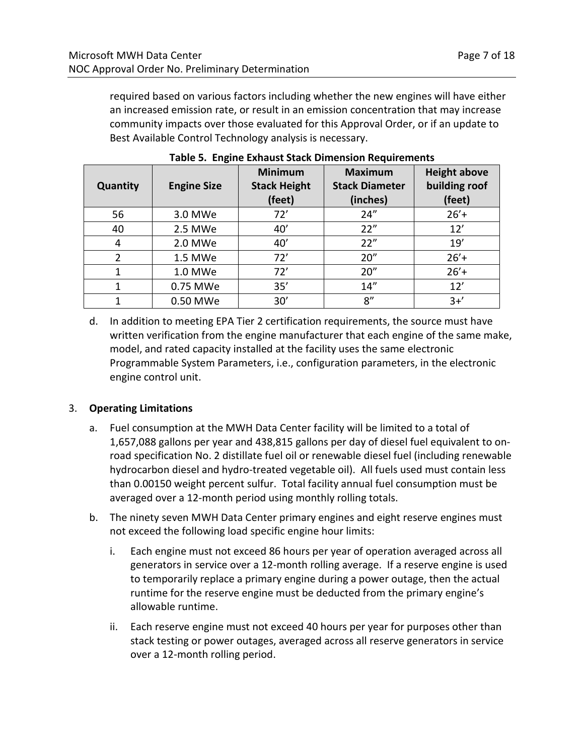required based on various factors including whether the new engines will have either an increased emission rate, or result in an emission concentration that may increase community impacts over those evaluated for this Approval Order, or if an update to Best Available Control Technology analysis is necessary.

| <b>Quantity</b> | <b>Engine Size</b> | <b>Minimum</b><br><b>Stack Height</b><br>(feet) | <b>Maximum</b><br><b>Stack Diameter</b><br>(inches) | <b>Height above</b><br>building roof<br>(feet) |
|-----------------|--------------------|-------------------------------------------------|-----------------------------------------------------|------------------------------------------------|
| 56              | 3.0 MWe            | 72'                                             | 24''                                                | $26' +$                                        |
| 40              | 2.5 MWe            | 40'                                             | 22"                                                 | 12'                                            |
| 4               | 2.0 MWe            | 40'                                             | 22"                                                 | 19'                                            |
| $\overline{2}$  | 1.5 MWe            | 72'                                             | 20''                                                | $26' +$                                        |
| 1               | 1.0 MWe            | 72'                                             | 20''                                                | $26' +$                                        |
| 1               | 0.75 MWe           | 35'                                             | 14''                                                | 12'                                            |
| 1               | 0.50 MWe           | 30'                                             | 8''                                                 | $3+$                                           |

**Table 5. Engine Exhaust Stack Dimension Requirements**

d. In addition to meeting EPA Tier 2 certification requirements, the source must have written verification from the engine manufacturer that each engine of the same make, model, and rated capacity installed at the facility uses the same electronic Programmable System Parameters, i.e., configuration parameters, in the electronic engine control unit.

## 3. **Operating Limitations**

- a. Fuel consumption at the MWH Data Center facility will be limited to a total of 1,657,088 gallons per year and 438,815 gallons per day of diesel fuel equivalent to onroad specification No. 2 distillate fuel oil or renewable diesel fuel (including renewable hydrocarbon diesel and hydro-treated vegetable oil). All fuels used must contain less than 0.00150 weight percent sulfur. Total facility annual fuel consumption must be averaged over a 12-month period using monthly rolling totals.
- b. The ninety seven MWH Data Center primary engines and eight reserve engines must not exceed the following load specific engine hour limits:
	- i. Each engine must not exceed 86 hours per year of operation averaged across all generators in service over a 12-month rolling average. If a reserve engine is used to temporarily replace a primary engine during a power outage, then the actual runtime for the reserve engine must be deducted from the primary engine's allowable runtime.
	- ii. Each reserve engine must not exceed 40 hours per year for purposes other than stack testing or power outages, averaged across all reserve generators in service over a 12-month rolling period.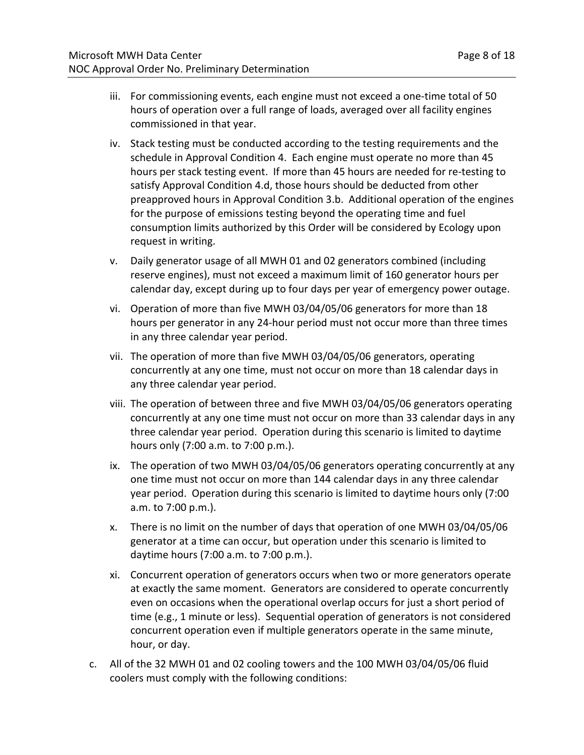- iii. For commissioning events, each engine must not exceed a one-time total of 50 hours of operation over a full range of loads, averaged over all facility engines commissioned in that year.
- iv. Stack testing must be conducted according to the testing requirements and the schedule in Approval Condition 4. Each engine must operate no more than 45 hours per stack testing event. If more than 45 hours are needed for re-testing to satisfy Approval Condition 4.d, those hours should be deducted from other preapproved hours in Approval Condition 3.b. Additional operation of the engines for the purpose of emissions testing beyond the operating time and fuel consumption limits authorized by this Order will be considered by Ecology upon request in writing.
- v. Daily generator usage of all MWH 01 and 02 generators combined (including reserve engines), must not exceed a maximum limit of 160 generator hours per calendar day, except during up to four days per year of emergency power outage.
- vi. Operation of more than five MWH 03/04/05/06 generators for more than 18 hours per generator in any 24-hour period must not occur more than three times in any three calendar year period.
- vii. The operation of more than five MWH 03/04/05/06 generators, operating concurrently at any one time, must not occur on more than 18 calendar days in any three calendar year period.
- viii. The operation of between three and five MWH 03/04/05/06 generators operating concurrently at any one time must not occur on more than 33 calendar days in any three calendar year period. Operation during this scenario is limited to daytime hours only (7:00 a.m. to 7:00 p.m.).
- ix. The operation of two MWH 03/04/05/06 generators operating concurrently at any one time must not occur on more than 144 calendar days in any three calendar year period. Operation during this scenario is limited to daytime hours only (7:00 a.m. to 7:00 p.m.).
- x. There is no limit on the number of days that operation of one MWH 03/04/05/06 generator at a time can occur, but operation under this scenario is limited to daytime hours (7:00 a.m. to 7:00 p.m.).
- xi. Concurrent operation of generators occurs when two or more generators operate at exactly the same moment. Generators are considered to operate concurrently even on occasions when the operational overlap occurs for just a short period of time (e.g., 1 minute or less). Sequential operation of generators is not considered concurrent operation even if multiple generators operate in the same minute, hour, or day.
- c. All of the 32 MWH 01 and 02 cooling towers and the 100 MWH 03/04/05/06 fluid coolers must comply with the following conditions: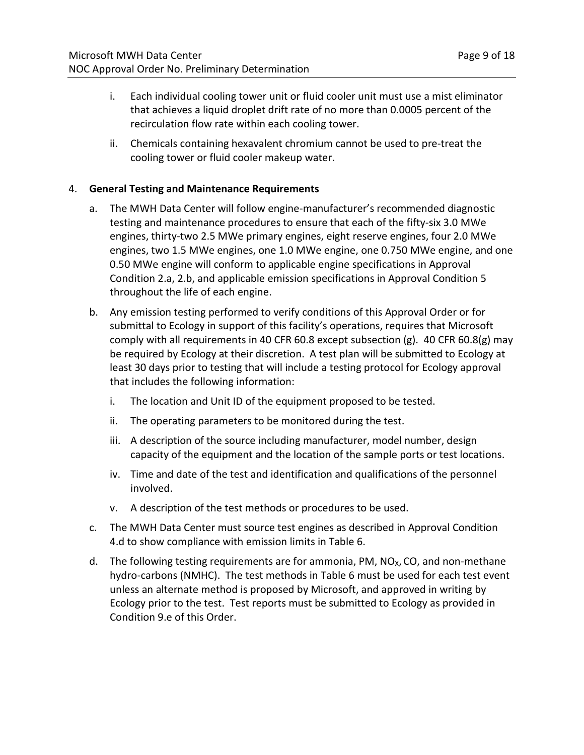- i. Each individual cooling tower unit or fluid cooler unit must use a mist eliminator that achieves a liquid droplet drift rate of no more than 0.0005 percent of the recirculation flow rate within each cooling tower.
- ii. Chemicals containing hexavalent chromium cannot be used to pre-treat the cooling tower or fluid cooler makeup water.

## 4. **General Testing and Maintenance Requirements**

- a. The MWH Data Center will follow engine-manufacturer's recommended diagnostic testing and maintenance procedures to ensure that each of the fifty-six 3.0 MWe engines, thirty-two 2.5 MWe primary engines, eight reserve engines, four 2.0 MWe engines, two 1.5 MWe engines, one 1.0 MWe engine, one 0.750 MWe engine, and one 0.50 MWe engine will conform to applicable engine specifications in Approval Condition 2.a, 2.b, and applicable emission specifications in Approval Condition 5 throughout the life of each engine.
- b. Any emission testing performed to verify conditions of this Approval Order or for submittal to Ecology in support of this facility's operations, requires that Microsoft comply with all requirements in 40 CFR 60.8 except subsection (g). 40 CFR 60.8(g) may be required by Ecology at their discretion. A test plan will be submitted to Ecology at least 30 days prior to testing that will include a testing protocol for Ecology approval that includes the following information:
	- i. The location and Unit ID of the equipment proposed to be tested.
	- ii. The operating parameters to be monitored during the test.
	- iii. A description of the source including manufacturer, model number, design capacity of the equipment and the location of the sample ports or test locations.
	- iv. Time and date of the test and identification and qualifications of the personnel involved.
	- v. A description of the test methods or procedures to be used.
- c. The MWH Data Center must source test engines as described in Approval Condition 4.d to show compliance with emission limits in Table 6.
- d. The following testing requirements are for ammonia, PM,  $NO<sub>x</sub>$ , CO, and non-methane hydro-carbons (NMHC). The test methods in Table 6 must be used for each test event unless an alternate method is proposed by Microsoft, and approved in writing by Ecology prior to the test. Test reports must be submitted to Ecology as provided in Condition 9.e of this Order.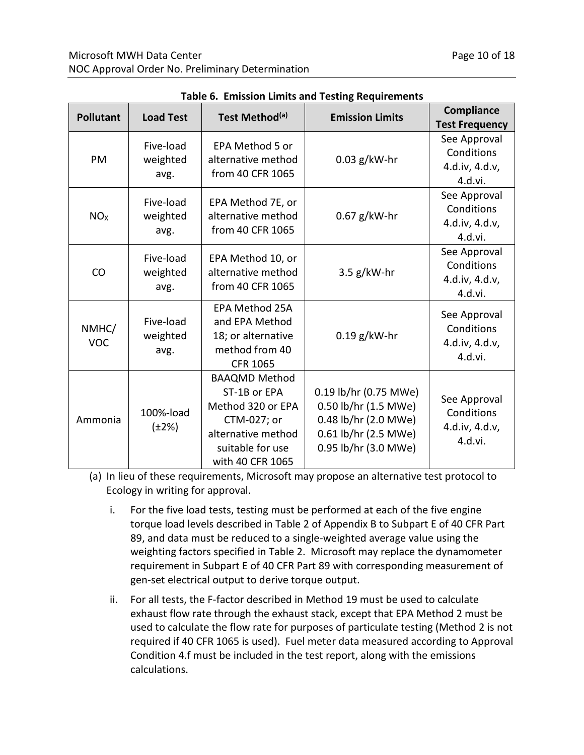| <b>Pollutant</b>    | <b>Load Test</b>              | Test Method <sup>(a)</sup>                                                                                                             | <b>Emission Limits</b>                                                                                                | Compliance<br><b>Test Frequency</b>                     |
|---------------------|-------------------------------|----------------------------------------------------------------------------------------------------------------------------------------|-----------------------------------------------------------------------------------------------------------------------|---------------------------------------------------------|
| PM                  | Five-load<br>weighted<br>avg. | EPA Method 5 or<br>alternative method<br>from 40 CFR 1065                                                                              | $0.03$ g/kW-hr                                                                                                        | See Approval<br>Conditions<br>4.d.iv, 4.d.v,<br>4.d.vi. |
| NO <sub>X</sub>     | Five-load<br>weighted<br>avg. | EPA Method 7E, or<br>alternative method<br>from 40 CFR 1065                                                                            | $0.67$ g/kW-hr                                                                                                        | See Approval<br>Conditions<br>4.d.iv, 4.d.v,<br>4.d.vi. |
| CO                  | Five-load<br>weighted<br>avg. | EPA Method 10, or<br>alternative method<br>from 40 CFR 1065                                                                            | $3.5$ g/kW-hr                                                                                                         | See Approval<br>Conditions<br>4.d.iv, 4.d.v,<br>4.d.vi. |
| NMHC/<br><b>VOC</b> | Five-load<br>weighted<br>avg. | <b>EPA Method 25A</b><br>and EPA Method<br>18; or alternative<br>method from 40<br><b>CFR 1065</b>                                     | $0.19$ g/kW-hr                                                                                                        | See Approval<br>Conditions<br>4.d.iv, 4.d.v,<br>4.d.vi. |
| Ammonia             | 100%-load<br>$(\pm 2\%)$      | <b>BAAQMD Method</b><br>ST-1B or EPA<br>Method 320 or EPA<br>CTM-027; or<br>alternative method<br>suitable for use<br>with 40 CFR 1065 | 0.19 lb/hr (0.75 MWe)<br>0.50 lb/hr (1.5 MWe)<br>0.48 lb/hr (2.0 MWe)<br>0.61 lb/hr (2.5 MWe)<br>0.95 lb/hr (3.0 MWe) | See Approval<br>Conditions<br>4.d.iv, 4.d.v,<br>4.d.vi. |

|  |  |  |  | <b>Table 6. Emission Limits and Testing Requirements</b> |
|--|--|--|--|----------------------------------------------------------|
|--|--|--|--|----------------------------------------------------------|

(a) In lieu of these requirements, Microsoft may propose an alternative test protocol to Ecology in writing for approval.

- i. For the five load tests, testing must be performed at each of the five engine torque load levels described in Table 2 of Appendix B to Subpart E of 40 CFR Part 89, and data must be reduced to a single-weighted average value using the weighting factors specified in Table 2. Microsoft may replace the dynamometer requirement in Subpart E of 40 CFR Part 89 with corresponding measurement of gen-set electrical output to derive torque output.
- ii. For all tests, the F-factor described in Method 19 must be used to calculate exhaust flow rate through the exhaust stack, except that EPA Method 2 must be used to calculate the flow rate for purposes of particulate testing (Method 2 is not required if 40 CFR 1065 is used). Fuel meter data measured according to Approval Condition 4.f must be included in the test report, along with the emissions calculations.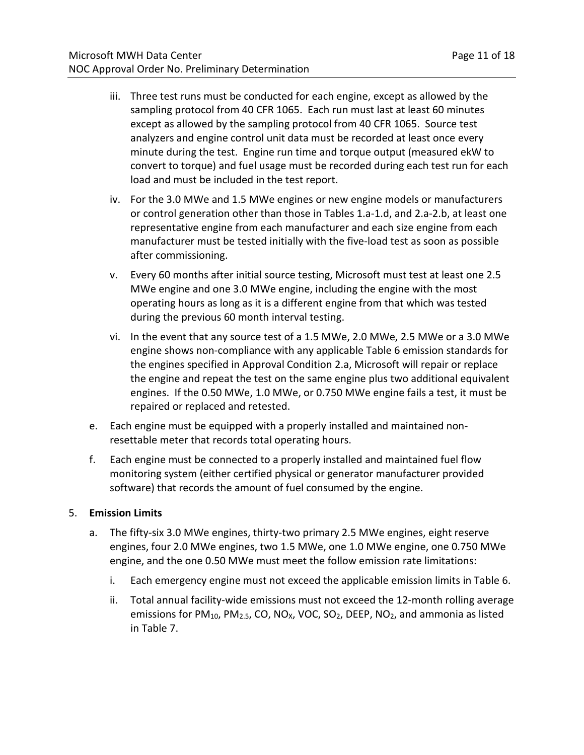- iii. Three test runs must be conducted for each engine, except as allowed by the sampling protocol from 40 CFR 1065. Each run must last at least 60 minutes except as allowed by the sampling protocol from 40 CFR 1065. Source test analyzers and engine control unit data must be recorded at least once every minute during the test. Engine run time and torque output (measured ekW to convert to torque) and fuel usage must be recorded during each test run for each load and must be included in the test report.
- iv. For the 3.0 MWe and 1.5 MWe engines or new engine models or manufacturers or control generation other than those in Tables 1.a-1.d, and 2.a-2.b, at least one representative engine from each manufacturer and each size engine from each manufacturer must be tested initially with the five-load test as soon as possible after commissioning.
- v. Every 60 months after initial source testing, Microsoft must test at least one 2.5 MWe engine and one 3.0 MWe engine, including the engine with the most operating hours as long as it is a different engine from that which was tested during the previous 60 month interval testing.
- vi. In the event that any source test of a 1.5 MWe, 2.0 MWe, 2.5 MWe or a 3.0 MWe engine shows non-compliance with any applicable Table 6 emission standards for the engines specified in Approval Condition 2.a, Microsoft will repair or replace the engine and repeat the test on the same engine plus two additional equivalent engines. If the 0.50 MWe, 1.0 MWe, or 0.750 MWe engine fails a test, it must be repaired or replaced and retested.
- e. Each engine must be equipped with a properly installed and maintained nonresettable meter that records total operating hours.
- f. Each engine must be connected to a properly installed and maintained fuel flow monitoring system (either certified physical or generator manufacturer provided software) that records the amount of fuel consumed by the engine.

#### 5. **Emission Limits**

- a. The fifty-six 3.0 MWe engines, thirty-two primary 2.5 MWe engines, eight reserve engines, four 2.0 MWe engines, two 1.5 MWe, one 1.0 MWe engine, one 0.750 MWe engine, and the one 0.50 MWe must meet the follow emission rate limitations:
	- i. Each emergency engine must not exceed the applicable emission limits in Table 6.
	- ii. Total annual facility-wide emissions must not exceed the 12-month rolling average emissions for PM<sub>10</sub>, PM<sub>2.5</sub>, CO, NO<sub>X</sub>, VOC, SO<sub>2</sub>, DEEP, NO<sub>2</sub>, and ammonia as listed in Table 7.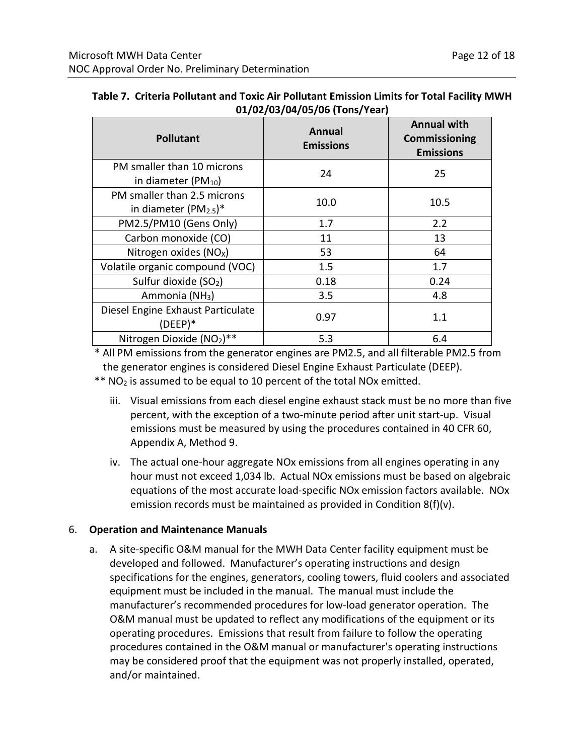| <b>Pollutant</b>                                                  | <b>Annual</b><br><b>Emissions</b> | <b>Annual with</b><br><b>Commissioning</b><br><b>Emissions</b> |
|-------------------------------------------------------------------|-----------------------------------|----------------------------------------------------------------|
| PM smaller than 10 microns<br>in diameter (PM <sub>10</sub> )     | 24                                | 25                                                             |
| PM smaller than 2.5 microns<br>in diameter $(PM2.5)$ <sup>*</sup> | 10.0                              | 10.5                                                           |
| PM2.5/PM10 (Gens Only)                                            | 1.7                               | 2.2                                                            |
| Carbon monoxide (CO)                                              | 11                                | 13                                                             |
| Nitrogen oxides $(NOx)$                                           | 53                                | 64                                                             |
| Volatile organic compound (VOC)                                   | 1.5                               | 1.7                                                            |
| Sulfur dioxide (SO <sub>2</sub> )                                 | 0.18                              | 0.24                                                           |
| Ammonia (NH <sub>3</sub> )                                        | 3.5                               | 4.8                                                            |
| Diesel Engine Exhaust Particulate<br>$(DEEP)*$                    | 0.97                              | 1.1                                                            |
| Nitrogen Dioxide (NO2)**                                          | 5.3                               | 6.4                                                            |

| Table 7. Criteria Pollutant and Toxic Air Pollutant Emission Limits for Total Facility MWH |  |
|--------------------------------------------------------------------------------------------|--|
| 01/02/03/04/05/06 (Tons/Year)                                                              |  |

\* All PM emissions from the generator engines are PM2.5, and all filterable PM2.5 from the generator engines is considered Diesel Engine Exhaust Particulate (DEEP).

 $*$  NO<sub>2</sub> is assumed to be equal to 10 percent of the total NOx emitted.

- iii. Visual emissions from each diesel engine exhaust stack must be no more than five percent, with the exception of a two-minute period after unit start-up. Visual emissions must be measured by using the procedures contained in 40 CFR 60, Appendix A, Method 9.
- iv. The actual one-hour aggregate NOx emissions from all engines operating in any hour must not exceed 1,034 lb. Actual NOx emissions must be based on algebraic equations of the most accurate load-specific NOx emission factors available. NOx emission records must be maintained as provided in Condition 8(f)(v).

#### 6. **Operation and Maintenance Manuals**

a. A site-specific O&M manual for the MWH Data Center facility equipment must be developed and followed. Manufacturer's operating instructions and design specifications for the engines, generators, cooling towers, fluid coolers and associated equipment must be included in the manual. The manual must include the manufacturer's recommended procedures for low-load generator operation. The O&M manual must be updated to reflect any modifications of the equipment or its operating procedures. Emissions that result from failure to follow the operating procedures contained in the O&M manual or manufacturer's operating instructions may be considered proof that the equipment was not properly installed, operated, and/or maintained.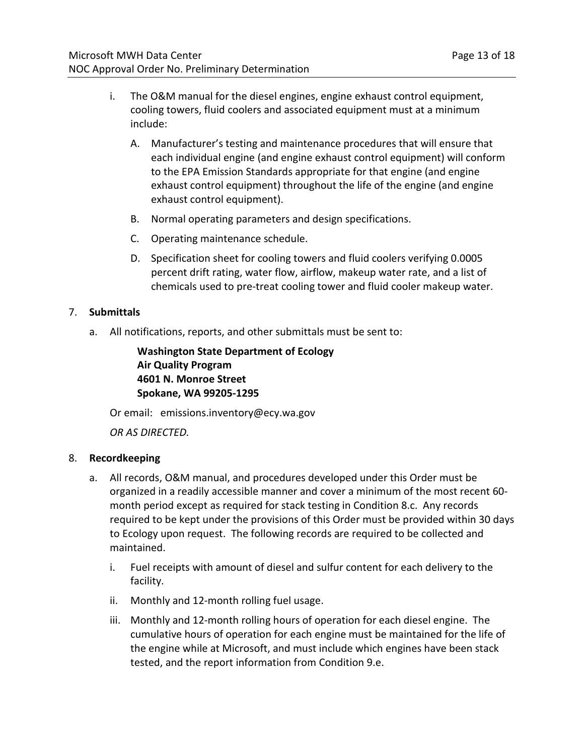- i. The O&M manual for the diesel engines, engine exhaust control equipment, cooling towers, fluid coolers and associated equipment must at a minimum include:
	- A. Manufacturer's testing and maintenance procedures that will ensure that each individual engine (and engine exhaust control equipment) will conform to the EPA Emission Standards appropriate for that engine (and engine exhaust control equipment) throughout the life of the engine (and engine exhaust control equipment).
	- B. Normal operating parameters and design specifications.
	- C. Operating maintenance schedule.
	- D. Specification sheet for cooling towers and fluid coolers verifying 0.0005 percent drift rating, water flow, airflow, makeup water rate, and a list of chemicals used to pre-treat cooling tower and fluid cooler makeup water.

## 7. **Submittals**

a. All notifications, reports, and other submittals must be sent to:

**Washington State Department of Ecology Air Quality Program 4601 N. Monroe Street Spokane, WA 99205-1295**

Or email: emissions.inventory@ecy.wa.gov

*OR AS DIRECTED.*

#### 8. **Recordkeeping**

- a. All records, O&M manual, and procedures developed under this Order must be organized in a readily accessible manner and cover a minimum of the most recent 60 month period except as required for stack testing in Condition 8.c. Any records required to be kept under the provisions of this Order must be provided within 30 days to Ecology upon request. The following records are required to be collected and maintained.
	- i. Fuel receipts with amount of diesel and sulfur content for each delivery to the facility.
	- ii. Monthly and 12-month rolling fuel usage.
	- iii. Monthly and 12-month rolling hours of operation for each diesel engine. The cumulative hours of operation for each engine must be maintained for the life of the engine while at Microsoft, and must include which engines have been stack tested, and the report information from Condition 9.e.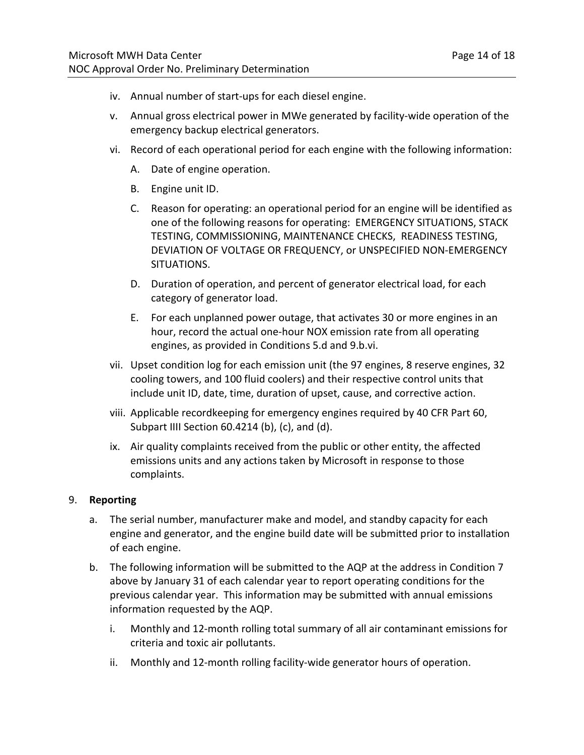- iv. Annual number of start-ups for each diesel engine.
- v. Annual gross electrical power in MWe generated by facility-wide operation of the emergency backup electrical generators.
- vi. Record of each operational period for each engine with the following information:
	- A. Date of engine operation.
	- B. Engine unit ID.
	- C. Reason for operating: an operational period for an engine will be identified as one of the following reasons for operating: EMERGENCY SITUATIONS, STACK TESTING, COMMISSIONING, MAINTENANCE CHECKS, READINESS TESTING, DEVIATION OF VOLTAGE OR FREQUENCY, or UNSPECIFIED NON-EMERGENCY SITUATIONS.
	- D. Duration of operation, and percent of generator electrical load, for each category of generator load.
	- E. For each unplanned power outage, that activates 30 or more engines in an hour, record the actual one-hour NOX emission rate from all operating engines, as provided in Conditions 5.d and 9.b.vi.
- vii. Upset condition log for each emission unit (the 97 engines, 8 reserve engines, 32 cooling towers, and 100 fluid coolers) and their respective control units that include unit ID, date, time, duration of upset, cause, and corrective action.
- viii. Applicable recordkeeping for emergency engines required by 40 CFR Part 60, Subpart IIII Section 60.4214 (b), (c), and (d).
- ix. Air quality complaints received from the public or other entity, the affected emissions units and any actions taken by Microsoft in response to those complaints.

#### 9. **Reporting**

- a. The serial number, manufacturer make and model, and standby capacity for each engine and generator, and the engine build date will be submitted prior to installation of each engine.
- b. The following information will be submitted to the AQP at the address in Condition 7 above by January 31 of each calendar year to report operating conditions for the previous calendar year. This information may be submitted with annual emissions information requested by the AQP.
	- i. Monthly and 12-month rolling total summary of all air contaminant emissions for criteria and toxic air pollutants.
	- ii. Monthly and 12-month rolling facility-wide generator hours of operation.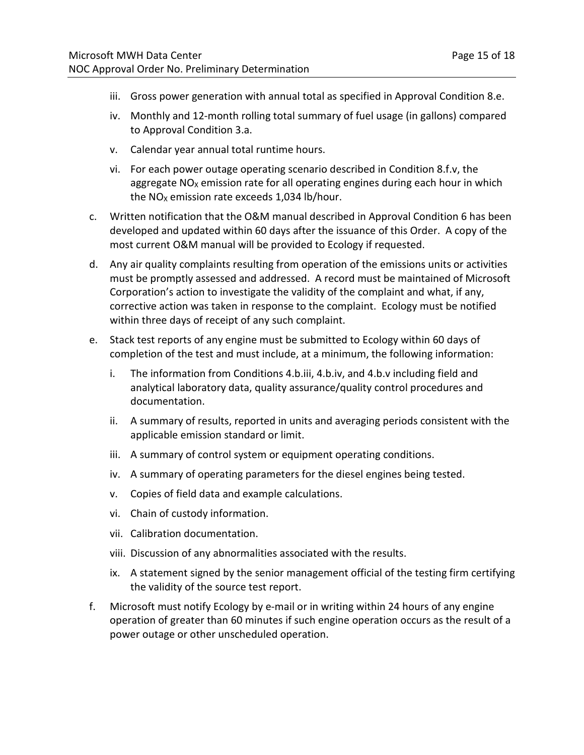- iii. Gross power generation with annual total as specified in Approval Condition 8.e.
- iv. Monthly and 12-month rolling total summary of fuel usage (in gallons) compared to Approval Condition 3.a.
- v. Calendar year annual total runtime hours.
- vi. For each power outage operating scenario described in Condition 8.f.v, the aggregate  $NO<sub>x</sub>$  emission rate for all operating engines during each hour in which the  $NO<sub>X</sub>$  emission rate exceeds 1,034 lb/hour.
- c. Written notification that the O&M manual described in Approval Condition 6 has been developed and updated within 60 days after the issuance of this Order. A copy of the most current O&M manual will be provided to Ecology if requested.
- d. Any air quality complaints resulting from operation of the emissions units or activities must be promptly assessed and addressed. A record must be maintained of Microsoft Corporation's action to investigate the validity of the complaint and what, if any, corrective action was taken in response to the complaint. Ecology must be notified within three days of receipt of any such complaint.
- e. Stack test reports of any engine must be submitted to Ecology within 60 days of completion of the test and must include, at a minimum, the following information:
	- i. The information from Conditions 4.b.iii, 4.b.iv, and 4.b.v including field and analytical laboratory data, quality assurance/quality control procedures and documentation.
	- ii. A summary of results, reported in units and averaging periods consistent with the applicable emission standard or limit.
	- iii. A summary of control system or equipment operating conditions.
	- iv. A summary of operating parameters for the diesel engines being tested.
	- v. Copies of field data and example calculations.
	- vi. Chain of custody information.
	- vii. Calibration documentation.
	- viii. Discussion of any abnormalities associated with the results.
	- ix. A statement signed by the senior management official of the testing firm certifying the validity of the source test report.
- f. Microsoft must notify Ecology by e-mail or in writing within 24 hours of any engine operation of greater than 60 minutes if such engine operation occurs as the result of a power outage or other unscheduled operation.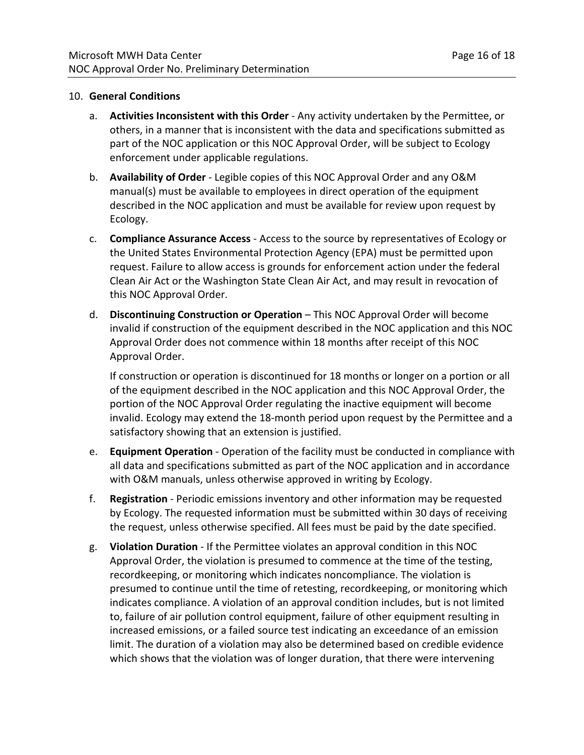#### 10. **General Conditions**

- a. **Activities Inconsistent with this Order** Any activity undertaken by the Permittee, or others, in a manner that is inconsistent with the data and specifications submitted as part of the NOC application or this NOC Approval Order, will be subject to Ecology enforcement under applicable regulations.
- b. **Availability of Order** Legible copies of this NOC Approval Order and any O&M manual(s) must be available to employees in direct operation of the equipment described in the NOC application and must be available for review upon request by Ecology.
- c. **Compliance Assurance Access** Access to the source by representatives of Ecology or the United States Environmental Protection Agency (EPA) must be permitted upon request. Failure to allow access is grounds for enforcement action under the federal Clean Air Act or the Washington State Clean Air Act, and may result in revocation of this NOC Approval Order.
- d. **Discontinuing Construction or Operation** This NOC Approval Order will become invalid if construction of the equipment described in the NOC application and this NOC Approval Order does not commence within 18 months after receipt of this NOC Approval Order.

If construction or operation is discontinued for 18 months or longer on a portion or all of the equipment described in the NOC application and this NOC Approval Order, the portion of the NOC Approval Order regulating the inactive equipment will become invalid. Ecology may extend the 18-month period upon request by the Permittee and a satisfactory showing that an extension is justified.

- e. **Equipment Operation** Operation of the facility must be conducted in compliance with all data and specifications submitted as part of the NOC application and in accordance with O&M manuals, unless otherwise approved in writing by Ecology.
- f. **Registration** Periodic emissions inventory and other information may be requested by Ecology. The requested information must be submitted within 30 days of receiving the request, unless otherwise specified. All fees must be paid by the date specified.
- g. **Violation Duration**  If the Permittee violates an approval condition in this NOC Approval Order, the violation is presumed to commence at the time of the testing, recordkeeping, or monitoring which indicates noncompliance. The violation is presumed to continue until the time of retesting, recordkeeping, or monitoring which indicates compliance. A violation of an approval condition includes, but is not limited to, failure of air pollution control equipment, failure of other equipment resulting in increased emissions, or a failed source test indicating an exceedance of an emission limit. The duration of a violation may also be determined based on credible evidence which shows that the violation was of longer duration, that there were intervening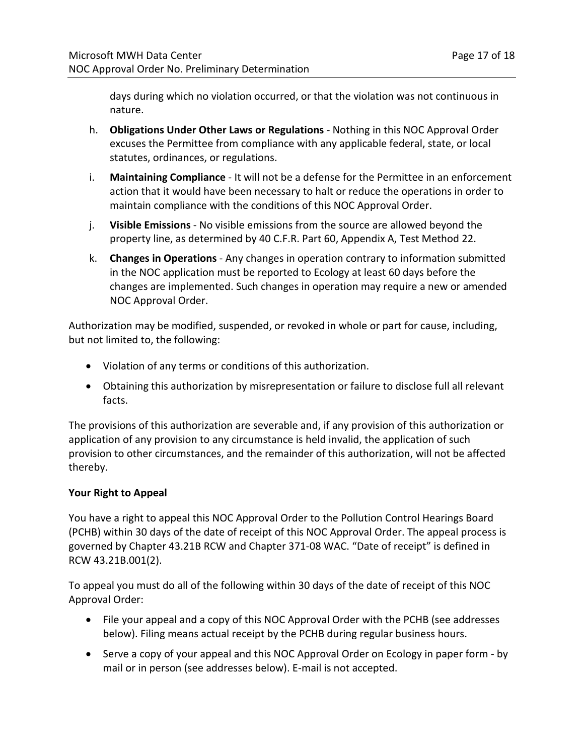days during which no violation occurred, or that the violation was not continuous in nature.

- h. **Obligations Under Other Laws or Regulations** Nothing in this NOC Approval Order excuses the Permittee from compliance with any applicable federal, state, or local statutes, ordinances, or regulations.
- i. **Maintaining Compliance** It will not be a defense for the Permittee in an enforcement action that it would have been necessary to halt or reduce the operations in order to maintain compliance with the conditions of this NOC Approval Order.
- j. **Visible Emissions** No visible emissions from the source are allowed beyond the property line, as determined by 40 C.F.R. Part 60, Appendix A, Test Method 22.
- k. **Changes in Operations** Any changes in operation contrary to information submitted in the NOC application must be reported to Ecology at least 60 days before the changes are implemented. Such changes in operation may require a new or amended NOC Approval Order.

Authorization may be modified, suspended, or revoked in whole or part for cause, including, but not limited to, the following:

- Violation of any terms or conditions of this authorization.
- Obtaining this authorization by misrepresentation or failure to disclose full all relevant facts.

The provisions of this authorization are severable and, if any provision of this authorization or application of any provision to any circumstance is held invalid, the application of such provision to other circumstances, and the remainder of this authorization, will not be affected thereby.

## **Your Right to Appeal**

You have a right to appeal this NOC Approval Order to the Pollution Control Hearings Board (PCHB) within 30 days of the date of receipt of this NOC Approval Order. The appeal process is governed by Chapter 43.21B RCW and Chapter 371-08 WAC. "Date of receipt" is defined in RCW 43.21B.001(2).

To appeal you must do all of the following within 30 days of the date of receipt of this NOC Approval Order:

- File your appeal and a copy of this NOC Approval Order with the PCHB (see addresses below). Filing means actual receipt by the PCHB during regular business hours.
- Serve a copy of your appeal and this NOC Approval Order on Ecology in paper form by mail or in person (see addresses below). E-mail is not accepted.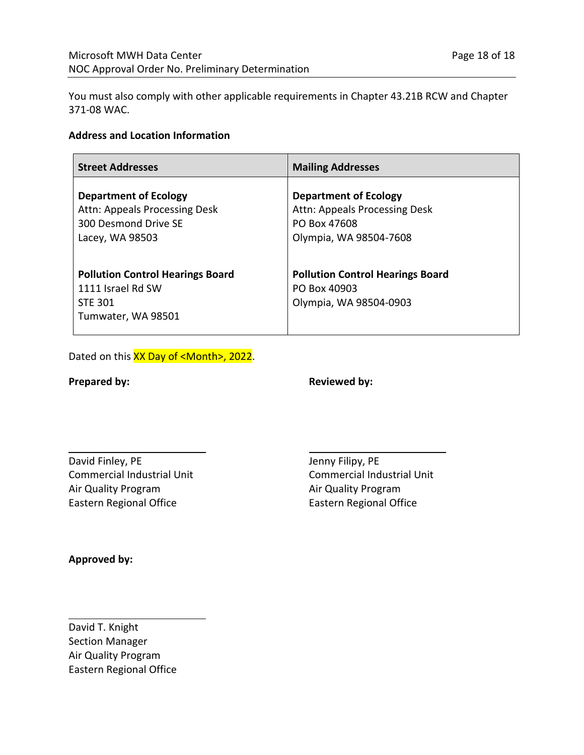You must also comply with other applicable requirements in Chapter 43.21B RCW and Chapter 371-08 WAC.

#### **Address and Location Information**

| <b>Street Addresses</b>                                                                                  | <b>Mailing Addresses</b>                                                                                |
|----------------------------------------------------------------------------------------------------------|---------------------------------------------------------------------------------------------------------|
| <b>Department of Ecology</b><br>Attn: Appeals Processing Desk<br>300 Desmond Drive SE<br>Lacey, WA 98503 | <b>Department of Ecology</b><br>Attn: Appeals Processing Desk<br>PO Box 47608<br>Olympia, WA 98504-7608 |
| <b>Pollution Control Hearings Board</b><br>1111 Israel Rd SW<br><b>STE 301</b><br>Tumwater, WA 98501     | <b>Pollution Control Hearings Board</b><br>PO Box 40903<br>Olympia, WA 98504-0903                       |

Dated on this XX Day of <Month>, 2022.

l

l

**Prepared by:** Reviewed by:

l

David Finley, PE Commercial Industrial Unit Air Quality Program Eastern Regional Office

Jenny Filipy, PE Commercial Industrial Unit Air Quality Program Eastern Regional Office

**Approved by:**

David T. Knight Section Manager Air Quality Program Eastern Regional Office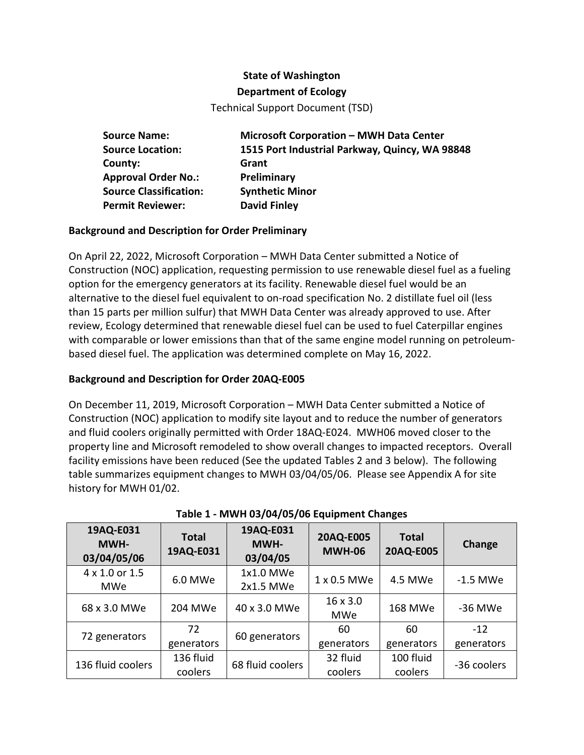## **State of Washington**

#### **Department of Ecology**

Technical Support Document (TSD)

**Source Name: Microsoft Corporation – MWH Data Center Source Location: 1515 Port Industrial Parkway, Quincy, WA 98848 County: Grant Approval Order No.: Preliminary Source Classification: Synthetic Minor Permit Reviewer: David Finley**

## **Background and Description for Order Preliminary**

On April 22, 2022, Microsoft Corporation – MWH Data Center submitted a Notice of Construction (NOC) application, requesting permission to use renewable diesel fuel as a fueling option for the emergency generators at its facility. Renewable diesel fuel would be an alternative to the diesel fuel equivalent to on-road specification No. 2 distillate fuel oil (less than 15 parts per million sulfur) that MWH Data Center was already approved to use. After review, Ecology determined that renewable diesel fuel can be used to fuel Caterpillar engines with comparable or lower emissions than that of the same engine model running on petroleumbased diesel fuel. The application was determined complete on May 16, 2022.

#### **Background and Description for Order 20AQ-E005**

On December 11, 2019, Microsoft Corporation – MWH Data Center submitted a Notice of Construction (NOC) application to modify site layout and to reduce the number of generators and fluid coolers originally permitted with Order 18AQ-E024. MWH06 moved closer to the property line and Microsoft remodeled to show overall changes to impacted receptors. Overall facility emissions have been reduced (See the updated Tables 2 and 3 below). The following table summarizes equipment changes to MWH 03/04/05/06. Please see Appendix A for site history for MWH 01/02.

| 19AQ-E031<br><b>MWH-</b><br>03/04/05/06 | <b>Total</b><br>19AQ-E031 | 19AQ-E031<br>MWH-<br>03/04/05 | 20AQ-E005<br><b>MWH-06</b> | <b>Total</b><br>20AQ-E005 | Change      |
|-----------------------------------------|---------------------------|-------------------------------|----------------------------|---------------------------|-------------|
| 4 x 1.0 or 1.5                          | 6.0 MWe                   | 1x1.0 MWe                     | 1 x 0.5 MWe                | 4.5 MWe                   | $-1.5$ MWe  |
| MWe                                     |                           | 2x1.5 MWe                     |                            |                           |             |
| 68 x 3.0 MWe                            | 204 MWe                   | 40 x 3.0 MWe                  | 16 x 3.0<br>MWe            | 168 MWe                   | -36 MWe     |
|                                         | 72                        |                               | 60                         | 60                        | $-12$       |
| 72 generators                           | generators                | 60 generators                 | generators                 | generators                | generators  |
| 136 fluid coolers                       | 136 fluid                 | 68 fluid coolers              | 32 fluid                   | 100 fluid                 | -36 coolers |
|                                         | coolers                   |                               | coolers                    | coolers                   |             |

|  |  |  |  | Table 1 - MWH 03/04/05/06 Equipment Changes |  |
|--|--|--|--|---------------------------------------------|--|
|--|--|--|--|---------------------------------------------|--|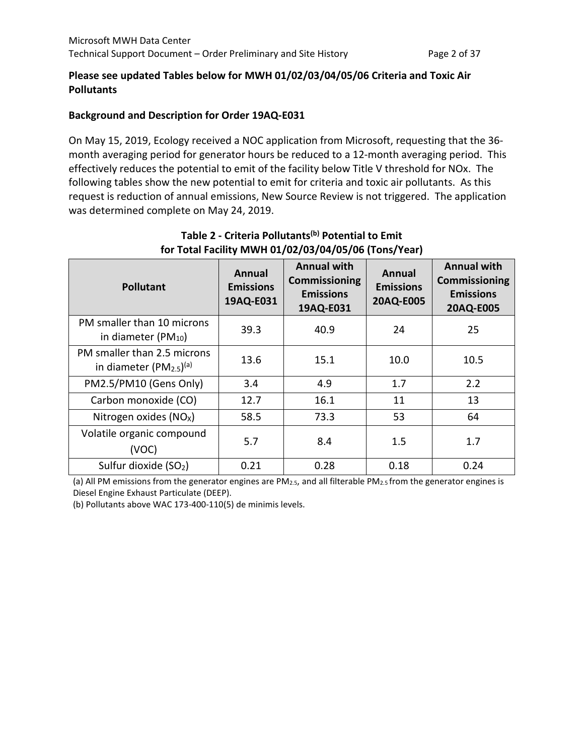## **Please see updated Tables below for MWH 01/02/03/04/05/06 Criteria and Toxic Air Pollutants**

## **Background and Description for Order 19AQ-E031**

On May 15, 2019, Ecology received a NOC application from Microsoft, requesting that the 36 month averaging period for generator hours be reduced to a 12-month averaging period. This effectively reduces the potential to emit of the facility below Title V threshold for NOx. The following tables show the new potential to emit for criteria and toxic air pollutants. As this request is reduction of annual emissions, New Source Review is not triggered. The application was determined complete on May 24, 2019.

| <b>Pollutant</b>                                              | Annual<br><b>Emissions</b><br>19AQ-E031 | <b>Annual with</b><br><b>Commissioning</b><br><b>Emissions</b><br>19AQ-E031 | Annual<br><b>Emissions</b><br>20AQ-E005 | <b>Annual with</b><br><b>Commissioning</b><br><b>Emissions</b><br>20AQ-E005 |
|---------------------------------------------------------------|-----------------------------------------|-----------------------------------------------------------------------------|-----------------------------------------|-----------------------------------------------------------------------------|
| PM smaller than 10 microns<br>in diameter ( $PM_{10}$ )       | 39.3                                    | 40.9                                                                        | 24                                      | 25                                                                          |
| PM smaller than 2.5 microns<br>in diameter $(PM_{2.5})^{(a)}$ | 13.6                                    | 15.1                                                                        | 10.0                                    | 10.5                                                                        |
| PM2.5/PM10 (Gens Only)                                        | 3.4                                     | 4.9                                                                         | 1.7                                     | 2.2                                                                         |
| Carbon monoxide (CO)                                          | 12.7                                    | 16.1                                                                        | 11                                      | 13                                                                          |
| Nitrogen oxides $(NOx)$                                       | 58.5                                    | 73.3                                                                        | 53                                      | 64                                                                          |
| Volatile organic compound<br>(VOC)                            | 5.7                                     | 8.4                                                                         | 1.5                                     | 1.7                                                                         |
| Sulfur dioxide (SO <sub>2</sub> )                             | 0.21                                    | 0.28                                                                        | 0.18                                    | 0.24                                                                        |

# **Table 2 - Criteria Pollutants(b) Potential to Emit for Total Facility MWH 01/02/03/04/05/06 (Tons/Year)**

(a) All PM emissions from the generator engines are PM2.5, and all filterable PM2.5 from the generator engines is Diesel Engine Exhaust Particulate (DEEP).

(b) Pollutants above WAC 173-400-110(5) de minimis levels.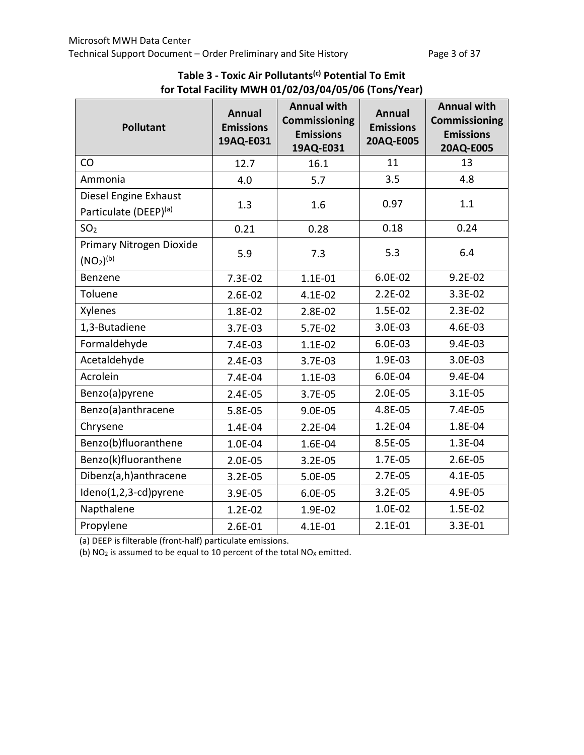| <b>Pollutant</b>                                              | <b>Annual</b><br><b>Emissions</b><br>19AQ-E031 | <b>Annual with</b><br><b>Commissioning</b><br><b>Emissions</b><br>19AQ-E031 | <b>Annual</b><br><b>Emissions</b><br>20AQ-E005 | <b>Annual with</b><br><b>Commissioning</b><br><b>Emissions</b><br>20AQ-E005 |
|---------------------------------------------------------------|------------------------------------------------|-----------------------------------------------------------------------------|------------------------------------------------|-----------------------------------------------------------------------------|
| CO                                                            | 12.7                                           | 16.1                                                                        | 11                                             | 13                                                                          |
| Ammonia                                                       | 4.0                                            | 5.7                                                                         | 3.5                                            | 4.8                                                                         |
| Diesel Engine Exhaust<br>Particulate (DEEP) <sup>(a)</sup>    | 1.3                                            | 1.6                                                                         | 0.97                                           | 1.1                                                                         |
| SO <sub>2</sub>                                               | 0.21                                           | 0.28                                                                        | 0.18                                           | 0.24                                                                        |
| Primary Nitrogen Dioxide<br>(NO <sub>2</sub> ) <sup>(b)</sup> | 5.9                                            | 7.3                                                                         | 5.3                                            | 6.4                                                                         |
| Benzene                                                       | $7.3E-02$                                      | $1.1E-01$                                                                   | 6.0E-02                                        | $9.2E - 02$                                                                 |
| Toluene                                                       | $2.6E-02$                                      | 4.1E-02                                                                     | $2.2E-02$                                      | 3.3E-02                                                                     |
| Xylenes                                                       | 1.8E-02                                        | 2.8E-02                                                                     | 1.5E-02                                        | $2.3E-02$                                                                   |
| 1,3-Butadiene                                                 | 3.7E-03                                        | 5.7E-02                                                                     | 3.0E-03                                        | 4.6E-03                                                                     |
| Formaldehyde                                                  | 7.4E-03                                        | $1.1E-02$                                                                   | 6.0E-03                                        | 9.4E-03                                                                     |
| Acetaldehyde                                                  | $2.4E-03$                                      | 3.7E-03                                                                     | 1.9E-03                                        | 3.0E-03                                                                     |
| Acrolein                                                      | 7.4E-04                                        | $1.1E-03$                                                                   | 6.0E-04                                        | 9.4E-04                                                                     |
| Benzo(a)pyrene                                                | $2.4E-05$                                      | 3.7E-05                                                                     | 2.0E-05                                        | $3.1E-05$                                                                   |
| Benzo(a)anthracene                                            | 5.8E-05                                        | 9.0E-05                                                                     | 4.8E-05                                        | 7.4E-05                                                                     |
| Chrysene                                                      | 1.4E-04                                        | $2.2E-04$                                                                   | 1.2E-04                                        | 1.8E-04                                                                     |
| Benzo(b)fluoranthene                                          | 1.0E-04                                        | 1.6E-04                                                                     | 8.5E-05                                        | 1.3E-04                                                                     |
| Benzo(k)fluoranthene                                          | 2.0E-05                                        | $3.2E-05$                                                                   | 1.7E-05                                        | 2.6E-05                                                                     |
| Dibenz(a,h)anthracene                                         | $3.2E-05$                                      | 5.0E-05                                                                     | 2.7E-05                                        | 4.1E-05                                                                     |
| Ideno(1,2,3-cd)pyrene                                         | 3.9E-05                                        | 6.0E-05                                                                     | $3.2E-05$                                      | 4.9E-05                                                                     |
| Napthalene                                                    | $1.2E-02$                                      | 1.9E-02                                                                     | 1.0E-02                                        | 1.5E-02                                                                     |
| Propylene                                                     | 2.6E-01                                        | 4.1E-01                                                                     | $2.1E-01$                                      | 3.3E-01                                                                     |

**Table 3 - Toxic Air Pollutants(c) Potential To Emit for Total Facility MWH 01/02/03/04/05/06 (Tons/Year)**

(a) DEEP is filterable (front-half) particulate emissions.

(b)  $NO<sub>2</sub>$  is assumed to be equal to 10 percent of the total  $NO<sub>X</sub>$  emitted.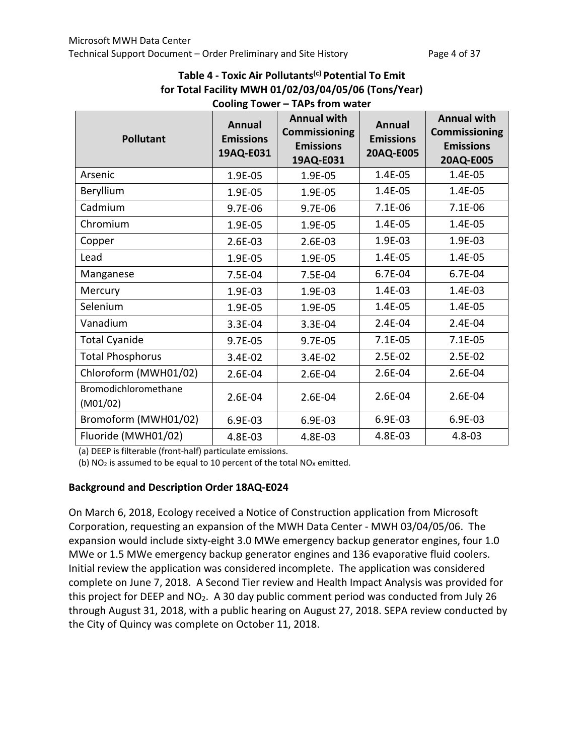| Cooling Tower - TAPs from water  |                                                |                                                                      |                                                |                                                                             |  |  |
|----------------------------------|------------------------------------------------|----------------------------------------------------------------------|------------------------------------------------|-----------------------------------------------------------------------------|--|--|
| <b>Pollutant</b>                 | <b>Annual</b><br><b>Emissions</b><br>19AQ-E031 | <b>Annual with</b><br>Commissioning<br><b>Emissions</b><br>19AQ-E031 | <b>Annual</b><br><b>Emissions</b><br>20AQ-E005 | <b>Annual with</b><br><b>Commissioning</b><br><b>Emissions</b><br>20AQ-E005 |  |  |
| Arsenic                          | 1.9E-05                                        | 1.9E-05                                                              | 1.4E-05                                        | 1.4E-05                                                                     |  |  |
| Beryllium                        | 1.9E-05                                        | 1.9E-05                                                              | 1.4E-05                                        | 1.4E-05                                                                     |  |  |
| Cadmium                          | $9.7E-06$                                      | 9.7E-06                                                              | 7.1E-06                                        | $7.1E-06$                                                                   |  |  |
| Chromium                         | 1.9E-05                                        | 1.9E-05                                                              | 1.4E-05                                        | 1.4E-05                                                                     |  |  |
| Copper                           | 2.6E-03                                        | 2.6E-03                                                              | 1.9E-03                                        | 1.9E-03                                                                     |  |  |
| Lead                             | 1.9E-05                                        | 1.9E-05                                                              | 1.4E-05                                        | 1.4E-05                                                                     |  |  |
| Manganese                        | 7.5E-04                                        | 7.5E-04                                                              | 6.7E-04                                        | 6.7E-04                                                                     |  |  |
| Mercury                          | 1.9E-03                                        | 1.9E-03                                                              | 1.4E-03                                        | 1.4E-03                                                                     |  |  |
| Selenium                         | 1.9E-05                                        | 1.9E-05                                                              | 1.4E-05                                        | 1.4E-05                                                                     |  |  |
| Vanadium                         | 3.3E-04                                        | 3.3E-04                                                              | 2.4E-04                                        | 2.4E-04                                                                     |  |  |
| <b>Total Cyanide</b>             | 9.7E-05                                        | 9.7E-05                                                              | $7.1E-05$                                      | $7.1E-05$                                                                   |  |  |
| <b>Total Phosphorus</b>          | 3.4E-02                                        | 3.4E-02                                                              | 2.5E-02                                        | 2.5E-02                                                                     |  |  |
| Chloroform (MWH01/02)            | 2.6E-04                                        | 2.6E-04                                                              | 2.6E-04                                        | 2.6E-04                                                                     |  |  |
| Bromodichloromethane<br>(M01/02) | 2.6E-04                                        | 2.6E-04                                                              | 2.6E-04                                        | 2.6E-04                                                                     |  |  |
| Bromoform (MWH01/02)             | 6.9E-03                                        | 6.9E-03                                                              | 6.9E-03                                        | 6.9E-03                                                                     |  |  |
| Fluoride (MWH01/02)              | 4.8E-03                                        | 4.8E-03                                                              | 4.8E-03                                        | $4.8 - 03$                                                                  |  |  |

# **Table 4 - Toxic Air Pollutants(c) Potential To Emit for Total Facility MWH 01/02/03/04/05/06 (Tons/Year)**

(a) DEEP is filterable (front-half) particulate emissions.

(b)  $NO<sub>2</sub>$  is assumed to be equal to 10 percent of the total  $NO<sub>X</sub>$  emitted.

#### **Background and Description Order 18AQ-E024**

On March 6, 2018, Ecology received a Notice of Construction application from Microsoft Corporation, requesting an expansion of the MWH Data Center - MWH 03/04/05/06. The expansion would include sixty-eight 3.0 MWe emergency backup generator engines, four 1.0 MWe or 1.5 MWe emergency backup generator engines and 136 evaporative fluid coolers. Initial review the application was considered incomplete. The application was considered complete on June 7, 2018. A Second Tier review and Health Impact Analysis was provided for this project for DEEP and NO<sub>2</sub>. A 30 day public comment period was conducted from July 26 through August 31, 2018, with a public hearing on August 27, 2018. SEPA review conducted by the City of Quincy was complete on October 11, 2018.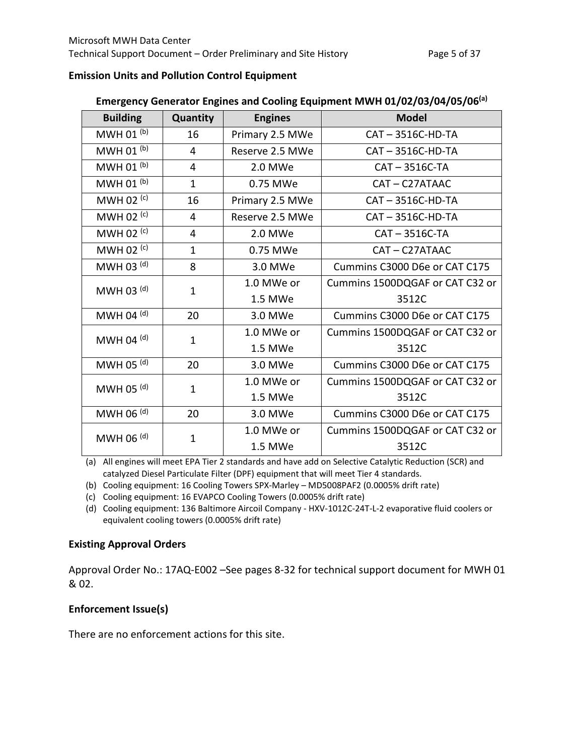#### **Emission Units and Pollution Control Equipment**

| <b>Building</b> | Quantity       | <b>Engines</b>  | <b>Model</b>                    |
|-----------------|----------------|-----------------|---------------------------------|
| MWH 01 $(b)$    | 16             | Primary 2.5 MWe | CAT-3516C-HD-TA                 |
| MWH 01 (b)      | 4              | Reserve 2.5 MWe | CAT-3516C-HD-TA                 |
| MWH 01 $(b)$    | $\overline{4}$ | 2.0 MWe         | CAT-3516C-TA                    |
| MWH 01 (b)      | $\mathbf{1}$   | 0.75 MWe        | CAT-C27ATAAC                    |
| MWH 02 $(c)$    | 16             | Primary 2.5 MWe | CAT-3516C-HD-TA                 |
| MWH 02 $(c)$    | 4              | Reserve 2.5 MWe | CAT-3516C-HD-TA                 |
| MWH 02 (c)      | 4              | 2.0 MWe         | CAT-3516C-TA                    |
| MWH 02 $(c)$    | $\mathbf{1}$   | 0.75 MWe        | CAT-C27ATAAC                    |
| MWH 03 (d)      | 8              | 3.0 MWe         | Cummins C3000 D6e or CAT C175   |
| MWH 03 (d)      | $\mathbf{1}$   | 1.0 MWe or      | Cummins 1500DQGAF or CAT C32 or |
|                 |                | 1.5 MWe         | 3512C                           |
| MWH 04 $(d)$    | 20             | 3.0 MWe         | Cummins C3000 D6e or CAT C175   |
| MWH 04 $(d)$    | $\mathbf{1}$   | 1.0 MWe or      | Cummins 1500DQGAF or CAT C32 or |
|                 |                | 1.5 MWe         | 3512C                           |
| MWH 05 (d)      | 20             | 3.0 MWe         | Cummins C3000 D6e or CAT C175   |
| MWH 05 (d)      | 1              | 1.0 MWe or      | Cummins 1500DQGAF or CAT C32 or |
|                 |                | 1.5 MWe         | 3512C                           |
| MWH 06 $(d)$    | 20             | 3.0 MWe         | Cummins C3000 D6e or CAT C175   |
| MWH 06 $(d)$    | $\mathbf{1}$   | 1.0 MWe or      | Cummins 1500DQGAF or CAT C32 or |
|                 |                | 1.5 MWe         | 3512C                           |

## **Emergency Generator Engines and Cooling Equipment MWH 01/02/03/04/05/06(a)**

(a) All engines will meet EPA Tier 2 standards and have add on Selective Catalytic Reduction (SCR) and catalyzed Diesel Particulate Filter (DPF) equipment that will meet Tier 4 standards.

(b) Cooling equipment: 16 Cooling Towers SPX-Marley – MD5008PAF2 (0.0005% drift rate)

(c) Cooling equipment: 16 EVAPCO Cooling Towers (0.0005% drift rate)

(d) Cooling equipment: 136 Baltimore Aircoil Company - HXV-1012C-24T-L-2 evaporative fluid coolers or equivalent cooling towers (0.0005% drift rate)

#### **Existing Approval Orders**

Approval Order No.: 17AQ-E002 –See pages 8-32 for technical support document for MWH 01 & 02.

## **Enforcement Issue(s)**

There are no enforcement actions for this site.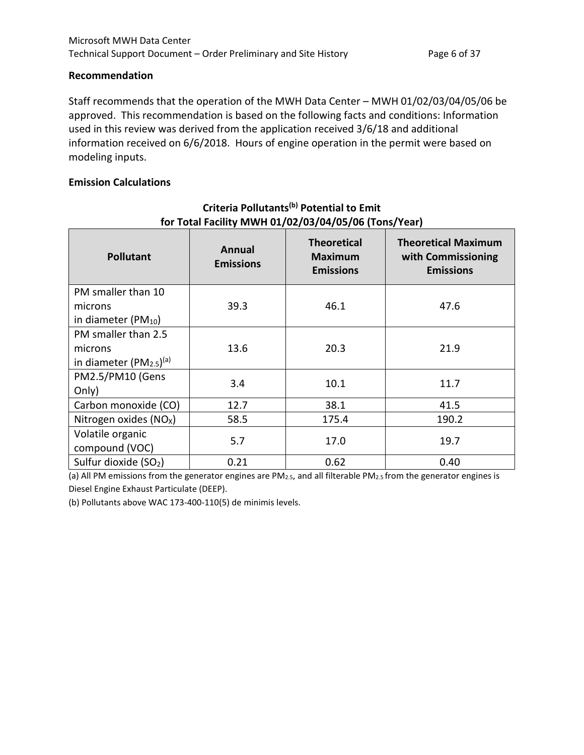#### **Recommendation**

Staff recommends that the operation of the MWH Data Center – MWH 01/02/03/04/05/06 be approved. This recommendation is based on the following facts and conditions: Information used in this review was derived from the application received 3/6/18 and additional information received on 6/6/2018. Hours of engine operation in the permit were based on modeling inputs.

#### **Emission Calculations**

| <b>Pollutant</b>                   | <b>Annual</b><br><b>Emissions</b> | <b>Theoretical</b><br><b>Maximum</b><br><b>Emissions</b> | <b>Theoretical Maximum</b><br>with Commissioning<br><b>Emissions</b> |  |  |
|------------------------------------|-----------------------------------|----------------------------------------------------------|----------------------------------------------------------------------|--|--|
| PM smaller than 10                 |                                   |                                                          |                                                                      |  |  |
| microns                            | 39.3                              | 46.1                                                     | 47.6                                                                 |  |  |
| in diameter ( $PM_{10}$ )          |                                   |                                                          |                                                                      |  |  |
| PM smaller than 2.5                |                                   |                                                          |                                                                      |  |  |
| microns                            | 13.6                              | 20.3                                                     | 21.9                                                                 |  |  |
| in diameter $(PM_{2.5})^{(a)}$     |                                   |                                                          |                                                                      |  |  |
| PM2.5/PM10 (Gens                   | 3.4                               | 10.1                                                     | 11.7                                                                 |  |  |
| Only)                              |                                   |                                                          |                                                                      |  |  |
| Carbon monoxide (CO)               | 12.7                              | 38.1                                                     | 41.5                                                                 |  |  |
| Nitrogen oxides (NO <sub>x</sub> ) | 58.5                              | 175.4                                                    | 190.2                                                                |  |  |
| Volatile organic<br>compound (VOC) | 5.7                               | 17.0                                                     | 19.7                                                                 |  |  |
| Sulfur dioxide (SO2)               | 0.21                              | 0.62                                                     | 0.40                                                                 |  |  |

# **Criteria Pollutants(b) Potential to Emit for Total Facility MWH 01/02/03/04/05/06 (Tons/Year)**

(a) All PM emissions from the generator engines are PM2.5, and all filterable PM2.5 from the generator engines is Diesel Engine Exhaust Particulate (DEEP).

(b) Pollutants above WAC 173-400-110(5) de minimis levels.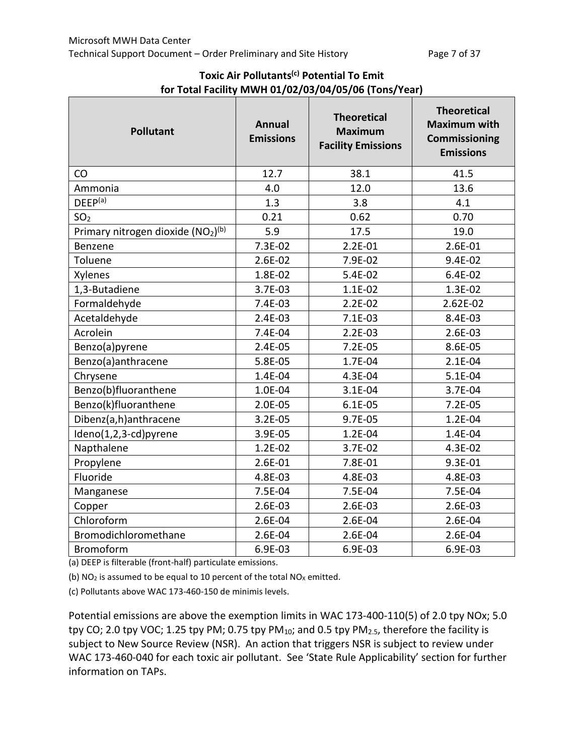| <b>Pollutant</b>                  | <b>Annual</b><br><b>Emissions</b> | <b>Theoretical</b><br><b>Maximum</b><br><b>Facility Emissions</b> | <b>Theoretical</b><br><b>Maximum with</b><br><b>Commissioning</b><br><b>Emissions</b> |
|-----------------------------------|-----------------------------------|-------------------------------------------------------------------|---------------------------------------------------------------------------------------|
| CO                                | 12.7                              | 38.1                                                              | 41.5                                                                                  |
| Ammonia                           | 4.0                               | 12.0                                                              | 13.6                                                                                  |
| DEEP <sup>(a)</sup>               | 1.3                               | 3.8                                                               | 4.1                                                                                   |
| SO <sub>2</sub>                   | 0.21                              | 0.62                                                              | 0.70                                                                                  |
| Primary nitrogen dioxide (NO2)(b) | 5.9                               | 17.5                                                              | 19.0                                                                                  |
| Benzene                           | 7.3E-02                           | $2.2E-01$                                                         | 2.6E-01                                                                               |
| Toluene                           | $2.6E-02$                         | 7.9E-02                                                           | 9.4E-02                                                                               |
| Xylenes                           | 1.8E-02                           | 5.4E-02                                                           | 6.4E-02                                                                               |
| 1,3-Butadiene                     | 3.7E-03                           | $1.1E-02$                                                         | 1.3E-02                                                                               |
| Formaldehyde                      | 7.4E-03                           | $2.2E-02$                                                         | 2.62E-02                                                                              |
| Acetaldehyde                      | 2.4E-03                           | $7.1E-03$                                                         | 8.4E-03                                                                               |
| Acrolein                          | 7.4E-04                           | $2.2E-03$                                                         | 2.6E-03                                                                               |
| Benzo(a)pyrene                    | 2.4E-05                           | $7.2E-05$                                                         | 8.6E-05                                                                               |
| Benzo(a)anthracene                | 5.8E-05                           | 1.7E-04                                                           | $2.1E-04$                                                                             |
| Chrysene                          | 1.4E-04                           | 4.3E-04                                                           | 5.1E-04                                                                               |
| Benzo(b)fluoranthene              | 1.0E-04                           | $3.1E-04$                                                         | 3.7E-04                                                                               |
| Benzo(k)fluoranthene              | 2.0E-05                           | $6.1E-05$                                                         | $7.2E-05$                                                                             |
| Dibenz(a,h)anthracene             | $3.2E - 05$                       | 9.7E-05                                                           | 1.2E-04                                                                               |
| Ideno(1,2,3-cd)pyrene             | 3.9E-05                           | $1.2E - 04$                                                       | 1.4E-04                                                                               |
| Napthalene                        | $1.2E-02$                         | $3.7E-02$                                                         | 4.3E-02                                                                               |
| Propylene                         | 2.6E-01                           | 7.8E-01                                                           | 9.3E-01                                                                               |
| Fluoride                          | 4.8E-03                           | 4.8E-03                                                           | 4.8E-03                                                                               |
| Manganese                         | 7.5E-04                           | 7.5E-04                                                           | 7.5E-04                                                                               |
| Copper                            | 2.6E-03                           | 2.6E-03                                                           | 2.6E-03                                                                               |
| Chloroform                        | 2.6E-04                           | 2.6E-04                                                           | 2.6E-04                                                                               |
| Bromodichloromethane              | 2.6E-04                           | 2.6E-04                                                           | 2.6E-04                                                                               |
| <b>Bromoform</b>                  | 6.9E-03                           | 6.9E-03                                                           | 6.9E-03                                                                               |

## **Toxic Air Pollutants(c) Potential To Emit for Total Facility MWH 01/02/03/04/05/06 (Tons/Year)**

(a) DEEP is filterable (front-half) particulate emissions.

(b)  $NO<sub>2</sub>$  is assumed to be equal to 10 percent of the total  $NO<sub>X</sub>$  emitted.

(c) Pollutants above WAC 173-460-150 de minimis levels.

Potential emissions are above the exemption limits in WAC 173-400-110(5) of 2.0 tpy NOx; 5.0 tpy CO; 2.0 tpy VOC; 1.25 tpy PM; 0.75 tpy PM<sub>10</sub>; and 0.5 tpy PM<sub>2.5</sub>, therefore the facility is subject to New Source Review (NSR). An action that triggers NSR is subject to review under WAC 173-460-040 for each toxic air pollutant. See 'State Rule Applicability' section for further information on TAPs.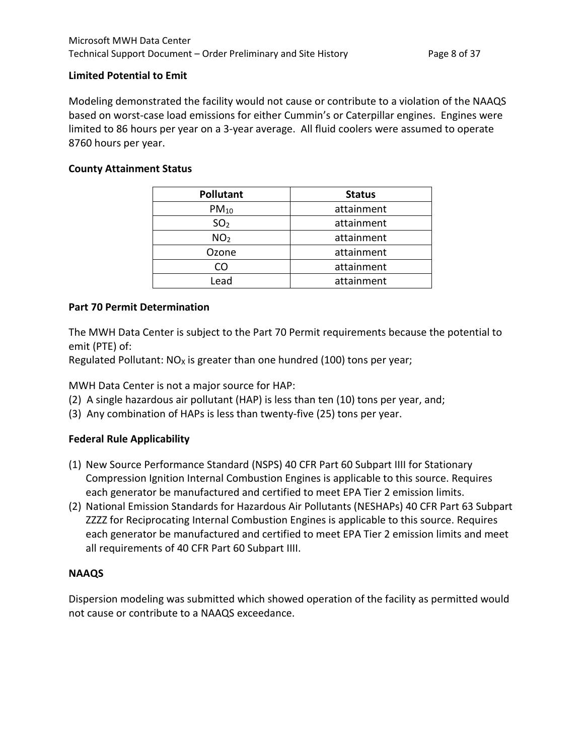#### **Limited Potential to Emit**

Modeling demonstrated the facility would not cause or contribute to a violation of the NAAQS based on worst-case load emissions for either Cummin's or Caterpillar engines. Engines were limited to 86 hours per year on a 3-year average. All fluid coolers were assumed to operate 8760 hours per year.

#### **County Attainment Status**

| <b>Pollutant</b> | <b>Status</b> |  |
|------------------|---------------|--|
| $PM_{10}$        | attainment    |  |
| SO <sub>2</sub>  | attainment    |  |
| NO <sub>2</sub>  | attainment    |  |
| Ozone            | attainment    |  |
| CO               | attainment    |  |
| Lead             | attainment    |  |

#### **Part 70 Permit Determination**

The MWH Data Center is subject to the Part 70 Permit requirements because the potential to emit (PTE) of:

Regulated Pollutant:  $NO<sub>x</sub>$  is greater than one hundred (100) tons per year;

MWH Data Center is not a major source for HAP:

- (2) A single hazardous air pollutant (HAP) is less than ten (10) tons per year, and;
- (3) Any combination of HAPs is less than twenty-five (25) tons per year.

#### **Federal Rule Applicability**

- (1) New Source Performance Standard (NSPS) 40 CFR Part 60 Subpart IIII for Stationary Compression Ignition Internal Combustion Engines is applicable to this source. Requires each generator be manufactured and certified to meet EPA Tier 2 emission limits.
- (2) National Emission Standards for Hazardous Air Pollutants (NESHAPs) 40 CFR Part 63 Subpart ZZZZ for Reciprocating Internal Combustion Engines is applicable to this source. Requires each generator be manufactured and certified to meet EPA Tier 2 emission limits and meet all requirements of 40 CFR Part 60 Subpart IIII.

#### **NAAQS**

Dispersion modeling was submitted which showed operation of the facility as permitted would not cause or contribute to a NAAQS exceedance.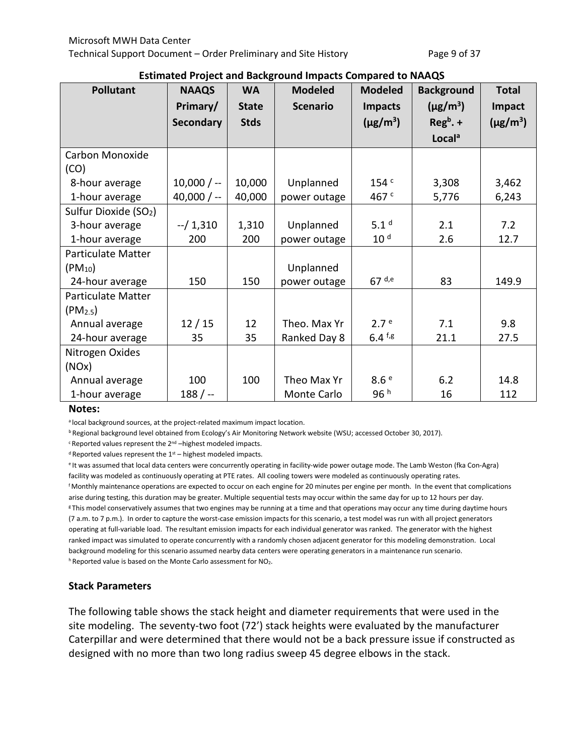|  |  | <b>Estimated Project and Background Impacts Compared to NAAQS</b> |
|--|--|-------------------------------------------------------------------|
|--|--|-------------------------------------------------------------------|

| <b>Pollutant</b>                  | <b>NAAQS</b>     | <b>WA</b>    | <b>Modeled</b>  | <b>Modeled</b>   | <b>Background</b>         | <b>Total</b>  |
|-----------------------------------|------------------|--------------|-----------------|------------------|---------------------------|---------------|
|                                   | Primary/         | <b>State</b> | <b>Scenario</b> | <b>Impacts</b>   | $(\mu$ g/m <sup>3</sup> ) | Impact        |
|                                   | <b>Secondary</b> | <b>Stds</b>  |                 | $(\mu g/m^3)$    | $Regb$ . +                | $(\mu g/m^3)$ |
|                                   |                  |              |                 |                  | Locala                    |               |
| Carbon Monoxide                   |                  |              |                 |                  |                           |               |
| (CO)                              |                  |              |                 |                  |                           |               |
| 8-hour average                    | $10,000/ -$      | 10,000       | Unplanned       | 154 <sup>c</sup> | 3,308                     | 3,462         |
| 1-hour average                    | 40,000 $/ -$     | 40,000       | power outage    | 467 <sup>c</sup> | 5,776                     | 6,243         |
| Sulfur Dioxide (SO <sub>2</sub> ) |                  |              |                 |                  |                           |               |
| 3-hour average                    | $-/1,310$        | 1,310        | Unplanned       | 5.1 <sup>d</sup> | 2.1                       | 7.2           |
| 1-hour average                    | 200              | 200          | power outage    | 10 <sup>d</sup>  | 2.6                       | 12.7          |
| <b>Particulate Matter</b>         |                  |              |                 |                  |                           |               |
| $(PM_{10})$                       |                  |              | Unplanned       |                  |                           |               |
| 24-hour average                   | 150              | 150          | power outage    | $67$ d,e         | 83                        | 149.9         |
| Particulate Matter                |                  |              |                 |                  |                           |               |
| (PM <sub>2.5</sub> )              |                  |              |                 |                  |                           |               |
| Annual average                    | 12/15            | 12           | Theo. Max Yr    | 2.7 <sup>e</sup> | 7.1                       | 9.8           |
| 24-hour average                   | 35               | 35           | Ranked Day 8    | $6.4$ f,g        | 21.1                      | 27.5          |
| Nitrogen Oxides                   |                  |              |                 |                  |                           |               |
| (NOx)                             |                  |              |                 |                  |                           |               |
| Annual average                    | 100              | 100          | Theo Max Yr     | 8.6e             | 6.2                       | 14.8          |
| 1-hour average                    | $188/$ --        |              | Monte Carlo     | 96 h             | 16                        | 112           |

#### **Notes:**

a local background sources, at the project-related maximum impact location.

b Regional background level obtained from Ecology's Air Monitoring Network website (WSU; accessed October 30, 2017).

c Reported values represent the 2nd –highest modeled impacts.

 $d$  Reported values represent the  $1<sup>st</sup>$  – highest modeled impacts.

e It was assumed that local data centers were concurrently operating in facility-wide power outage mode. The Lamb Weston (fka Con-Agra) facility was modeled as continuously operating at PTE rates. All cooling towers were modeled as continuously operating rates. f Monthly maintenance operations are expected to occur on each engine for 20 minutes per engine per month. In the event that complications arise during testing, this duration may be greater. Multiple sequential tests may occur within the same day for up to 12 hours per day. <sup>g</sup> This model conservatively assumes that two engines may be running at a time and that operations may occur any time during daytime hours (7 a.m. to 7 p.m.). In order to capture the worst-case emission impacts for this scenario, a test model was run with all project generators operating at full-variable load. The resultant emission impacts for each individual generator was ranked. The generator with the highest

ranked impact was simulated to operate concurrently with a randomly chosen adjacent generator for this modeling demonstration. Local background modeling for this scenario assumed nearby data centers were operating generators in a maintenance run scenario. h Reported value is based on the Monte Carlo assessment for NO<sub>2</sub>.

#### **Stack Parameters**

The following table shows the stack height and diameter requirements that were used in the site modeling. The seventy-two foot (72') stack heights were evaluated by the manufacturer Caterpillar and were determined that there would not be a back pressure issue if constructed as designed with no more than two long radius sweep 45 degree elbows in the stack.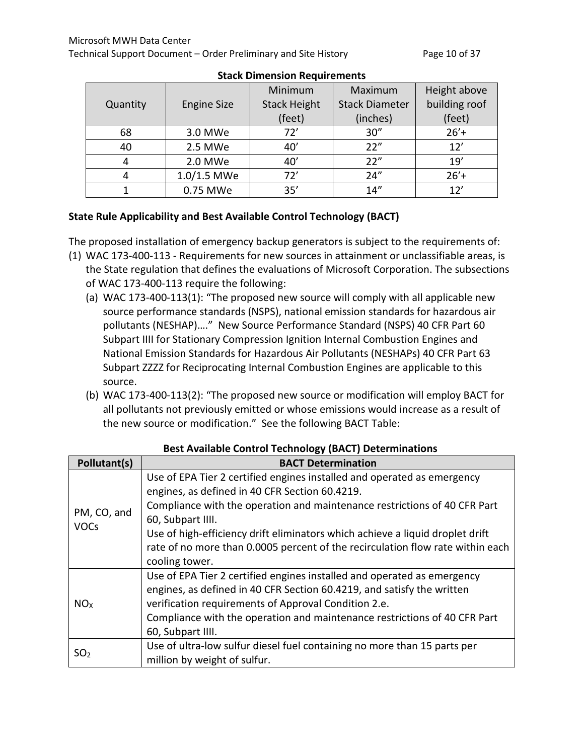|          |                    | Minimum             | Maximum               | Height above  |
|----------|--------------------|---------------------|-----------------------|---------------|
| Quantity | <b>Engine Size</b> | <b>Stack Height</b> | <b>Stack Diameter</b> | building roof |
|          |                    | (feet)              | (inches)              | (feet)        |
| 68       | 3.0 MWe            | 72'                 | 30''                  | $26'$ +       |
| 40       | 2.5 MWe            | 40'                 | 22"                   | 12'           |
|          | 2.0 MWe            | 40'                 | 22"                   | 19'           |
|          | 1.0/1.5 MWe        | 72'                 | 24''                  | $26'$ +       |
|          | 0.75 MWe           | 35'                 | 14''                  |               |

#### **Stack Dimension Requirements**

## **State Rule Applicability and Best Available Control Technology (BACT)**

The proposed installation of emergency backup generators is subject to the requirements of:

- (1) WAC 173-400-113 Requirements for new sources in attainment or unclassifiable areas, is the State regulation that defines the evaluations of Microsoft Corporation. The subsections of WAC 173-400-113 require the following:
	- (a) WAC 173-400-113(1): "The proposed new source will comply with all applicable new source performance standards (NSPS), national emission standards for hazardous air pollutants (NESHAP)…." New Source Performance Standard (NSPS) 40 CFR Part 60 Subpart IIII for Stationary Compression Ignition Internal Combustion Engines and National Emission Standards for Hazardous Air Pollutants (NESHAPs) 40 CFR Part 63 Subpart ZZZZ for Reciprocating Internal Combustion Engines are applicable to this source.
	- (b) WAC 173-400-113(2): "The proposed new source or modification will employ BACT for all pollutants not previously emitted or whose emissions would increase as a result of the new source or modification." See the following BACT Table:

| Pollutant(s)    | <b>BACT Determination</b>                                                      |
|-----------------|--------------------------------------------------------------------------------|
|                 | Use of EPA Tier 2 certified engines installed and operated as emergency        |
|                 | engines, as defined in 40 CFR Section 60.4219.                                 |
| PM, CO, and     | Compliance with the operation and maintenance restrictions of 40 CFR Part      |
| <b>VOCs</b>     | 60, Subpart IIII.                                                              |
|                 | Use of high-efficiency drift eliminators which achieve a liquid droplet drift  |
|                 | rate of no more than 0.0005 percent of the recirculation flow rate within each |
|                 | cooling tower.                                                                 |
|                 | Use of EPA Tier 2 certified engines installed and operated as emergency        |
|                 | engines, as defined in 40 CFR Section 60.4219, and satisfy the written         |
| NO <sub>X</sub> | verification requirements of Approval Condition 2.e.                           |
|                 | Compliance with the operation and maintenance restrictions of 40 CFR Part      |
|                 | 60, Subpart IIII.                                                              |
|                 | Use of ultra-low sulfur diesel fuel containing no more than 15 parts per       |
| SO <sub>2</sub> | million by weight of sulfur.                                                   |

## **Best Available Control Technology (BACT) Determinations**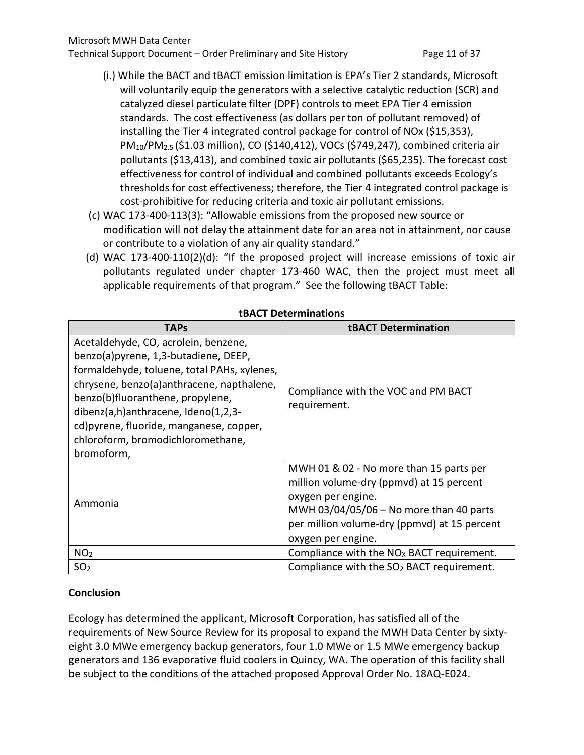- (i.) While the BACT and tBACT emission limitation is EPA's Tier 2 standards, Microsoft will voluntarily equip the generators with a selective catalytic reduction (SCR) and catalyzed diesel particulate filter (DPF) controls to meet EPA Tier 4 emission standards. The cost effectiveness (as dollars per ton of pollutant removed) of installing the Tier 4 integrated control package for control of NOx (\$15,353), PM10/PM2.5 (\$1.03 million), CO (\$140,412), VOCs (\$749,247), combined criteria air pollutants (\$13,413), and combined toxic air pollutants (\$65,235). The forecast cost effectiveness for control of individual and combined pollutants exceeds Ecology's thresholds for cost effectiveness; therefore, the Tier 4 integrated control package is cost-prohibitive for reducing criteria and toxic air pollutant emissions.
- (c) WAC 173-400-113(3): "Allowable emissions from the proposed new source or modification will not delay the attainment date for an area not in attainment, nor cause or contribute to a violation of any air quality standard."
- (d) WAC 173-400-110(2)(d): "If the proposed project will increase emissions of toxic air pollutants regulated under chapter 173-460 WAC, then the project must meet all applicable requirements of that program." See the following tBACT Table:

| <b>TAPs</b>                                                                                                                                                                                                                                                                                                                          | <b>tBACT Determination</b>                                                                                                                                                                                                 |
|--------------------------------------------------------------------------------------------------------------------------------------------------------------------------------------------------------------------------------------------------------------------------------------------------------------------------------------|----------------------------------------------------------------------------------------------------------------------------------------------------------------------------------------------------------------------------|
| Acetaldehyde, CO, acrolein, benzene,<br>benzo(a)pyrene, 1,3-butadiene, DEEP,<br>formaldehyde, toluene, total PAHs, xylenes,<br>chrysene, benzo(a)anthracene, napthalene,<br>benzo(b)fluoranthene, propylene,<br>dibenz(a,h)anthracene, Ideno(1,2,3-<br>cd) pyrene, fluoride, manganese, copper,<br>chloroform, bromodichloromethane, | Compliance with the VOC and PM BACT<br>requirement.                                                                                                                                                                        |
| bromoform,                                                                                                                                                                                                                                                                                                                           |                                                                                                                                                                                                                            |
| Ammonia                                                                                                                                                                                                                                                                                                                              | MWH 01 & 02 - No more than 15 parts per<br>million volume-dry (ppmvd) at 15 percent<br>oxygen per engine.<br>MWH 03/04/05/06 - No more than 40 parts<br>per million volume-dry (ppmvd) at 15 percent<br>oxygen per engine. |
| NO <sub>2</sub>                                                                                                                                                                                                                                                                                                                      | Compliance with the $NOx$ BACT requirement.                                                                                                                                                                                |
| SO <sub>2</sub>                                                                                                                                                                                                                                                                                                                      | Compliance with the $SO2$ BACT requirement.                                                                                                                                                                                |

**tBACT Determinations**

## **Conclusion**

Ecology has determined the applicant, Microsoft Corporation, has satisfied all of the requirements of New Source Review for its proposal to expand the MWH Data Center by sixtyeight 3.0 MWe emergency backup generators, four 1.0 MWe or 1.5 MWe emergency backup generators and 136 evaporative fluid coolers in Quincy, WA. The operation of this facility shall be subject to the conditions of the attached proposed Approval Order No. 18AQ-E024.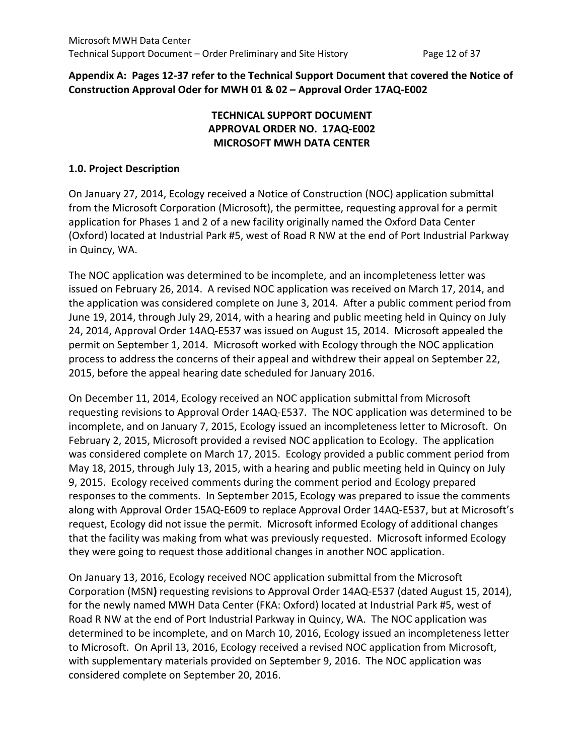#### **Appendix A: Pages 12-37 refer to the Technical Support Document that covered the Notice of Construction Approval Oder for MWH 01 & 02 – Approval Order 17AQ-E002**

## **TECHNICAL SUPPORT DOCUMENT APPROVAL ORDER NO. 17AQ-E002 MICROSOFT MWH DATA CENTER**

#### **1.0. Project Description**

On January 27, 2014, Ecology received a Notice of Construction (NOC) application submittal from the Microsoft Corporation (Microsoft), the permittee, requesting approval for a permit application for Phases 1 and 2 of a new facility originally named the Oxford Data Center (Oxford) located at Industrial Park #5, west of Road R NW at the end of Port Industrial Parkway in Quincy, WA.

The NOC application was determined to be incomplete, and an incompleteness letter was issued on February 26, 2014. A revised NOC application was received on March 17, 2014, and the application was considered complete on June 3, 2014. After a public comment period from June 19, 2014, through July 29, 2014, with a hearing and public meeting held in Quincy on July 24, 2014, Approval Order 14AQ-E537 was issued on August 15, 2014. Microsoft appealed the permit on September 1, 2014. Microsoft worked with Ecology through the NOC application process to address the concerns of their appeal and withdrew their appeal on September 22, 2015, before the appeal hearing date scheduled for January 2016.

On December 11, 2014, Ecology received an NOC application submittal from Microsoft requesting revisions to Approval Order 14AQ-E537. The NOC application was determined to be incomplete, and on January 7, 2015, Ecology issued an incompleteness letter to Microsoft. On February 2, 2015, Microsoft provided a revised NOC application to Ecology. The application was considered complete on March 17, 2015. Ecology provided a public comment period from May 18, 2015, through July 13, 2015, with a hearing and public meeting held in Quincy on July 9, 2015. Ecology received comments during the comment period and Ecology prepared responses to the comments. In September 2015, Ecology was prepared to issue the comments along with Approval Order 15AQ-E609 to replace Approval Order 14AQ-E537, but at Microsoft's request, Ecology did not issue the permit. Microsoft informed Ecology of additional changes that the facility was making from what was previously requested. Microsoft informed Ecology they were going to request those additional changes in another NOC application.

On January 13, 2016, Ecology received NOC application submittal from the Microsoft Corporation (MSN**)** requesting revisions to Approval Order 14AQ-E537 (dated August 15, 2014), for the newly named MWH Data Center (FKA: Oxford) located at Industrial Park #5, west of Road R NW at the end of Port Industrial Parkway in Quincy, WA. The NOC application was determined to be incomplete, and on March 10, 2016, Ecology issued an incompleteness letter to Microsoft. On April 13, 2016, Ecology received a revised NOC application from Microsoft, with supplementary materials provided on September 9, 2016. The NOC application was considered complete on September 20, 2016.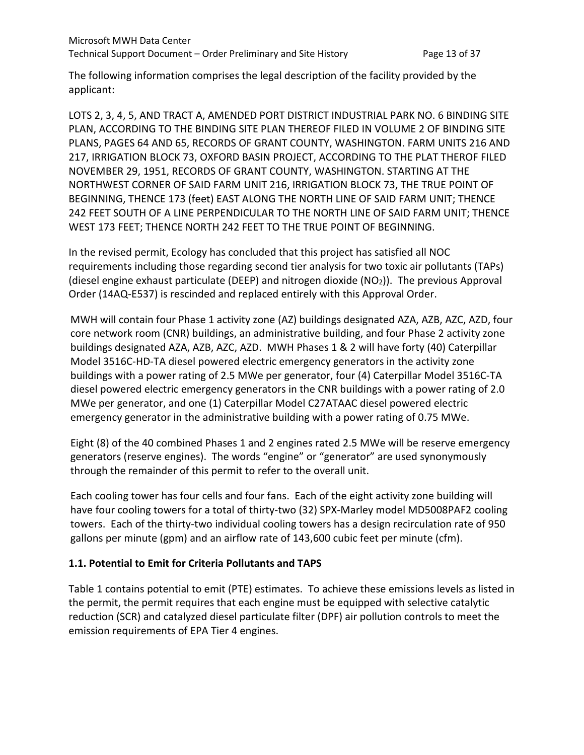The following information comprises the legal description of the facility provided by the applicant:

LOTS 2, 3, 4, 5, AND TRACT A, AMENDED PORT DISTRICT INDUSTRIAL PARK NO. 6 BINDING SITE PLAN, ACCORDING TO THE BINDING SITE PLAN THEREOF FILED IN VOLUME 2 OF BINDING SITE PLANS, PAGES 64 AND 65, RECORDS OF GRANT COUNTY, WASHINGTON. FARM UNITS 216 AND 217, IRRIGATION BLOCK 73, OXFORD BASIN PROJECT, ACCORDING TO THE PLAT THEROF FILED NOVEMBER 29, 1951, RECORDS OF GRANT COUNTY, WASHINGTON. STARTING AT THE NORTHWEST CORNER OF SAID FARM UNIT 216, IRRIGATION BLOCK 73, THE TRUE POINT OF BEGINNING, THENCE 173 (feet) EAST ALONG THE NORTH LINE OF SAID FARM UNIT; THENCE 242 FEET SOUTH OF A LINE PERPENDICULAR TO THE NORTH LINE OF SAID FARM UNIT; THENCE WEST 173 FEET; THENCE NORTH 242 FEET TO THE TRUE POINT OF BEGINNING.

In the revised permit, Ecology has concluded that this project has satisfied all NOC requirements including those regarding second tier analysis for two toxic air pollutants (TAPs) (diesel engine exhaust particulate (DEEP) and nitrogen dioxide  $(NO<sub>2</sub>)$ ). The previous Approval Order (14AQ-E537) is rescinded and replaced entirely with this Approval Order.

MWH will contain four Phase 1 activity zone (AZ) buildings designated AZA, AZB, AZC, AZD, four core network room (CNR) buildings, an administrative building, and four Phase 2 activity zone buildings designated AZA, AZB, AZC, AZD. MWH Phases 1 & 2 will have forty (40) Caterpillar Model 3516C-HD-TA diesel powered electric emergency generators in the activity zone buildings with a power rating of 2.5 MWe per generator, four (4) Caterpillar Model 3516C-TA diesel powered electric emergency generators in the CNR buildings with a power rating of 2.0 MWe per generator, and one (1) Caterpillar Model C27ATAAC diesel powered electric emergency generator in the administrative building with a power rating of 0.75 MWe.

Eight (8) of the 40 combined Phases 1 and 2 engines rated 2.5 MWe will be reserve emergency generators (reserve engines). The words "engine" or "generator" are used synonymously through the remainder of this permit to refer to the overall unit.

Each cooling tower has four cells and four fans. Each of the eight activity zone building will have four cooling towers for a total of thirty-two (32) SPX-Marley model MD5008PAF2 cooling towers. Each of the thirty-two individual cooling towers has a design recirculation rate of 950 gallons per minute (gpm) and an airflow rate of 143,600 cubic feet per minute (cfm).

## **1.1. Potential to Emit for Criteria Pollutants and TAPS**

Table 1 contains potential to emit (PTE) estimates. To achieve these emissions levels as listed in the permit, the permit requires that each engine must be equipped with selective catalytic reduction (SCR) and catalyzed diesel particulate filter (DPF) air pollution controls to meet the emission requirements of EPA Tier 4 engines.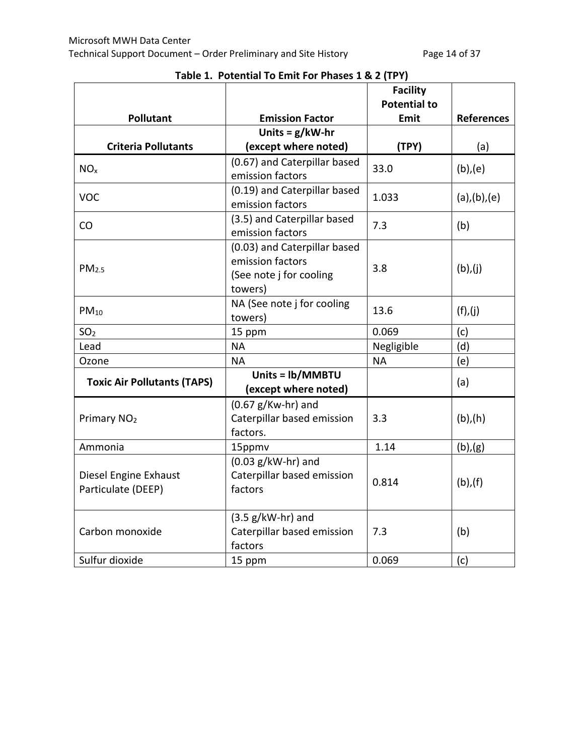|                                    |                                                  | <b>Facility</b>             |                   |
|------------------------------------|--------------------------------------------------|-----------------------------|-------------------|
| <b>Pollutant</b>                   | <b>Emission Factor</b>                           | <b>Potential to</b><br>Emit | <b>References</b> |
|                                    | Units = $g/kW-hr$                                |                             |                   |
| <b>Criteria Pollutants</b>         | (except where noted)                             | (TPY)                       |                   |
|                                    |                                                  |                             | (a)               |
| NO <sub>x</sub>                    | (0.67) and Caterpillar based<br>emission factors | 33.0                        | $(b)$ , $(e)$     |
|                                    | (0.19) and Caterpillar based                     |                             |                   |
| <b>VOC</b>                         | emission factors                                 | 1.033                       | (a), (b), (e)     |
| CO                                 | (3.5) and Caterpillar based                      | 7.3                         | (b)               |
|                                    | emission factors                                 |                             |                   |
|                                    | (0.03) and Caterpillar based                     |                             |                   |
| PM <sub>2.5</sub>                  | emission factors                                 | 3.8                         | (b), (j)          |
|                                    | (See note j for cooling                          |                             |                   |
|                                    | towers)                                          |                             |                   |
| $PM_{10}$                          | NA (See note j for cooling                       | 13.6                        | (f), (j)          |
|                                    | towers)                                          |                             |                   |
| SO <sub>2</sub>                    | 15 ppm                                           | 0.069                       | (c)               |
| Lead                               | <b>NA</b>                                        | Negligible                  | (d)               |
| Ozone                              | <b>NA</b>                                        | <b>NA</b>                   | (e)               |
| <b>Toxic Air Pollutants (TAPS)</b> | Units = lb/MMBTU<br>(except where noted)         |                             | (a)               |
|                                    | $(0.67 g/Kw-hr)$ and                             |                             |                   |
| Primary NO <sub>2</sub>            | Caterpillar based emission                       | 3.3                         | $(b)$ , $(h)$     |
|                                    | factors.                                         |                             |                   |
| Ammonia                            | 15ppmv                                           | 1.14                        | (b), (g)          |
|                                    | $(0.03 g/kW-hr)$ and                             |                             |                   |
| Diesel Engine Exhaust              | Caterpillar based emission                       | 0.814                       | $(b)$ , $(f)$     |
| Particulate (DEEP)                 | factors                                          |                             |                   |
|                                    |                                                  |                             |                   |
|                                    | $(3.5 g/kW-hr)$ and                              |                             |                   |
| Carbon monoxide                    | Caterpillar based emission                       | 7.3                         | (b)               |
|                                    | factors                                          |                             |                   |
| Sulfur dioxide                     | 15 ppm                                           | 0.069                       | (c)               |

# **Table 1. Potential To Emit For Phases 1 & 2 (TPY)**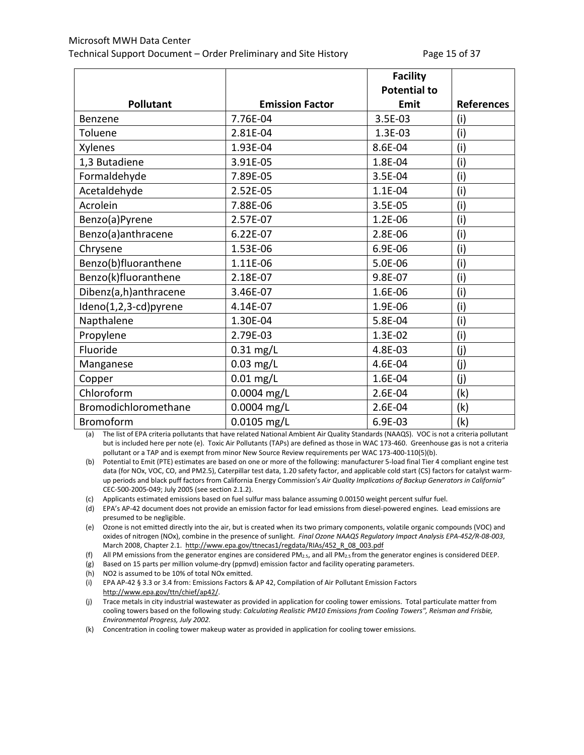|                       |                        | <b>Facility</b>     |                   |
|-----------------------|------------------------|---------------------|-------------------|
|                       |                        | <b>Potential to</b> |                   |
| <b>Pollutant</b>      | <b>Emission Factor</b> | Emit                | <b>References</b> |
| Benzene               | 7.76E-04               | 3.5E-03             | (i)               |
| Toluene               | 2.81E-04               | 1.3E-03             | (i)               |
| Xylenes               | 1.93E-04               | 8.6E-04             | (i)               |
| 1,3 Butadiene         | 3.91E-05               | 1.8E-04             | (i)               |
| Formaldehyde          | 7.89E-05               | 3.5E-04             | (i)               |
| Acetaldehyde          | 2.52E-05               | 1.1E-04             | (i)               |
| Acrolein              | 7.88E-06               | 3.5E-05             | (i)               |
| Benzo(a)Pyrene        | 2.57E-07               | 1.2E-06             | (i)               |
| Benzo(a)anthracene    | 6.22E-07               | 2.8E-06             | (i)               |
| Chrysene              | 1.53E-06               | 6.9E-06             | (i)               |
| Benzo(b)fluoranthene  | 1.11E-06               | 5.0E-06             | (i)               |
| Benzo(k)fluoranthene  | 2.18E-07               | 9.8E-07             | (i)               |
| Dibenz(a,h)anthracene | 3.46E-07               | 1.6E-06             | (i)               |
| Ideno(1,2,3-cd)pyrene | 4.14E-07               | 1.9E-06             | (i)               |
| Napthalene            | 1.30E-04               | 5.8E-04             | (i)               |
| Propylene             | 2.79E-03               | 1.3E-02             | (i)               |
| Fluoride              | $0.31$ mg/L            | 4.8E-03             | (j)               |
| Manganese             | $0.03$ mg/L            | 4.6E-04             | (j)               |
| Copper                | $0.01$ mg/L            | 1.6E-04             | (j)               |
| Chloroform            | 0.0004 mg/L            | 2.6E-04             | (k)               |
| Bromodichloromethane  | 0.0004 mg/L            | 2.6E-04             | (k)               |
| <b>Bromoform</b>      | $0.0105$ mg/L          | 6.9E-03             | (k)               |

(a) The list of EPA criteria pollutants that have related National Ambient Air Quality Standards (NAAQS). VOC is not a criteria pollutant but is included here per note (e). Toxic Air Pollutants (TAPs) are defined as those in WAC 173-460. Greenhouse gas is not a criteria pollutant or a TAP and is exempt from minor New Source Review requirements per WAC 173-400-110(5)(b).

(b) Potential to Emit (PTE) estimates are based on one or more of the following: manufacturer 5-load final Tier 4 compliant engine test data (for NOx, VOC, CO, and PM2.5), Caterpillar test data, 1.20 safety factor, and applicable cold start (CS) factors for catalyst warmup periods and black puff factors from California Energy Commission's *Air Quality Implications of Backup Generators in California"* CEC-500-2005-049; July 2005 (see section 2.1.2).

(c) Applicants estimated emissions based on fuel sulfur mass balance assuming 0.00150 weight percent sulfur fuel.

(d) EPA's AP-42 document does not provide an emission factor for lead emissions from diesel-powered engines. Lead emissions are presumed to be negligible.

(e) Ozone is not emitted directly into the air, but is created when its two primary components, volatile organic compounds (VOC) and oxides of nitrogen (NOx), combine in the presence of sunlight. *Final Ozone NAAQS Regulatory Impact Analysis EPA-452/R-08-003*, March 2008, Chapter 2.1. [http://www.epa.gov/ttnecas1/regdata/RIAs/452\\_R\\_08\\_003.pdf](http://www.epa.gov/ttnecas1/regdata/RIAs/452_R_08_003.pdf)

(f) All PM emissions from the generator engines are considered PM<sub>2.5</sub>, and all PM<sub>2.5</sub> from the generator engines is considered DEEP.

- (g) Based on 15 parts per million volume-dry (ppmvd) emission factor and facility operating parameters.
- (h) NO2 is assumed to be 10% of total NOx emitted.
- (i) EPA AP-42 § 3.3 or 3.4 from: Emissions Factors & AP 42, Compilation of Air Pollutant Emission Factors [http://www.epa.gov/ttn/chief/ap42/.](http://www.epa.gov/ttn/chief/ap42/)

(j) Trace metals in city industrial wastewater as provided in application for cooling tower emissions. Total particulate matter from cooling towers based on the following study: *Calculating Realistic PM10 Emissions from Cooling Towers", Reisman and Frisbie, Environmental Progress, July 2002.*

(k) Concentration in cooling tower makeup water as provided in application for cooling tower emissions.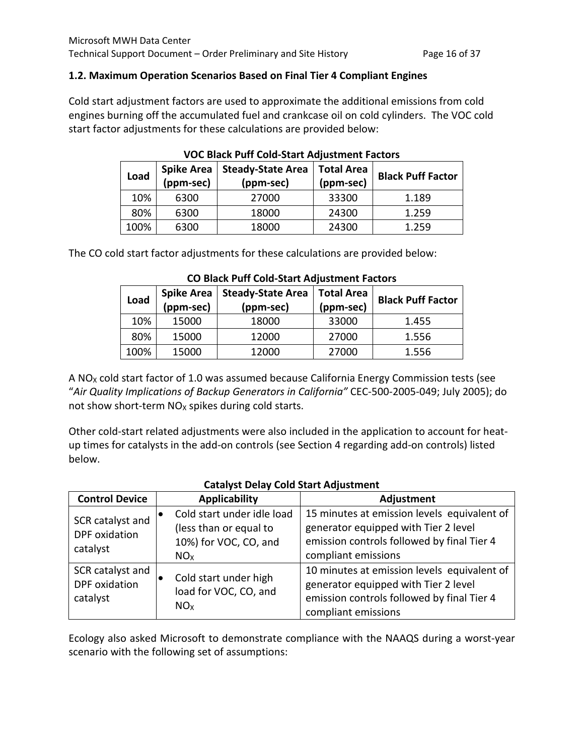#### **1.2. Maximum Operation Scenarios Based on Final Tier 4 Compliant Engines**

Cold start adjustment factors are used to approximate the additional emissions from cold engines burning off the accumulated fuel and crankcase oil on cold cylinders. The VOC cold start factor adjustments for these calculations are provided below:

| Load | <b>Spike Area</b><br>(ppm-sec) | <b>Steady-State Area</b><br>(ppm-sec) | <b>Total Area</b><br>(ppm-sec) | <b>Black Puff Factor</b> |  |  |
|------|--------------------------------|---------------------------------------|--------------------------------|--------------------------|--|--|
| 10%  | 6300                           | 27000                                 | 33300                          | 1.189                    |  |  |
| 80%  | 6300                           | 18000                                 | 24300                          | 1.259                    |  |  |
| 100% | 6300                           | 18000                                 | 24300                          | 1.259                    |  |  |

**VOC Black Puff Cold-Start Adjustment Factors**

The CO cold start factor adjustments for these calculations are provided below:

| Load | <b>Spike Area</b><br>(ppm-sec) | <b>Steady-State Area</b><br>(ppm-sec) | <b>Total Area</b><br>(ppm-sec) | <b>Black Puff Factor</b> |  |
|------|--------------------------------|---------------------------------------|--------------------------------|--------------------------|--|
| 10%  | 15000                          | 18000                                 | 33000                          | 1.455                    |  |
| 80%  | 15000                          | 12000                                 | 27000                          | 1.556                    |  |
| 100% | 15000                          | 12000                                 | 27000                          | 1.556                    |  |

#### **CO Black Puff Cold-Start Adjustment Factors**

A NO<sub>x</sub> cold start factor of 1.0 was assumed because California Energy Commission tests (see "*Air Quality Implications of Backup Generators in California"* CEC-500-2005-049; July 2005); do not show short-term  $NO<sub>X</sub>$  spikes during cold starts.

Other cold-start related adjustments were also included in the application to account for heatup times for catalysts in the add-on controls (see Section 4 regarding add-on controls) listed below.

|                                               | <u>catalyot belay cola otal thalaothicht</u>                                                     |                                                                                                                                                          |
|-----------------------------------------------|--------------------------------------------------------------------------------------------------|----------------------------------------------------------------------------------------------------------------------------------------------------------|
| <b>Control Device</b>                         | <b>Applicability</b>                                                                             | Adjustment                                                                                                                                               |
| SCR catalyst and<br>DPF oxidation<br>catalyst | Cold start under idle load<br>(less than or equal to<br>10%) for VOC, CO, and<br>NO <sub>x</sub> | 15 minutes at emission levels equivalent of<br>generator equipped with Tier 2 level<br>emission controls followed by final Tier 4<br>compliant emissions |
| SCR catalyst and<br>DPF oxidation<br>catalyst | Cold start under high<br>load for VOC, CO, and<br>NO <sub>x</sub>                                | 10 minutes at emission levels equivalent of<br>generator equipped with Tier 2 level<br>emission controls followed by final Tier 4<br>compliant emissions |

#### **Catalyst Delay Cold Start Adjustment**

Ecology also asked Microsoft to demonstrate compliance with the NAAQS during a worst-year scenario with the following set of assumptions: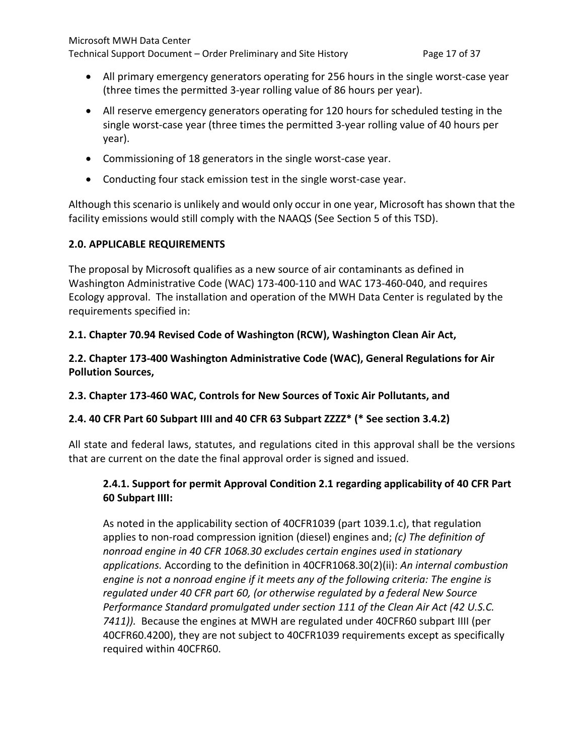- All primary emergency generators operating for 256 hours in the single worst-case year (three times the permitted 3-year rolling value of 86 hours per year).
- All reserve emergency generators operating for 120 hours for scheduled testing in the single worst-case year (three times the permitted 3-year rolling value of 40 hours per year).
- Commissioning of 18 generators in the single worst-case year.
- Conducting four stack emission test in the single worst-case year.

Although this scenario is unlikely and would only occur in one year, Microsoft has shown that the facility emissions would still comply with the NAAQS (See Section 5 of this TSD).

#### **2.0. APPLICABLE REQUIREMENTS**

The proposal by Microsoft qualifies as a new source of air contaminants as defined in Washington Administrative Code (WAC) 173-400-110 and WAC 173-460-040, and requires Ecology approval. The installation and operation of the MWH Data Center is regulated by the requirements specified in:

## **2.1. Chapter 70.94 Revised Code of Washington (RCW), Washington Clean Air Act,**

**2.2. Chapter 173-400 Washington Administrative Code (WAC), General Regulations for Air Pollution Sources,**

## **2.3. Chapter 173-460 WAC, Controls for New Sources of Toxic Air Pollutants, and**

## **2.4. 40 CFR Part 60 Subpart IIII and 40 CFR 63 Subpart ZZZZ\* (\* See section 3.4.2)**

All state and federal laws, statutes, and regulations cited in this approval shall be the versions that are current on the date the final approval order is signed and issued.

## **2.4.1. Support for permit Approval Condition 2.1 regarding applicability of 40 CFR Part 60 Subpart IIII:**

As noted in the applicability section of 40CFR1039 (part 1039.1.c), that regulation applies to non-road compression ignition (diesel) engines and; *(c) The definition of nonroad engine in 40 CFR 1068.30 excludes certain engines used in stationary applications.* According to the definition in 40CFR1068.30(2)(ii): *An internal combustion engine is not a nonroad engine if it meets any of the following criteria: The engine is regulated under 40 CFR part 60, (or otherwise regulated by a federal New Source Performance Standard promulgated under section 111 of the Clean Air Act (42 U.S.C. 7411)).* Because the engines at MWH are regulated under 40CFR60 subpart IIII (per 40CFR60.4200), they are not subject to 40CFR1039 requirements except as specifically required within 40CFR60.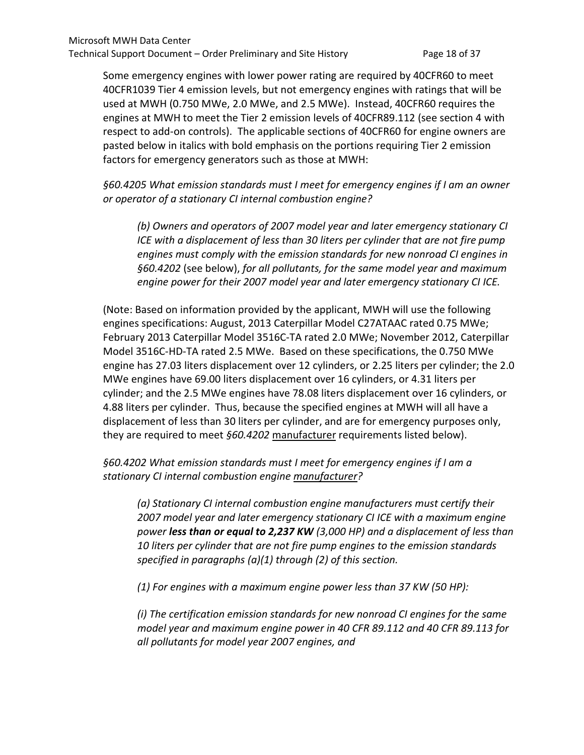Some emergency engines with lower power rating are required by 40CFR60 to meet 40CFR1039 Tier 4 emission levels, but not emergency engines with ratings that will be used at MWH (0.750 MWe, 2.0 MWe, and 2.5 MWe). Instead, 40CFR60 requires the engines at MWH to meet the Tier 2 emission levels of 40CFR89.112 (see section 4 with respect to add-on controls). The applicable sections of 40CFR60 for engine owners are pasted below in italics with bold emphasis on the portions requiring Tier 2 emission factors for emergency generators such as those at MWH:

*§60.4205 What emission standards must I meet for emergency engines if I am an owner or operator of a stationary CI internal combustion engine?*

*(b) Owners and operators of 2007 model year and later emergency stationary CI ICE with a displacement of less than 30 liters per cylinder that are not fire pump engines must comply with the emission standards for new nonroad CI engines in §60.4202* (see below), *for all pollutants, for the same model year and maximum engine power for their 2007 model year and later emergency stationary CI ICE.*

(Note: Based on information provided by the applicant, MWH will use the following engines specifications: August, 2013 Caterpillar Model C27ATAAC rated 0.75 MWe; February 2013 Caterpillar Model 3516C-TA rated 2.0 MWe; November 2012, Caterpillar Model 3516C-HD-TA rated 2.5 MWe. Based on these specifications, the 0.750 MWe engine has 27.03 liters displacement over 12 cylinders, or 2.25 liters per cylinder; the 2.0 MWe engines have 69.00 liters displacement over 16 cylinders, or 4.31 liters per cylinder; and the 2.5 MWe engines have 78.08 liters displacement over 16 cylinders, or 4.88 liters per cylinder. Thus, because the specified engines at MWH will all have a displacement of less than 30 liters per cylinder, and are for emergency purposes only, they are required to meet *§60.4202* manufacturer requirements listed below).

## *§60.4202 What emission standards must I meet for emergency engines if I am a stationary CI internal combustion engine manufacturer?*

*(a) Stationary CI internal combustion engine manufacturers must certify their 2007 model year and later emergency stationary CI ICE with a maximum engine power less than or equal to 2,237 KW (3,000 HP) and a displacement of less than 10 liters per cylinder that are not fire pump engines to the emission standards specified in paragraphs (a)(1) through (2) of this section.*

*(1) For engines with a maximum engine power less than 37 KW (50 HP):*

*(i) The certification emission standards for new nonroad CI engines for the same model year and maximum engine power in 40 CFR 89.112 and 40 CFR 89.113 for all pollutants for model year 2007 engines, and*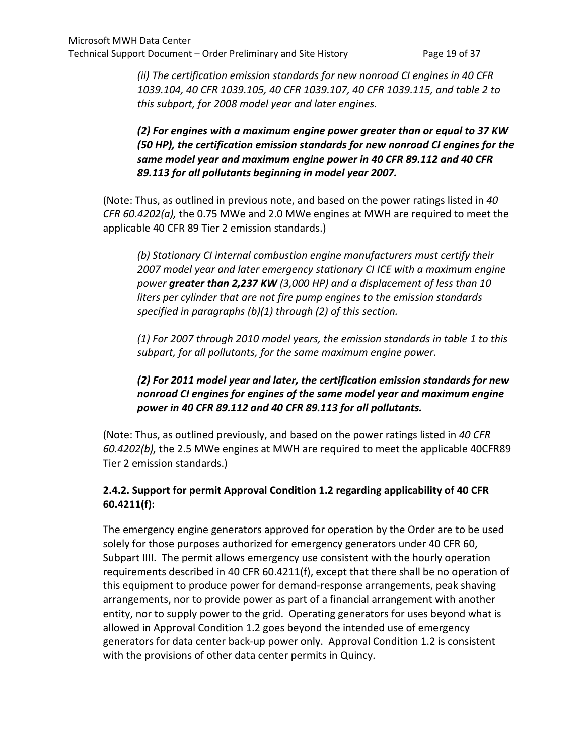*(ii) The certification emission standards for new nonroad CI engines in 40 CFR 1039.104, 40 CFR 1039.105, 40 CFR 1039.107, 40 CFR 1039.115, and table 2 to this subpart, for 2008 model year and later engines.*

## *(2) For engines with a maximum engine power greater than or equal to 37 KW (50 HP), the certification emission standards for new nonroad CI engines for the same model year and maximum engine power in 40 CFR 89.112 and 40 CFR 89.113 for all pollutants beginning in model year 2007.*

(Note: Thus, as outlined in previous note, and based on the power ratings listed in *40 CFR 60.4202(a),* the 0.75 MWe and 2.0 MWe engines at MWH are required to meet the applicable 40 CFR 89 Tier 2 emission standards.)

*(b) Stationary CI internal combustion engine manufacturers must certify their 2007 model year and later emergency stationary CI ICE with a maximum engine power greater than 2,237 KW (3,000 HP) and a displacement of less than 10 liters per cylinder that are not fire pump engines to the emission standards specified in paragraphs (b)(1) through (2) of this section.*

*(1) For 2007 through 2010 model years, the emission standards in table 1 to this subpart, for all pollutants, for the same maximum engine power.*

# *(2) For 2011 model year and later, the certification emission standards for new nonroad CI engines for engines of the same model year and maximum engine power in 40 CFR 89.112 and 40 CFR 89.113 for all pollutants.*

(Note: Thus, as outlined previously, and based on the power ratings listed in *40 CFR 60.4202(b),* the 2.5 MWe engines at MWH are required to meet the applicable 40CFR89 Tier 2 emission standards.)

# **2.4.2. Support for permit Approval Condition 1.2 regarding applicability of 40 CFR 60.4211(f):**

The emergency engine generators approved for operation by the Order are to be used solely for those purposes authorized for emergency generators under 40 CFR 60, Subpart IIII. The permit allows emergency use consistent with the hourly operation requirements described in 40 CFR 60.4211(f), except that there shall be no operation of this equipment to produce power for demand-response arrangements, peak shaving arrangements, nor to provide power as part of a financial arrangement with another entity, nor to supply power to the grid. Operating generators for uses beyond what is allowed in Approval Condition 1.2 goes beyond the intended use of emergency generators for data center back-up power only. Approval Condition 1.2 is consistent with the provisions of other data center permits in Quincy.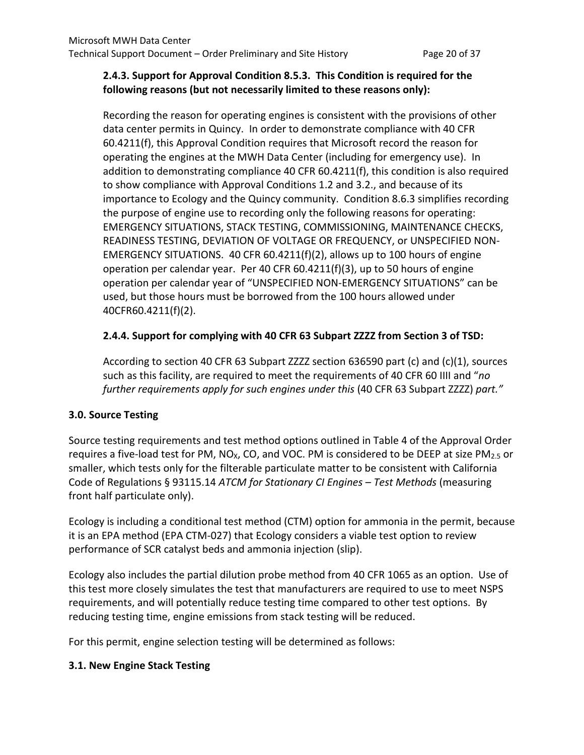## **2.4.3. Support for Approval Condition 8.5.3. This Condition is required for the following reasons (but not necessarily limited to these reasons only):**

Recording the reason for operating engines is consistent with the provisions of other data center permits in Quincy. In order to demonstrate compliance with 40 CFR 60.4211(f), this Approval Condition requires that Microsoft record the reason for operating the engines at the MWH Data Center (including for emergency use). In addition to demonstrating compliance 40 CFR 60.4211(f), this condition is also required to show compliance with Approval Conditions 1.2 and 3.2., and because of its importance to Ecology and the Quincy community. Condition 8.6.3 simplifies recording the purpose of engine use to recording only the following reasons for operating: EMERGENCY SITUATIONS, STACK TESTING, COMMISSIONING, MAINTENANCE CHECKS, READINESS TESTING, DEVIATION OF VOLTAGE OR FREQUENCY, or UNSPECIFIED NON-EMERGENCY SITUATIONS. 40 CFR 60.4211(f)(2), allows up to 100 hours of engine operation per calendar year. Per 40 CFR 60.4211(f)(3), up to 50 hours of engine operation per calendar year of "UNSPECIFIED NON-EMERGENCY SITUATIONS" can be used, but those hours must be borrowed from the 100 hours allowed under 40CFR60.4211(f)(2).

## **2.4.4. Support for complying with 40 CFR 63 Subpart ZZZZ from Section 3 of TSD:**

According to section 40 CFR 63 Subpart ZZZZ section 636590 part (c) and (c)(1), sources such as this facility, are required to meet the requirements of 40 CFR 60 IIII and "*no further requirements apply for such engines under this* (40 CFR 63 Subpart ZZZZ) *part."*

## **3.0. Source Testing**

Source testing requirements and test method options outlined in Table 4 of the Approval Order requires a five-load test for PM, NO<sub>x</sub>, CO, and VOC. PM is considered to be DEEP at size PM<sub>2.5</sub> or smaller, which tests only for the filterable particulate matter to be consistent with California Code of Regulations § 93115.14 *ATCM for Stationary CI Engines – Test Methods* (measuring front half particulate only).

Ecology is including a conditional test method (CTM) option for ammonia in the permit, because it is an EPA method (EPA CTM-027) that Ecology considers a viable test option to review performance of SCR catalyst beds and ammonia injection (slip).

Ecology also includes the partial dilution probe method from 40 CFR 1065 as an option. Use of this test more closely simulates the test that manufacturers are required to use to meet NSPS requirements, and will potentially reduce testing time compared to other test options. By reducing testing time, engine emissions from stack testing will be reduced.

For this permit, engine selection testing will be determined as follows:

# **3.1. New Engine Stack Testing**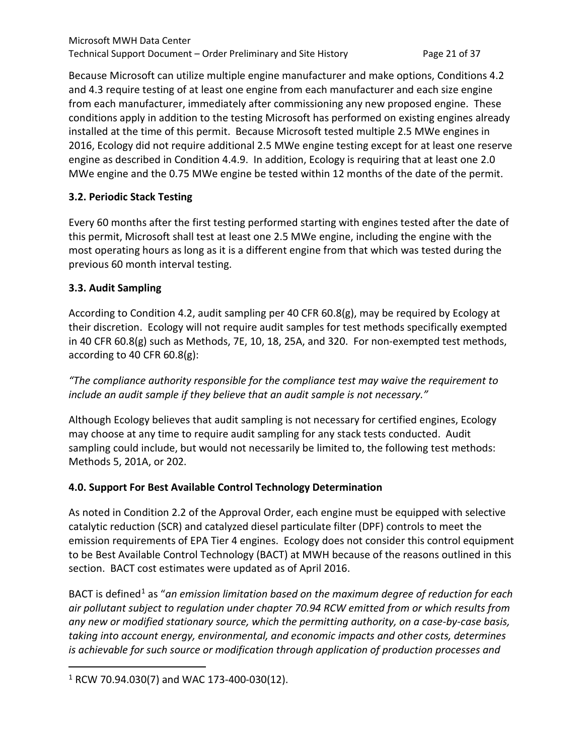Because Microsoft can utilize multiple engine manufacturer and make options, Conditions 4.2 and 4.3 require testing of at least one engine from each manufacturer and each size engine from each manufacturer, immediately after commissioning any new proposed engine. These conditions apply in addition to the testing Microsoft has performed on existing engines already installed at the time of this permit. Because Microsoft tested multiple 2.5 MWe engines in 2016, Ecology did not require additional 2.5 MWe engine testing except for at least one reserve engine as described in Condition 4.4.9. In addition, Ecology is requiring that at least one 2.0 MWe engine and the 0.75 MWe engine be tested within 12 months of the date of the permit.

# **3.2. Periodic Stack Testing**

Every 60 months after the first testing performed starting with engines tested after the date of this permit, Microsoft shall test at least one 2.5 MWe engine, including the engine with the most operating hours as long as it is a different engine from that which was tested during the previous 60 month interval testing.

## **3.3. Audit Sampling**

According to Condition 4.2, audit sampling per 40 CFR 60.8(g), may be required by Ecology at their discretion. Ecology will not require audit samples for test methods specifically exempted in 40 CFR 60.8(g) such as Methods, 7E, 10, 18, 25A, and 320. For non-exempted test methods, according to 40 CFR 60.8(g):

*"The compliance authority responsible for the compliance test may waive the requirement to include an audit sample if they believe that an audit sample is not necessary."* 

Although Ecology believes that audit sampling is not necessary for certified engines, Ecology may choose at any time to require audit sampling for any stack tests conducted. Audit sampling could include, but would not necessarily be limited to, the following test methods: Methods 5, 201A, or 202.

## **4.0. Support For Best Available Control Technology Determination**

As noted in Condition 2.2 of the Approval Order, each engine must be equipped with selective catalytic reduction (SCR) and catalyzed diesel particulate filter (DPF) controls to meet the emission requirements of EPA Tier 4 engines. Ecology does not consider this control equipment to be Best Available Control Technology (BACT) at MWH because of the reasons outlined in this section. BACT cost estimates were updated as of April 2016.

BACT is defined<sup>[1](#page-38-0)</sup> as "an emission limitation based on the maximum degree of reduction for each *air pollutant subject to regulation under chapter 70.94 RCW emitted from or which results from any new or modified stationary source, which the permitting authority, on a case-by-case basis, taking into account energy, environmental, and economic impacts and other costs, determines is achievable for such source or modification through application of production processes and* 

<span id="page-38-0"></span> $1$  RCW 70.94.030(7) and WAC 173-400-030(12).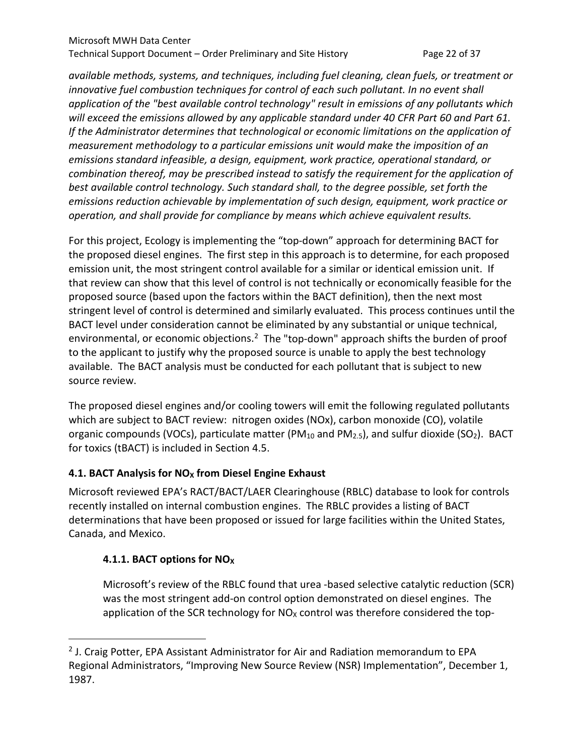#### Microsoft MWH Data Center Technical Support Document – Order Preliminary and Site History Page 22 of 37

*available methods, systems, and techniques, including fuel cleaning, clean fuels, or treatment or innovative fuel combustion techniques for control of each such pollutant. In no event shall application of the "best available control technology" result in emissions of any pollutants which will exceed the emissions allowed by any applicable standard under 40 CFR Part 60 and Part 61. If the Administrator determines that technological or economic limitations on the application of measurement methodology to a particular emissions unit would make the imposition of an emissions standard infeasible, a design, equipment, work practice, operational standard, or combination thereof, may be prescribed instead to satisfy the requirement for the application of best available control technology. Such standard shall, to the degree possible, set forth the emissions reduction achievable by implementation of such design, equipment, work practice or operation, and shall provide for compliance by means which achieve equivalent results.*

For this project, Ecology is implementing the "top-down" approach for determining BACT for the proposed diesel engines. The first step in this approach is to determine, for each proposed emission unit, the most stringent control available for a similar or identical emission unit. If that review can show that this level of control is not technically or economically feasible for the proposed source (based upon the factors within the BACT definition), then the next most stringent level of control is determined and similarly evaluated. This process continues until the BACT level under consideration cannot be eliminated by any substantial or unique technical, environmental, or economic objections.<sup>2</sup> The "top-down" approach shifts the burden of proof to the applicant to justify why the proposed source is unable to apply the best technology available. The BACT analysis must be conducted for each pollutant that is subject to new source review.

The proposed diesel engines and/or cooling towers will emit the following regulated pollutants which are subject to BACT review: nitrogen oxides (NOx), carbon monoxide (CO), volatile organic compounds (VOCs), particulate matter (PM<sub>10</sub> and PM<sub>2.5</sub>), and sulfur dioxide (SO<sub>2</sub>). BACT for toxics (tBACT) is included in Section 4.5.

## 4.1. BACT Analysis for NO<sub>X</sub> from Diesel Engine Exhaust

Microsoft reviewed EPA's RACT/BACT/LAER Clearinghouse (RBLC) database to look for controls recently installed on internal combustion engines. The RBLC provides a listing of BACT determinations that have been proposed or issued for large facilities within the United States, Canada, and Mexico.

## **4.1.1. BACT options for NOX**

Microsoft's review of the RBLC found that urea -based selective catalytic reduction (SCR) was the most stringent add-on control option demonstrated on diesel engines. The application of the SCR technology for  $NO<sub>X</sub>$  control was therefore considered the top-

<span id="page-39-0"></span><sup>&</sup>lt;sup>2</sup> J. Craig Potter, EPA Assistant Administrator for Air and Radiation memorandum to EPA Regional Administrators, "Improving New Source Review (NSR) Implementation", December 1, 1987.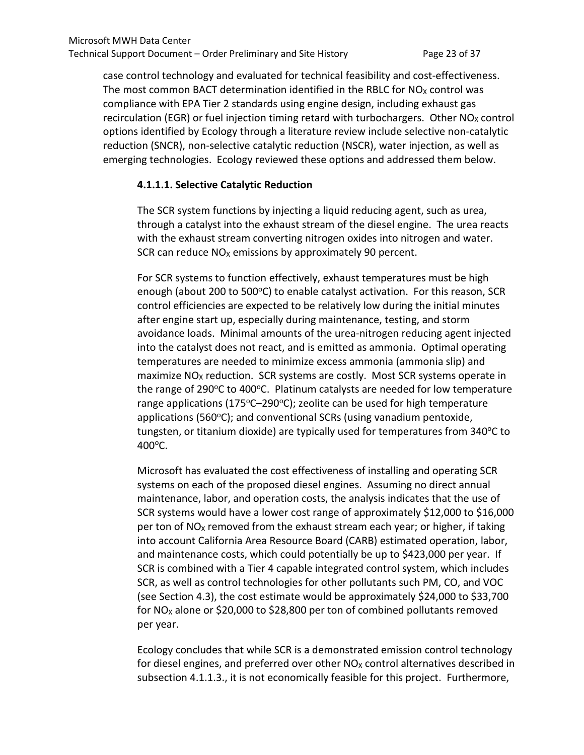case control technology and evaluated for technical feasibility and cost-effectiveness. The most common BACT determination identified in the RBLC for  $NO<sub>X</sub>$  control was compliance with EPA Tier 2 standards using engine design, including exhaust gas recirculation (EGR) or fuel injection timing retard with turbochargers. Other  $NO<sub>X</sub>$  control options identified by Ecology through a literature review include selective non-catalytic reduction (SNCR), non-selective catalytic reduction (NSCR), water injection, as well as emerging technologies. Ecology reviewed these options and addressed them below.

## **4.1.1.1. Selective Catalytic Reduction**

The SCR system functions by injecting a liquid reducing agent, such as urea, through a catalyst into the exhaust stream of the diesel engine. The urea reacts with the exhaust stream converting nitrogen oxides into nitrogen and water. SCR can reduce  $NO<sub>x</sub>$  emissions by approximately 90 percent.

For SCR systems to function effectively, exhaust temperatures must be high enough (about 200 to 500°C) to enable catalyst activation. For this reason, SCR control efficiencies are expected to be relatively low during the initial minutes after engine start up, especially during maintenance, testing, and storm avoidance loads. Minimal amounts of the urea-nitrogen reducing agent injected into the catalyst does not react, and is emitted as ammonia. Optimal operating temperatures are needed to minimize excess ammonia (ammonia slip) and maximize  $NO<sub>x</sub>$  reduction. SCR systems are costly. Most SCR systems operate in the range of  $290^{\circ}$ C to  $400^{\circ}$ C. Platinum catalysts are needed for low temperature range applications (175 $\textdegree$ C-290 $\textdegree$ C); zeolite can be used for high temperature applications (560 $\textdegree$ C); and conventional SCRs (using vanadium pentoxide, tungsten, or titanium dioxide) are typically used for temperatures from  $340^{\circ}$ C to  $400^{\circ}$ C.

Microsoft has evaluated the cost effectiveness of installing and operating SCR systems on each of the proposed diesel engines. Assuming no direct annual maintenance, labor, and operation costs, the analysis indicates that the use of SCR systems would have a lower cost range of approximately \$12,000 to \$16,000 per ton of  $NO<sub>x</sub>$  removed from the exhaust stream each year; or higher, if taking into account California Area Resource Board (CARB) estimated operation, labor, and maintenance costs, which could potentially be up to \$423,000 per year. If SCR is combined with a Tier 4 capable integrated control system, which includes SCR, as well as control technologies for other pollutants such PM, CO, and VOC (see Section 4.3), the cost estimate would be approximately \$24,000 to \$33,700 for NO<sub>x</sub> alone or \$20,000 to \$28,800 per ton of combined pollutants removed per year.

Ecology concludes that while SCR is a demonstrated emission control technology for diesel engines, and preferred over other  $NO<sub>x</sub>$  control alternatives described in subsection 4.1.1.3., it is not economically feasible for this project. Furthermore,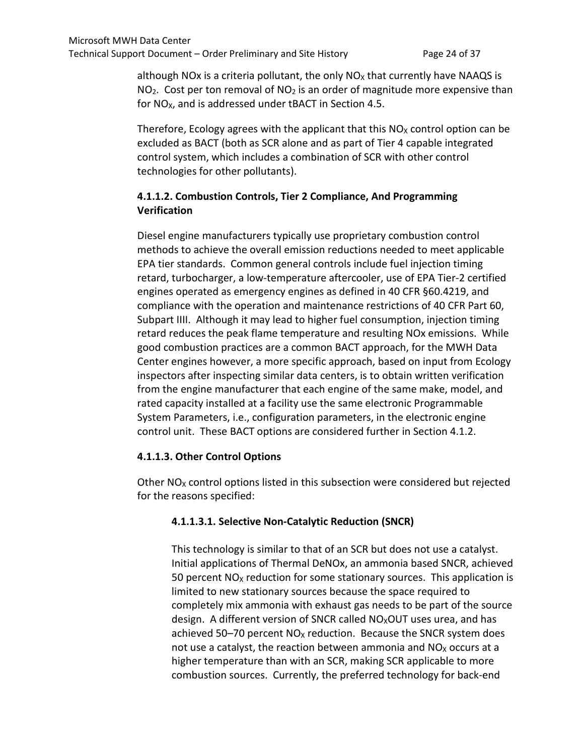although NOx is a criteria pollutant, the only  $N_{\text{Ox}}$  that currently have NAAQS is  $NO<sub>2</sub>$ . Cost per ton removal of  $NO<sub>2</sub>$  is an order of magnitude more expensive than for  $NO<sub>x</sub>$ , and is addressed under tBACT in Section 4.5.

Therefore, Ecology agrees with the applicant that this  $NO<sub>X</sub>$  control option can be excluded as BACT (both as SCR alone and as part of Tier 4 capable integrated control system, which includes a combination of SCR with other control technologies for other pollutants).

# **4.1.1.2. Combustion Controls, Tier 2 Compliance, And Programming Verification**

Diesel engine manufacturers typically use proprietary combustion control methods to achieve the overall emission reductions needed to meet applicable EPA tier standards. Common general controls include fuel injection timing retard, turbocharger, a low-temperature aftercooler, use of EPA Tier-2 certified engines operated as emergency engines as defined in 40 CFR §60.4219, and compliance with the operation and maintenance restrictions of 40 CFR Part 60, Subpart IIII. Although it may lead to higher fuel consumption, injection timing retard reduces the peak flame temperature and resulting NOx emissions. While good combustion practices are a common BACT approach, for the MWH Data Center engines however, a more specific approach, based on input from Ecology inspectors after inspecting similar data centers, is to obtain written verification from the engine manufacturer that each engine of the same make, model, and rated capacity installed at a facility use the same electronic Programmable System Parameters, i.e., configuration parameters, in the electronic engine control unit. These BACT options are considered further in Section 4.1.2.

## **4.1.1.3. Other Control Options**

Other  $NO<sub>x</sub>$  control options listed in this subsection were considered but rejected for the reasons specified:

# **4.1.1.3.1. Selective Non-Catalytic Reduction (SNCR)**

This technology is similar to that of an SCR but does not use a catalyst. Initial applications of Thermal DeNOx, an ammonia based SNCR, achieved 50 percent  $NO<sub>x</sub>$  reduction for some stationary sources. This application is limited to new stationary sources because the space required to completely mix ammonia with exhaust gas needs to be part of the source design. A different version of SNCR called  $NO_X$ OUT uses urea, and has achieved 50–70 percent  $NO<sub>X</sub>$  reduction. Because the SNCR system does not use a catalyst, the reaction between ammonia and  $NO<sub>x</sub>$  occurs at a higher temperature than with an SCR, making SCR applicable to more combustion sources. Currently, the preferred technology for back-end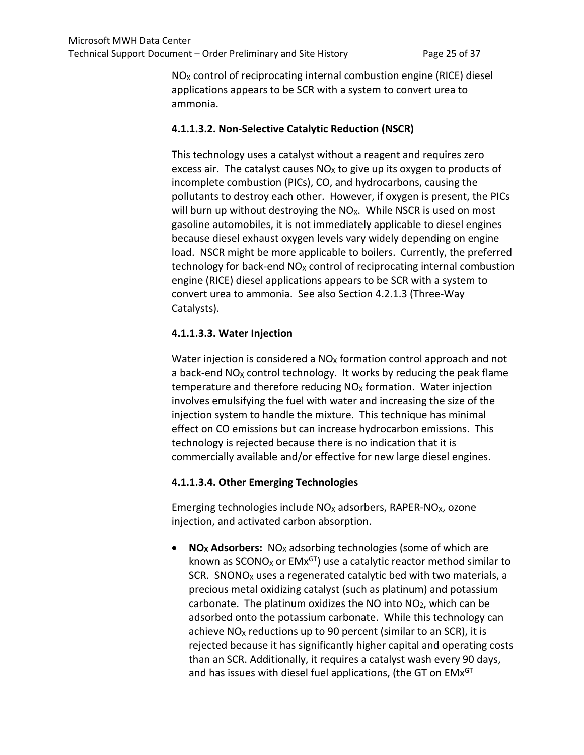$NO<sub>X</sub>$  control of reciprocating internal combustion engine (RICE) diesel applications appears to be SCR with a system to convert urea to ammonia.

## **4.1.1.3.2. Non-Selective Catalytic Reduction (NSCR)**

This technology uses a catalyst without a reagent and requires zero excess air. The catalyst causes  $NO<sub>X</sub>$  to give up its oxygen to products of incomplete combustion (PICs), CO, and hydrocarbons, causing the pollutants to destroy each other. However, if oxygen is present, the PICs will burn up without destroying the  $NO<sub>X</sub>$ . While NSCR is used on most gasoline automobiles, it is not immediately applicable to diesel engines because diesel exhaust oxygen levels vary widely depending on engine load. NSCR might be more applicable to boilers. Currently, the preferred technology for back-end  $NO<sub>X</sub>$  control of reciprocating internal combustion engine (RICE) diesel applications appears to be SCR with a system to convert urea to ammonia. See also Section 4.2.1.3 (Three-Way Catalysts).

## **4.1.1.3.3. Water Injection**

Water injection is considered a  $NO<sub>x</sub>$  formation control approach and not a back-end  $NO<sub>X</sub>$  control technology. It works by reducing the peak flame temperature and therefore reducing  $NO<sub>x</sub>$  formation. Water injection involves emulsifying the fuel with water and increasing the size of the injection system to handle the mixture. This technique has minimal effect on CO emissions but can increase hydrocarbon emissions. This technology is rejected because there is no indication that it is commercially available and/or effective for new large diesel engines.

## **4.1.1.3.4. Other Emerging Technologies**

Emerging technologies include  $NO<sub>X</sub>$  adsorbers, RAPER-NO<sub> $X$ </sub>, ozone injection, and activated carbon absorption.

• **NO<sub>X</sub> Adsorbers:** NO<sub>X</sub> adsorbing technologies (some of which are known as SCONO<sub>x</sub> or EMx<sup>GT</sup>) use a catalytic reactor method similar to SCR. SNONO $x$  uses a regenerated catalytic bed with two materials, a precious metal oxidizing catalyst (such as platinum) and potassium carbonate. The platinum oxidizes the NO into  $NO<sub>2</sub>$ , which can be adsorbed onto the potassium carbonate. While this technology can achieve  $NO<sub>X</sub>$  reductions up to 90 percent (similar to an SCR), it is rejected because it has significantly higher capital and operating costs than an SCR. Additionally, it requires a catalyst wash every 90 days, and has issues with diesel fuel applications, (the GT on EMx<sup>GT</sup>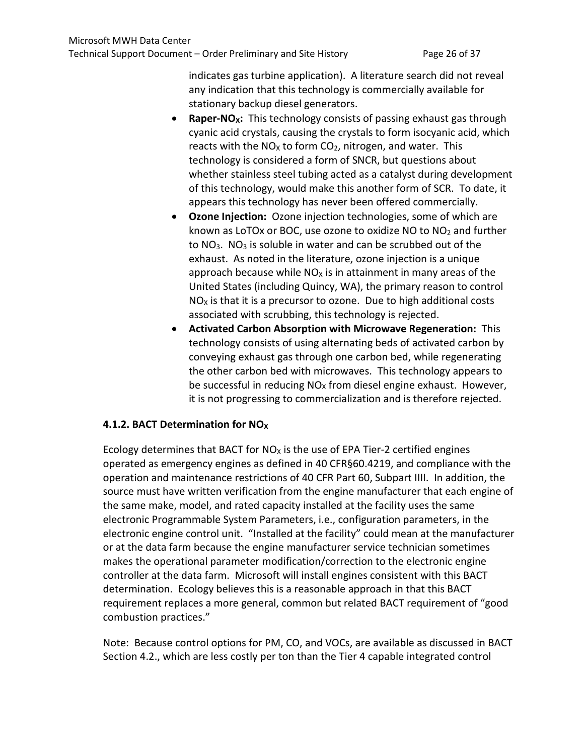indicates gas turbine application). A literature search did not reveal any indication that this technology is commercially available for stationary backup diesel generators.

- Raper-NO<sub>X</sub>: This technology consists of passing exhaust gas through cyanic acid crystals, causing the crystals to form isocyanic acid, which reacts with the  $NO<sub>X</sub>$  to form  $CO<sub>2</sub>$ , nitrogen, and water. This technology is considered a form of SNCR, but questions about whether stainless steel tubing acted as a catalyst during development of this technology, would make this another form of SCR. To date, it appears this technology has never been offered commercially.
- **Ozone Injection:** Ozone injection technologies, some of which are known as LoTOx or BOC, use ozone to oxidize NO to  $NO<sub>2</sub>$  and further to  $NO<sub>3</sub>$ . NO<sub>3</sub> is soluble in water and can be scrubbed out of the exhaust. As noted in the literature, ozone injection is a unique approach because while  $NO<sub>x</sub>$  is in attainment in many areas of the United States (including Quincy, WA), the primary reason to control  $NO<sub>x</sub>$  is that it is a precursor to ozone. Due to high additional costs associated with scrubbing, this technology is rejected.
- **Activated Carbon Absorption with Microwave Regeneration:** This technology consists of using alternating beds of activated carbon by conveying exhaust gas through one carbon bed, while regenerating the other carbon bed with microwaves. This technology appears to be successful in reducing  $NO<sub>x</sub>$  from diesel engine exhaust. However, it is not progressing to commercialization and is therefore rejected.

#### **4.1.2. BACT Determination for NOX**

Ecology determines that BACT for  $NO<sub>X</sub>$  is the use of EPA Tier-2 certified engines operated as emergency engines as defined in 40 CFR§60.4219, and compliance with the operation and maintenance restrictions of 40 CFR Part 60, Subpart IIII. In addition, the source must have written verification from the engine manufacturer that each engine of the same make, model, and rated capacity installed at the facility uses the same electronic Programmable System Parameters, i.e., configuration parameters, in the electronic engine control unit. "Installed at the facility" could mean at the manufacturer or at the data farm because the engine manufacturer service technician sometimes makes the operational parameter modification/correction to the electronic engine controller at the data farm. Microsoft will install engines consistent with this BACT determination. Ecology believes this is a reasonable approach in that this BACT requirement replaces a more general, common but related BACT requirement of "good combustion practices."

Note: Because control options for PM, CO, and VOCs, are available as discussed in BACT Section 4.2., which are less costly per ton than the Tier 4 capable integrated control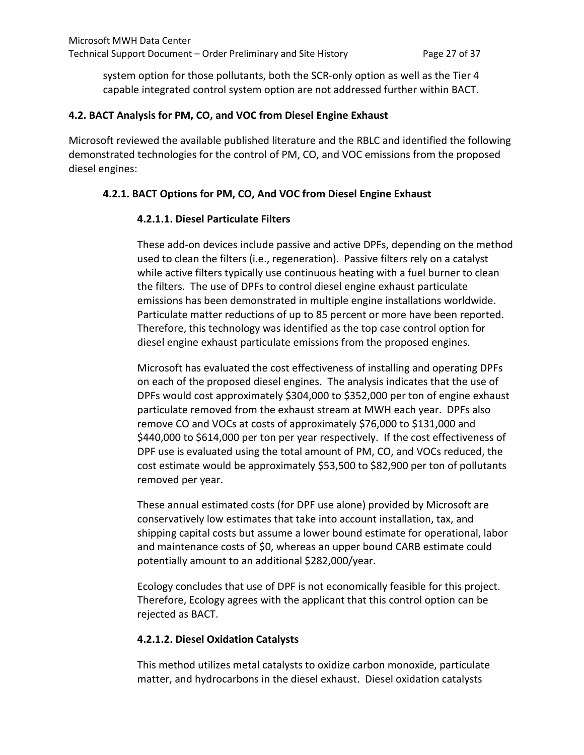system option for those pollutants, both the SCR-only option as well as the Tier 4 capable integrated control system option are not addressed further within BACT.

#### **4.2. BACT Analysis for PM, CO, and VOC from Diesel Engine Exhaust**

Microsoft reviewed the available published literature and the RBLC and identified the following demonstrated technologies for the control of PM, CO, and VOC emissions from the proposed diesel engines:

#### **4.2.1. BACT Options for PM, CO, And VOC from Diesel Engine Exhaust**

#### **4.2.1.1. Diesel Particulate Filters**

These add-on devices include passive and active DPFs, depending on the method used to clean the filters (i.e., regeneration). Passive filters rely on a catalyst while active filters typically use continuous heating with a fuel burner to clean the filters. The use of DPFs to control diesel engine exhaust particulate emissions has been demonstrated in multiple engine installations worldwide. Particulate matter reductions of up to 85 percent or more have been reported. Therefore, this technology was identified as the top case control option for diesel engine exhaust particulate emissions from the proposed engines.

Microsoft has evaluated the cost effectiveness of installing and operating DPFs on each of the proposed diesel engines. The analysis indicates that the use of DPFs would cost approximately \$304,000 to \$352,000 per ton of engine exhaust particulate removed from the exhaust stream at MWH each year. DPFs also remove CO and VOCs at costs of approximately \$76,000 to \$131,000 and \$440,000 to \$614,000 per ton per year respectively. If the cost effectiveness of DPF use is evaluated using the total amount of PM, CO, and VOCs reduced, the cost estimate would be approximately \$53,500 to \$82,900 per ton of pollutants removed per year.

These annual estimated costs (for DPF use alone) provided by Microsoft are conservatively low estimates that take into account installation, tax, and shipping capital costs but assume a lower bound estimate for operational, labor and maintenance costs of \$0, whereas an upper bound CARB estimate could potentially amount to an additional \$282,000/year.

Ecology concludes that use of DPF is not economically feasible for this project. Therefore, Ecology agrees with the applicant that this control option can be rejected as BACT.

#### **4.2.1.2. Diesel Oxidation Catalysts**

This method utilizes metal catalysts to oxidize carbon monoxide, particulate matter, and hydrocarbons in the diesel exhaust. Diesel oxidation catalysts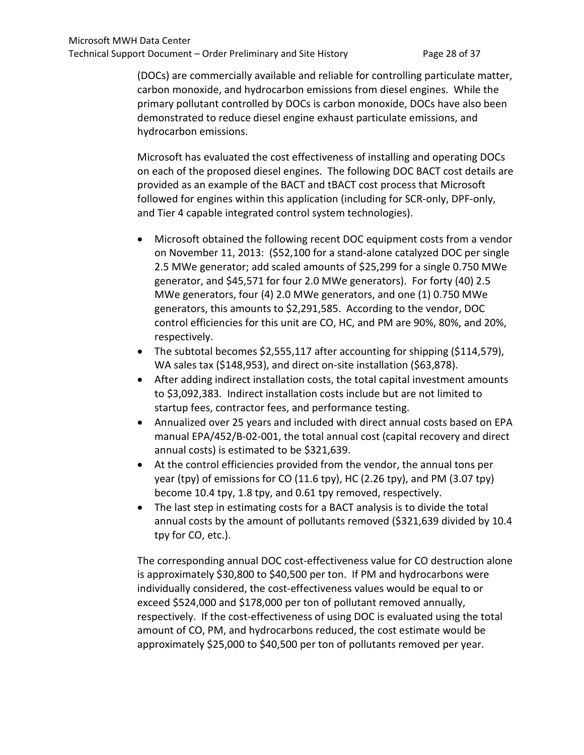(DOCs) are commercially available and reliable for controlling particulate matter, carbon monoxide, and hydrocarbon emissions from diesel engines. While the primary pollutant controlled by DOCs is carbon monoxide, DOCs have also been demonstrated to reduce diesel engine exhaust particulate emissions, and hydrocarbon emissions.

Microsoft has evaluated the cost effectiveness of installing and operating DOCs on each of the proposed diesel engines. The following DOC BACT cost details are provided as an example of the BACT and tBACT cost process that Microsoft followed for engines within this application (including for SCR-only, DPF-only, and Tier 4 capable integrated control system technologies).

- Microsoft obtained the following recent DOC equipment costs from a vendor on November 11, 2013: (\$52,100 for a stand-alone catalyzed DOC per single 2.5 MWe generator; add scaled amounts of \$25,299 for a single 0.750 MWe generator, and \$45,571 for four 2.0 MWe generators). For forty (40) 2.5 MWe generators, four (4) 2.0 MWe generators, and one (1) 0.750 MWe generators, this amounts to \$2,291,585. According to the vendor, DOC control efficiencies for this unit are CO, HC, and PM are 90%, 80%, and 20%, respectively.
- The subtotal becomes \$2,555,117 after accounting for shipping (\$114,579), WA sales tax (\$148,953), and direct on-site installation (\$63,878).
- After adding indirect installation costs, the total capital investment amounts to \$3,092,383. Indirect installation costs include but are not limited to startup fees, contractor fees, and performance testing.
- Annualized over 25 years and included with direct annual costs based on EPA manual EPA/452/B-02-001, the total annual cost (capital recovery and direct annual costs) is estimated to be \$321,639.
- At the control efficiencies provided from the vendor, the annual tons per year (tpy) of emissions for CO (11.6 tpy), HC (2.26 tpy), and PM (3.07 tpy) become 10.4 tpy, 1.8 tpy, and 0.61 tpy removed, respectively.
- The last step in estimating costs for a BACT analysis is to divide the total annual costs by the amount of pollutants removed (\$321,639 divided by 10.4 tpy for CO, etc.).

The corresponding annual DOC cost-effectiveness value for CO destruction alone is approximately \$30,800 to \$40,500 per ton. If PM and hydrocarbons were individually considered, the cost-effectiveness values would be equal to or exceed \$524,000 and \$178,000 per ton of pollutant removed annually, respectively. If the cost-effectiveness of using DOC is evaluated using the total amount of CO, PM, and hydrocarbons reduced, the cost estimate would be approximately \$25,000 to \$40,500 per ton of pollutants removed per year.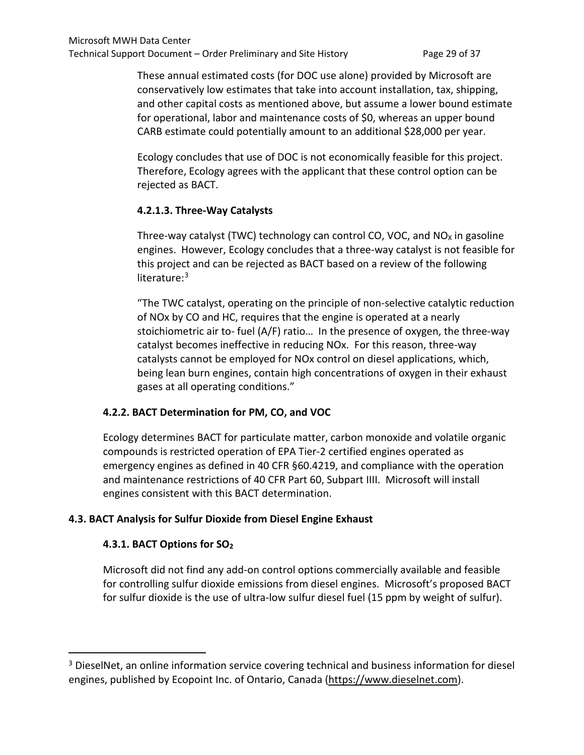These annual estimated costs (for DOC use alone) provided by Microsoft are conservatively low estimates that take into account installation, tax, shipping, and other capital costs as mentioned above, but assume a lower bound estimate for operational, labor and maintenance costs of \$0, whereas an upper bound CARB estimate could potentially amount to an additional \$28,000 per year.

Ecology concludes that use of DOC is not economically feasible for this project. Therefore, Ecology agrees with the applicant that these control option can be rejected as BACT.

## **4.2.1.3. Three-Way Catalysts**

Three-way catalyst (TWC) technology can control CO, VOC, and  $NO<sub>X</sub>$  in gasoline engines. However, Ecology concludes that a three-way catalyst is not feasible for this project and can be rejected as BACT based on a review of the following literature:<sup>3</sup>

"The TWC catalyst, operating on the principle of non-selective catalytic reduction of NOx by CO and HC, requires that the engine is operated at a nearly stoichiometric air to- fuel (A/F) ratio… In the presence of oxygen, the three-way catalyst becomes ineffective in reducing NOx. For this reason, three-way catalysts cannot be employed for NOx control on diesel applications, which, being lean burn engines, contain high concentrations of oxygen in their exhaust gases at all operating conditions."

## **4.2.2. BACT Determination for PM, CO, and VOC**

Ecology determines BACT for particulate matter, carbon monoxide and volatile organic compounds is restricted operation of EPA Tier-2 certified engines operated as emergency engines as defined in 40 CFR §60.4219, and compliance with the operation and maintenance restrictions of 40 CFR Part 60, Subpart IIII. Microsoft will install engines consistent with this BACT determination.

# **4.3. BACT Analysis for Sulfur Dioxide from Diesel Engine Exhaust**

## **4.3.1. BACT Options for SO2**

 $\overline{a}$ 

Microsoft did not find any add-on control options commercially available and feasible for controlling sulfur dioxide emissions from diesel engines. Microsoft's proposed BACT for sulfur dioxide is the use of ultra-low sulfur diesel fuel (15 ppm by weight of sulfur).

<span id="page-46-0"></span><sup>&</sup>lt;sup>3</sup> DieselNet, an online information service covering technical and business information for diesel engines, published by [Ecopoint Inc.](https://www.dieselnet.com/ecopoint/) of Ontario, Canada [\(https://www.dieselnet.com\)](https://www.dieselnet.com/).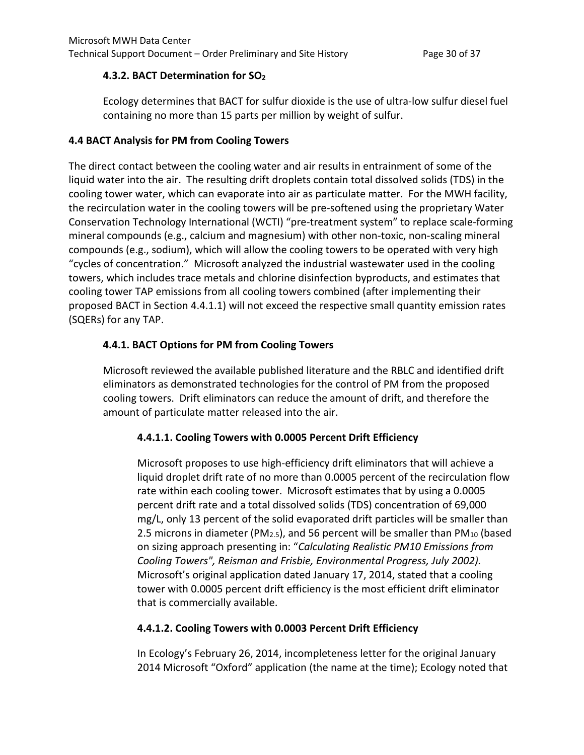## **4.3.2. BACT Determination for SO2**

Ecology determines that BACT for sulfur dioxide is the use of ultra-low sulfur diesel fuel containing no more than 15 parts per million by weight of sulfur.

## **4.4 BACT Analysis for PM from Cooling Towers**

The direct contact between the cooling water and air results in entrainment of some of the liquid water into the air. The resulting drift droplets contain total dissolved solids (TDS) in the cooling tower water, which can evaporate into air as particulate matter. For the MWH facility, the recirculation water in the cooling towers will be pre-softened using the proprietary Water Conservation Technology International (WCTI) "pre-treatment system" to replace scale-forming mineral compounds (e.g., calcium and magnesium) with other non-toxic, non-scaling mineral compounds (e.g., sodium), which will allow the cooling towers to be operated with very high "cycles of concentration." Microsoft analyzed the industrial wastewater used in the cooling towers, which includes trace metals and chlorine disinfection byproducts, and estimates that cooling tower TAP emissions from all cooling towers combined (after implementing their proposed BACT in Section 4.4.1.1) will not exceed the respective small quantity emission rates (SQERs) for any TAP.

## **4.4.1. BACT Options for PM from Cooling Towers**

Microsoft reviewed the available published literature and the RBLC and identified drift eliminators as demonstrated technologies for the control of PM from the proposed cooling towers. Drift eliminators can reduce the amount of drift, and therefore the amount of particulate matter released into the air.

#### **4.4.1.1. Cooling Towers with 0.0005 Percent Drift Efficiency**

Microsoft proposes to use high-efficiency drift eliminators that will achieve a liquid droplet drift rate of no more than 0.0005 percent of the recirculation flow rate within each cooling tower. Microsoft estimates that by using a 0.0005 percent drift rate and a total dissolved solids (TDS) concentration of 69,000 mg/L, only 13 percent of the solid evaporated drift particles will be smaller than 2.5 microns in diameter (PM<sub>2.5</sub>), and 56 percent will be smaller than PM<sub>10</sub> (based on sizing approach presenting in: "*Calculating Realistic PM10 Emissions from Cooling Towers", Reisman and Frisbie, Environmental Progress, July 2002).*  Microsoft's original application dated January 17, 2014, stated that a cooling tower with 0.0005 percent drift efficiency is the most efficient drift eliminator that is commercially available.

## **4.4.1.2. Cooling Towers with 0.0003 Percent Drift Efficiency**

In Ecology's February 26, 2014, incompleteness letter for the original January 2014 Microsoft "Oxford" application (the name at the time); Ecology noted that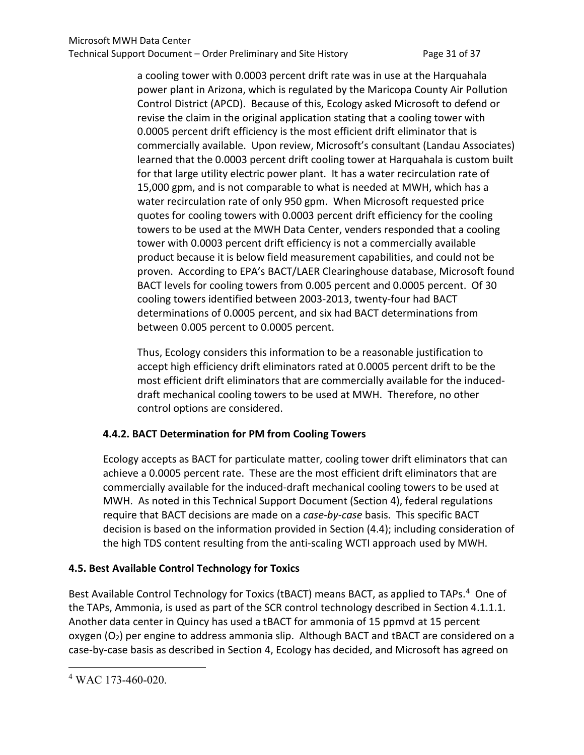a cooling tower with 0.0003 percent drift rate was in use at the Harquahala power plant in Arizona, which is regulated by the Maricopa County Air Pollution Control District (APCD). Because of this, Ecology asked Microsoft to defend or revise the claim in the original application stating that a cooling tower with 0.0005 percent drift efficiency is the most efficient drift eliminator that is commercially available. Upon review, Microsoft's consultant (Landau Associates) learned that the 0.0003 percent drift cooling tower at Harquahala is custom built for that large utility electric power plant. It has a water recirculation rate of 15,000 gpm, and is not comparable to what is needed at MWH, which has a water recirculation rate of only 950 gpm. When Microsoft requested price quotes for cooling towers with 0.0003 percent drift efficiency for the cooling towers to be used at the MWH Data Center, venders responded that a cooling tower with 0.0003 percent drift efficiency is not a commercially available product because it is below field measurement capabilities, and could not be proven. According to EPA's BACT/LAER Clearinghouse database, Microsoft found BACT levels for cooling towers from 0.005 percent and 0.0005 percent. Of 30 cooling towers identified between 2003-2013, twenty-four had BACT determinations of 0.0005 percent, and six had BACT determinations from between 0.005 percent to 0.0005 percent.

Thus, Ecology considers this information to be a reasonable justification to accept high efficiency drift eliminators rated at 0.0005 percent drift to be the most efficient drift eliminators that are commercially available for the induceddraft mechanical cooling towers to be used at MWH. Therefore, no other control options are considered.

## **4.4.2. BACT Determination for PM from Cooling Towers**

Ecology accepts as BACT for particulate matter, cooling tower drift eliminators that can achieve a 0.0005 percent rate. These are the most efficient drift eliminators that are commercially available for the induced-draft mechanical cooling towers to be used at MWH. As noted in this Technical Support Document (Section 4), federal regulations require that BACT decisions are made on a *case-by-case* basis. This specific BACT decision is based on the information provided in Section (4.4); including consideration of the high TDS content resulting from the anti-scaling WCTI approach used by MWH.

# **4.5. Best Available Control Technology for Toxics**

Best Available Control Technology for Toxics (tBACT) means BACT, as applied to TAPs.<sup>4</sup> One of the TAPs, Ammonia, is used as part of the SCR control technology described in Section 4.1.1.1. Another data center in Quincy has used a tBACT for ammonia of 15 ppmvd at 15 percent oxygen (O2) per engine to address ammonia slip. Although BACT and tBACT are considered on a case-by-case basis as described in Section 4, Ecology has decided, and Microsoft has agreed on

 $\overline{a}$ 

<span id="page-48-0"></span><sup>4</sup> WAC 173-460-020.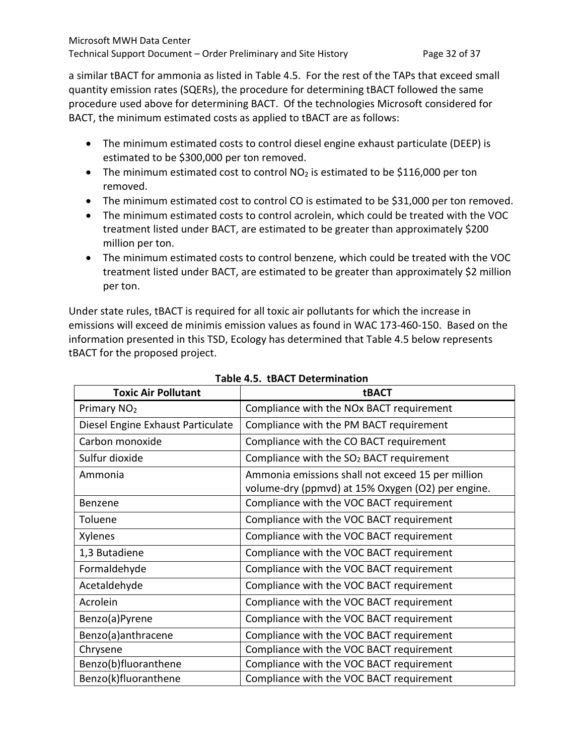a similar tBACT for ammonia as listed in Table 4.5. For the rest of the TAPs that exceed small quantity emission rates (SQERs), the procedure for determining tBACT followed the same procedure used above for determining BACT. Of the technologies Microsoft considered for BACT, the minimum estimated costs as applied to tBACT are as follows:

- The minimum estimated costs to control diesel engine exhaust particulate (DEEP) is estimated to be \$300,000 per ton removed.
- The minimum estimated cost to control  $NO<sub>2</sub>$  is estimated to be \$116,000 per ton removed.
- The minimum estimated cost to control CO is estimated to be \$31,000 per ton removed.
- The minimum estimated costs to control acrolein, which could be treated with the VOC treatment listed under BACT, are estimated to be greater than approximately \$200 million per ton.
- The minimum estimated costs to control benzene, which could be treated with the VOC treatment listed under BACT, are estimated to be greater than approximately \$2 million per ton.

Under state rules, tBACT is required for all toxic air pollutants for which the increase in emissions will exceed de minimis emission values as found in WAC 173-460-150. Based on the information presented in this TSD, Ecology has determined that Table 4.5 below represents tBACT for the proposed project.

| <b>Toxic Air Pollutant</b>        | tBACT                                                                                                  |
|-----------------------------------|--------------------------------------------------------------------------------------------------------|
| Primary NO <sub>2</sub>           | Compliance with the NOx BACT requirement                                                               |
| Diesel Engine Exhaust Particulate | Compliance with the PM BACT requirement                                                                |
| Carbon monoxide                   | Compliance with the CO BACT requirement                                                                |
| Sulfur dioxide                    | Compliance with the SO <sub>2</sub> BACT requirement                                                   |
| Ammonia                           | Ammonia emissions shall not exceed 15 per million<br>volume-dry (ppmvd) at 15% Oxygen (O2) per engine. |
| Benzene                           | Compliance with the VOC BACT requirement                                                               |
| Toluene                           | Compliance with the VOC BACT requirement                                                               |
| Xylenes                           | Compliance with the VOC BACT requirement                                                               |
| 1,3 Butadiene                     | Compliance with the VOC BACT requirement                                                               |
| Formaldehyde                      | Compliance with the VOC BACT requirement                                                               |
| Acetaldehyde                      | Compliance with the VOC BACT requirement                                                               |
| Acrolein                          | Compliance with the VOC BACT requirement                                                               |
| Benzo(a)Pyrene                    | Compliance with the VOC BACT requirement                                                               |
| Benzo(a)anthracene                | Compliance with the VOC BACT requirement                                                               |
| Chrysene                          | Compliance with the VOC BACT requirement                                                               |
| Benzo(b)fluoranthene              | Compliance with the VOC BACT requirement                                                               |
| Benzo(k)fluoranthene              | Compliance with the VOC BACT requirement                                                               |

**Table 4.5. tBACT Determination**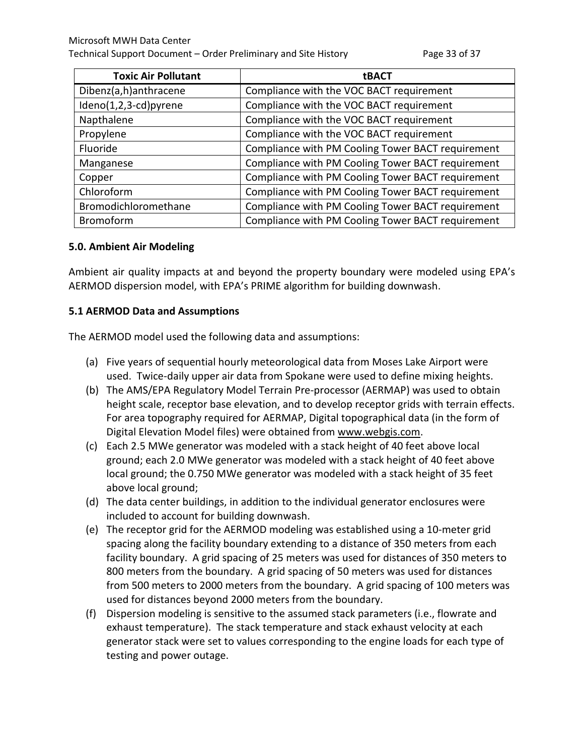| <b>Toxic Air Pollutant</b> | <b>tBACT</b>                                      |
|----------------------------|---------------------------------------------------|
| Dibenz(a,h)anthracene      | Compliance with the VOC BACT requirement          |
| Ideno(1,2,3-cd)pyrene      | Compliance with the VOC BACT requirement          |
| Napthalene                 | Compliance with the VOC BACT requirement          |
| Propylene                  | Compliance with the VOC BACT requirement          |
| Fluoride                   | Compliance with PM Cooling Tower BACT requirement |
| Manganese                  | Compliance with PM Cooling Tower BACT requirement |
| Copper                     | Compliance with PM Cooling Tower BACT requirement |
| Chloroform                 | Compliance with PM Cooling Tower BACT requirement |
| Bromodichloromethane       | Compliance with PM Cooling Tower BACT requirement |
| Bromoform                  | Compliance with PM Cooling Tower BACT requirement |

#### **5.0. Ambient Air Modeling**

Ambient air quality impacts at and beyond the property boundary were modeled using EPA's AERMOD dispersion model, with EPA's PRIME algorithm for building downwash.

#### **5.1 AERMOD Data and Assumptions**

The AERMOD model used the following data and assumptions:

- (a) Five years of sequential hourly meteorological data from Moses Lake Airport were used. Twice-daily upper air data from Spokane were used to define mixing heights.
- (b) The AMS/EPA Regulatory Model Terrain Pre-processor (AERMAP) was used to obtain height scale, receptor base elevation, and to develop receptor grids with terrain effects. For area topography required for AERMAP, Digital topographical data (in the form of Digital Elevation Model files) were obtained from [www.webgis.com.](http://www.webgis.com/)
- (c) Each 2.5 MWe generator was modeled with a stack height of 40 feet above local ground; each 2.0 MWe generator was modeled with a stack height of 40 feet above local ground; the 0.750 MWe generator was modeled with a stack height of 35 feet above local ground;
- (d) The data center buildings, in addition to the individual generator enclosures were included to account for building downwash.
- (e) The receptor grid for the AERMOD modeling was established using a 10-meter grid spacing along the facility boundary extending to a distance of 350 meters from each facility boundary. A grid spacing of 25 meters was used for distances of 350 meters to 800 meters from the boundary. A grid spacing of 50 meters was used for distances from 500 meters to 2000 meters from the boundary. A grid spacing of 100 meters was used for distances beyond 2000 meters from the boundary.
- (f) Dispersion modeling is sensitive to the assumed stack parameters (i.e., flowrate and exhaust temperature). The stack temperature and stack exhaust velocity at each generator stack were set to values corresponding to the engine loads for each type of testing and power outage.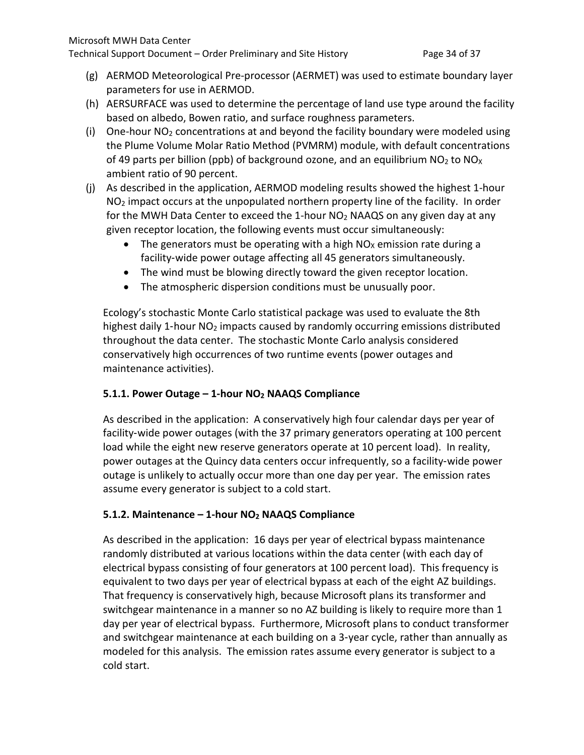Technical Support Document – Order Preliminary and Site History Page 34 of 37

- (g) AERMOD Meteorological Pre-processor (AERMET) was used to estimate boundary layer parameters for use in AERMOD.
- (h) AERSURFACE was used to determine the percentage of land use type around the facility based on albedo, Bowen ratio, and surface roughness parameters.
- (i) One-hour  $NO<sub>2</sub>$  concentrations at and beyond the facility boundary were modeled using the Plume Volume Molar Ratio Method (PVMRM) module, with default concentrations of 49 parts per billion (ppb) of background ozone, and an equilibrium  $NO<sub>2</sub>$  to  $NO<sub>X</sub>$ ambient ratio of 90 percent.
- (j) As described in the application, AERMOD modeling results showed the highest 1-hour  $NO<sub>2</sub>$  impact occurs at the unpopulated northern property line of the facility. In order for the MWH Data Center to exceed the 1-hour  $NO<sub>2</sub>$  NAAQS on any given day at any given receptor location, the following events must occur simultaneously:
	- The generators must be operating with a high  $NO<sub>x</sub>$  emission rate during a facility‐wide power outage affecting all 45 generators simultaneously.
	- The wind must be blowing directly toward the given receptor location.
	- The atmospheric dispersion conditions must be unusually poor.

Ecology's stochastic Monte Carlo statistical package was used to evaluate the 8th highest daily 1-hour NO<sub>2</sub> impacts caused by randomly occurring emissions distributed throughout the data center. The stochastic Monte Carlo analysis considered conservatively high occurrences of two runtime events (power outages and maintenance activities).

## **5.1.1. Power Outage – 1-hour NO2 NAAQS Compliance**

As described in the application: A conservatively high four calendar days per year of facility-wide power outages (with the 37 primary generators operating at 100 percent load while the eight new reserve generators operate at 10 percent load). In reality, power outages at the Quincy data centers occur infrequently, so a facility‐wide power outage is unlikely to actually occur more than one day per year. The emission rates assume every generator is subject to a cold start.

## **5.1.2. Maintenance – 1-hour NO2 NAAQS Compliance**

As described in the application: 16 days per year of electrical bypass maintenance randomly distributed at various locations within the data center (with each day of electrical bypass consisting of four generators at 100 percent load). This frequency is equivalent to two days per year of electrical bypass at each of the eight AZ buildings. That frequency is conservatively high, because Microsoft plans its transformer and switchgear maintenance in a manner so no AZ building is likely to require more than 1 day per year of electrical bypass. Furthermore, Microsoft plans to conduct transformer and switchgear maintenance at each building on a 3‐year cycle, rather than annually as modeled for this analysis. The emission rates assume every generator is subject to a cold start.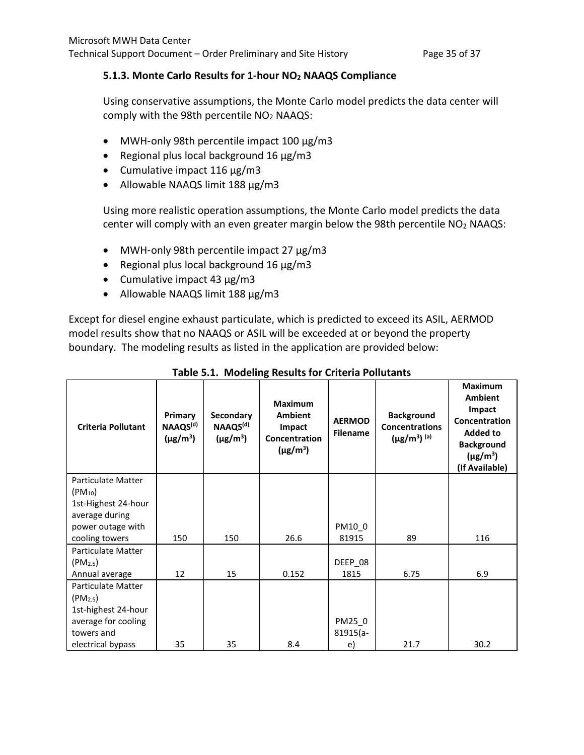## **5.1.3. Monte Carlo Results for 1-hour NO2 NAAQS Compliance**

Using conservative assumptions, the Monte Carlo model predicts the data center will comply with the 98th percentile NO<sub>2</sub> NAAQS:

- MWH-only 98th percentile impact 100 μg/m3
- Regional plus local background 16 μg/m3
- Cumulative impact 116 μg/m3
- Allowable NAAQS limit 188 μg/m3

Using more realistic operation assumptions, the Monte Carlo model predicts the data center will comply with an even greater margin below the 98th percentile NO2 NAAQS:

- MWH-only 98th percentile impact 27 μg/m3
- Regional plus local background 16 μg/m3
- Cumulative impact 43 μg/m3
- Allowable NAAQS limit 188 μg/m3

Except for diesel engine exhaust particulate, which is predicted to exceed its ASIL, AERMOD model results show that no NAAQS or ASIL will be exceeded at or beyond the property boundary. The modeling results as listed in the application are provided below:

| <b>Criteria Pollutant</b>                | Primary<br>NAAQS <sup>(d)</sup><br>$(\mu g/m^3)$ | Secondary<br>NAAQS <sup>(d)</sup><br>$(\mu g/m^3)$ | <b>Maximum</b><br><b>Ambient</b><br>Impact<br>Concentration<br>$(\mu$ g/m <sup>3</sup> ) | <b>AERMOD</b><br><b>Filename</b> | <b>Background</b><br><b>Concentrations</b><br>$(\mu g/m^3)$ <sup>(a)</sup> | <b>Maximum</b><br><b>Ambient</b><br>Impact<br>Concentration<br><b>Added to</b><br><b>Background</b><br>$(\mu$ g/m <sup>3</sup> )<br>(If Available) |
|------------------------------------------|--------------------------------------------------|----------------------------------------------------|------------------------------------------------------------------------------------------|----------------------------------|----------------------------------------------------------------------------|----------------------------------------------------------------------------------------------------------------------------------------------------|
| <b>Particulate Matter</b><br>$(PM_{10})$ |                                                  |                                                    |                                                                                          |                                  |                                                                            |                                                                                                                                                    |
| 1st-Highest 24-hour<br>average during    |                                                  |                                                    |                                                                                          |                                  |                                                                            |                                                                                                                                                    |
| power outage with                        |                                                  |                                                    |                                                                                          | PM10 0                           |                                                                            |                                                                                                                                                    |
| cooling towers                           | 150                                              | 150                                                | 26.6                                                                                     | 81915                            | 89                                                                         | 116                                                                                                                                                |
| Particulate Matter                       |                                                  |                                                    |                                                                                          |                                  |                                                                            |                                                                                                                                                    |
| (PM <sub>2.5</sub> )                     |                                                  |                                                    |                                                                                          | DEEP 08                          |                                                                            |                                                                                                                                                    |
| Annual average                           | 12                                               | 15                                                 | 0.152                                                                                    | 1815                             | 6.75                                                                       | 6.9                                                                                                                                                |
| Particulate Matter                       |                                                  |                                                    |                                                                                          |                                  |                                                                            |                                                                                                                                                    |
| (PM <sub>2.5</sub> )                     |                                                  |                                                    |                                                                                          |                                  |                                                                            |                                                                                                                                                    |
| 1st-highest 24-hour                      |                                                  |                                                    |                                                                                          |                                  |                                                                            |                                                                                                                                                    |
| average for cooling<br>towers and        |                                                  |                                                    |                                                                                          | PM25_0<br>$81915(a -$            |                                                                            |                                                                                                                                                    |
| electrical bypass                        | 35                                               | 35                                                 | 8.4                                                                                      | e)                               | 21.7                                                                       | 30.2                                                                                                                                               |

|  |  |  |  |  | Table 5.1. Modeling Results for Criteria Pollutants |
|--|--|--|--|--|-----------------------------------------------------|
|--|--|--|--|--|-----------------------------------------------------|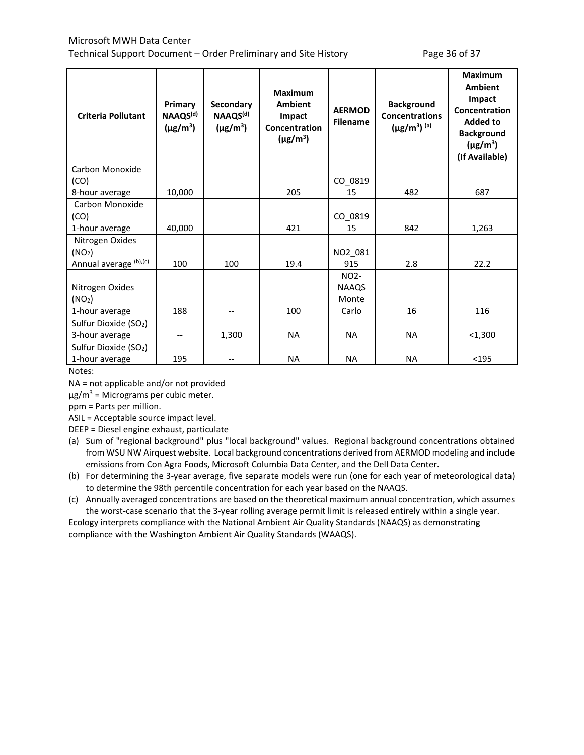#### Microsoft MWH Data Center Technical Support Document – Order Preliminary and Site History Page 36 of 37

| <b>Criteria Pollutant</b>         | Primary<br>NAAQS <sup>(d)</sup><br>$(\mu$ g/m <sup>3</sup> ) | Secondary<br>NAAQS <sup>(d)</sup><br>$(\mu$ g/m <sup>3</sup> ) | <b>Maximum</b><br><b>Ambient</b><br>Impact<br>Concentration<br>$(\mu$ g/m <sup>3</sup> ) | <b>AERMOD</b><br><b>Filename</b> | <b>Background</b><br><b>Concentrations</b><br>$(\mu g/m^3)$ <sup>(a)</sup> | <b>Maximum</b><br><b>Ambient</b><br>Impact<br>Concentration<br><b>Added to</b><br><b>Background</b><br>$(\mu$ g/m <sup>3</sup> )<br>(If Available) |
|-----------------------------------|--------------------------------------------------------------|----------------------------------------------------------------|------------------------------------------------------------------------------------------|----------------------------------|----------------------------------------------------------------------------|----------------------------------------------------------------------------------------------------------------------------------------------------|
| Carbon Monoxide                   |                                                              |                                                                |                                                                                          |                                  |                                                                            |                                                                                                                                                    |
| (CO)                              |                                                              |                                                                |                                                                                          | CO 0819                          |                                                                            |                                                                                                                                                    |
| 8-hour average                    | 10,000                                                       |                                                                | 205                                                                                      | 15                               | 482                                                                        | 687                                                                                                                                                |
| Carbon Monoxide                   |                                                              |                                                                |                                                                                          |                                  |                                                                            |                                                                                                                                                    |
| (CO)                              |                                                              |                                                                |                                                                                          | CO 0819                          |                                                                            |                                                                                                                                                    |
| 1-hour average                    | 40,000                                                       |                                                                | 421                                                                                      | 15                               | 842                                                                        | 1,263                                                                                                                                              |
| Nitrogen Oxides                   |                                                              |                                                                |                                                                                          |                                  |                                                                            |                                                                                                                                                    |
| (NO <sub>2</sub> )                |                                                              |                                                                |                                                                                          | NO2_081                          |                                                                            |                                                                                                                                                    |
| Annual average (b),(c)            | 100                                                          | 100                                                            | 19.4                                                                                     | 915                              | 2.8                                                                        | 22.2                                                                                                                                               |
|                                   |                                                              |                                                                |                                                                                          | NO <sub>2</sub>                  |                                                                            |                                                                                                                                                    |
| Nitrogen Oxides                   |                                                              |                                                                |                                                                                          | <b>NAAQS</b>                     |                                                                            |                                                                                                                                                    |
| (NO <sub>2</sub> )                |                                                              |                                                                |                                                                                          | Monte                            |                                                                            |                                                                                                                                                    |
| 1-hour average                    | 188                                                          |                                                                | 100                                                                                      | Carlo                            | 16                                                                         | 116                                                                                                                                                |
| Sulfur Dioxide (SO <sub>2</sub> ) |                                                              |                                                                |                                                                                          |                                  |                                                                            |                                                                                                                                                    |
| 3-hour average                    | --                                                           | 1,300                                                          | <b>NA</b>                                                                                | <b>NA</b>                        | <b>NA</b>                                                                  | $<$ 1,300                                                                                                                                          |
| Sulfur Dioxide (SO <sub>2</sub> ) |                                                              |                                                                |                                                                                          |                                  |                                                                            |                                                                                                                                                    |
| 1-hour average                    | 195                                                          |                                                                | <b>NA</b>                                                                                | <b>NA</b>                        | <b>NA</b>                                                                  | $195$                                                                                                                                              |

Notes:

NA = not applicable and/or not provided

 $\mu$ g/m<sup>3</sup> = Micrograms per cubic meter.

ppm = Parts per million.

ASIL = Acceptable source impact level.

DEEP = Diesel engine exhaust, particulate

- (a) Sum of "regional background" plus "local background" values. Regional background concentrations obtained from WSU NW Airquest website. Local background concentrations derived from AERMOD modeling and include emissions from Con Agra Foods, Microsoft Columbia Data Center, and the Dell Data Center.
- (b) For determining the 3-year average, five separate models were run (one for each year of meteorological data) to determine the 98th percentile concentration for each year based on the NAAQS.

(c) Annually averaged concentrations are based on the theoretical maximum annual concentration, which assumes the worst-case scenario that the 3-year rolling average permit limit is released entirely within a single year.

Ecology interprets compliance with the National Ambient Air Quality Standards (NAAQS) as demonstrating compliance with the Washington Ambient Air Quality Standards (WAAQS).